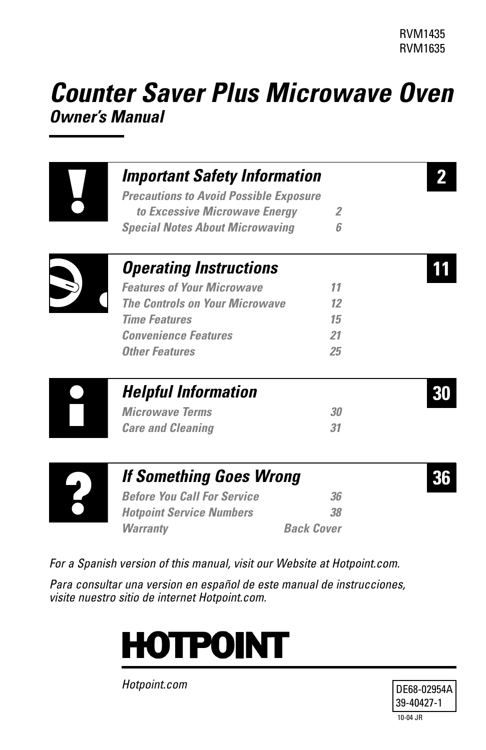# *Counter Saver Plus Microwave Oven Owner's Manual*

| <b>Important Safety Information</b>           |    |  |
|-----------------------------------------------|----|--|
| <b>Precautions to Avoid Possible Exposure</b> |    |  |
| to Excessive Microwave Energy                 | 2  |  |
| <b>Special Notes About Microwaving</b>        | ĥ  |  |
| <b>Operating Instructions</b>                 |    |  |
| <b>Features of Your Microwave</b>             | 11 |  |
| <b>The Controls on Your Microwave</b>         | 12 |  |
| <b>Time Features</b>                          | 15 |  |
| <b>Convenience Features</b>                   | 21 |  |
| <b>Other Features</b>                         | 25 |  |
| <b>Helpful Information</b>                    |    |  |
| <b>Microwave Terms</b>                        | 30 |  |
| <b>Care and Cleaning</b>                      | 31 |  |
| <b>If Something Goes Wrong</b>                |    |  |
| <b>Before You Call For Service</b>            | 36 |  |

*For a Spanish version of this manual, visit our Website at Hotpoint.com.*

*Para consultar una version en español de este manual de instrucciones, visite nuestro sitio de internet Hotpoint.com.*

*[Hotpoint Service Numbers 38](#page-37-0) [Warranty Back Cover](#page-39-0)*



*Hotpoint.com*

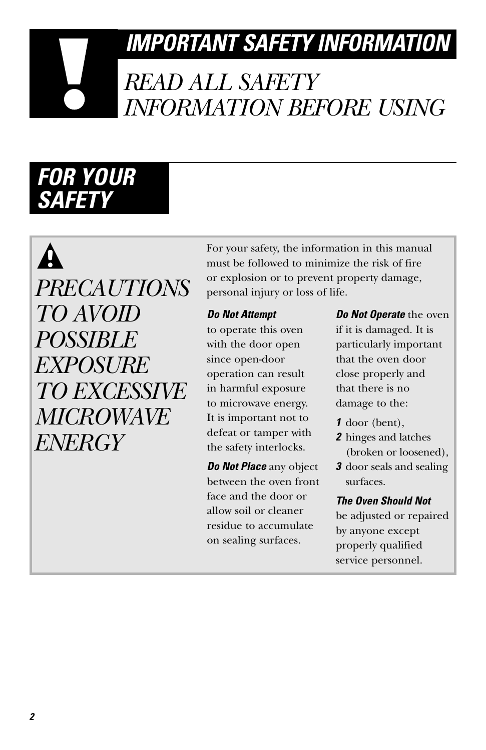# <span id="page-1-0"></span>*IMPORTANT SAFETY INFORMATION*

# *READ ALL SAFETY INFORMATION BEFORE USING*

# *FOR YOUR SAFETY*

 $\mathbf{\Lambda}$ *PRECAUTIONS TO AVOID POSSIBLE EXPOSURE TO EXCESSIVE MICROWAVE ENERGY*

For your safety, the information in this manual must be followed to minimize the risk of fire or explosion or to prevent property damage, personal injury or loss of life.

#### *Do Not Attempt*

to operate this oven with the door open since open-door operation can result in harmful exposure to microwave energy. It is important not to defeat or tamper with the safety interlocks.

*Do Not Place* any object between the oven front face and the door or allow soil or cleaner residue to accumulate on sealing surfaces.

*Do Not Operate* the oven if it is damaged. It is particularly important that the oven door close properly and that there is no damage to the:

- *1* door (bent),
- *2* hinges and latches (broken or loosened),
- *3* door seals and sealing surfaces.

#### *The Oven Should Not*

be adjusted or repaired by anyone except properly qualified service personnel.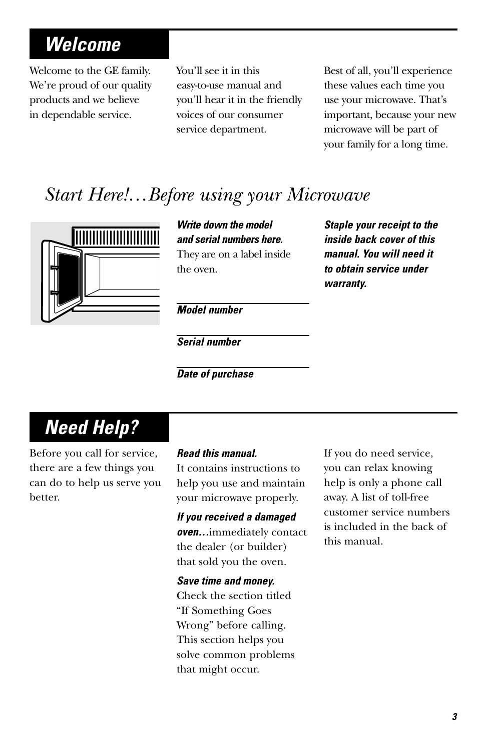# *Welcome*

Welcome to the GE family. We're proud of our quality products and we believe in dependable service.

You'll see it in this easy-to-use manual and you'll hear it in the friendly voices of our consumer service department.

Best of all, you'll experience these values each time you use your microwave. That's important, because your new microwave will be part of your family for a long time.

## *Start Here!…Before using your Microwave*



*Write down the model and serial numbers here.* They are on a label inside the oven.

*Staple your receipt to the inside back cover of this manual. You will need it to obtain service under warranty.*

*Model number*

*Serial number*

*Date of purchase*

# *Need Help?*

Before you call for service, there are a few things you can do to help us serve you better.

#### *Read this manual.*

It contains instructions to help you use and maintain your microwave properly.

#### *If you received a damaged*

*oven…*immediately contact the dealer (or builder) that sold you the oven.

*Save time and money.* 

Check the section titled "If Something Goes Wrong" before calling. This section helps you solve common problems that might occur.

If you do need service, you can relax knowing help is only a phone call away. A list of toll-free customer service numbers is included in the back of this manual.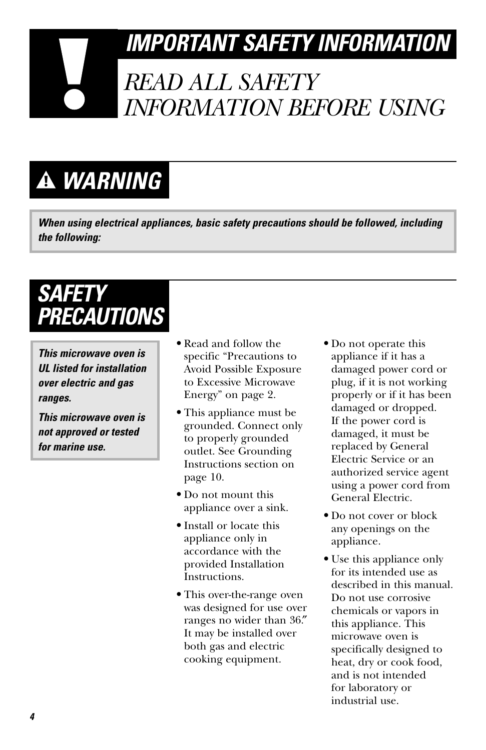# *IMPORTANT SAFETY INFORMATION*

# *READ ALL SAFETY INFORMATION BEFORE USING*

# *WARNING*

*When using electrical appliances, basic safety precautions should be followed, including the following:*

# *SAFETY PRECAUTIONS*

*This microwave oven is UL listed for installation over electric and gas ranges.*

*This microwave oven is not approved or tested for marine use.*

- **•** Read and follow the specific "Precautions to Avoid Possible Exposure to Excessive Microwave Energy" on page 2.
- **•** This appliance must be grounded. Connect only to properly grounded outlet. See Grounding Instructions section on page 10.
- **•** Do not mount this appliance over a sink.
- **•** Install or locate this appliance only in accordance with the provided Installation Instructions.
- **•** This over-the-range oven was designed for use over ranges no wider than 36.″ It may be installed over both gas and electric cooking equipment.
- **•** Do not operate this appliance if it has a damaged power cord or plug, if it is not working properly or if it has been damaged or dropped. If the power cord is damaged, it must be replaced by General Electric Service or an authorized service agent using a power cord from General Electric.
- **•** Do not cover or block any openings on the appliance.
- **•** Use this appliance only for its intended use as described in this manual. Do not use corrosive chemicals or vapors in this appliance. This microwave oven is specifically designed to heat, dry or cook food, and is not intended for laboratory or industrial use.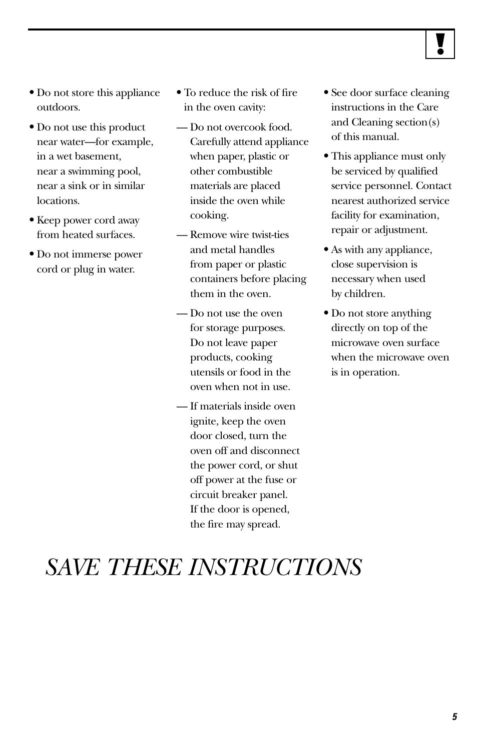

- **•** Do not store this appliance outdoors.
- **•** Do not use this product near water—for example, in a wet basement, near a swimming pool, near a sink or in similar locations.
- **•** Keep power cord away from heated surfaces.
- **•** Do not immerse power cord or plug in water.
- **•** To reduce the risk of fire in the oven cavity:
- Do not overcook food. Carefully attend appliance when paper, plastic or other combustible materials are placed inside the oven while cooking.
- Remove wire twist-ties and metal handles from paper or plastic containers before placing them in the oven.
- Do not use the oven for storage purposes. Do not leave paper products, cooking utensils or food in the oven when not in use.
- If materials inside oven ignite, keep the oven door closed, turn the oven off and disconnect the power cord, or shut off power at the fuse or circuit breaker panel. If the door is opened, the fire may spread.
- **•** See door surface cleaning instructions in the Care and Cleaning section(s) of this manual.
- **•** This appliance must only be serviced by qualified service personnel. Contact nearest authorized service facility for examination, repair or adjustment.
- **•** As with any appliance, close supervision is necessary when used by children.
- **•** Do not store anything directly on top of the microwave oven surface when the microwave oven is in operation.

# *SAVE THESE INSTRUCTIONS*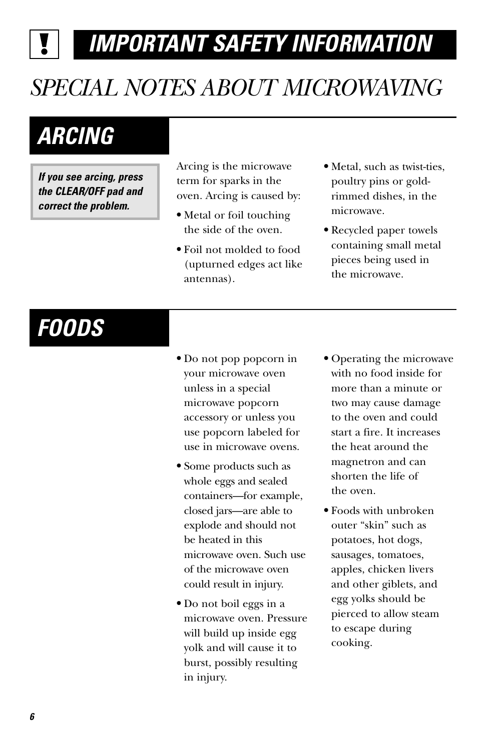*IMPORTANT SAFETY INFORMATION*

# <span id="page-5-0"></span>*SPECIAL NOTES ABOUT MICROWAVING*

# *ARCING*

*If you see arcing, press the CLEAR/OFF pad and correct the problem.*

Arcing is the microwave term for sparks in the oven. Arcing is caused by:

- **•** Metal or foil touching the side of the oven.
- **•** Foil not molded to food (upturned edges act like antennas).
- **•** Metal, such as twist-ties, poultry pins or goldrimmed dishes, in the microwave.
- **•** Recycled paper towels containing small metal pieces being used in the microwave.

# *FOODS*

- **•** Do not pop popcorn in your microwave oven unless in a special microwave popcorn accessory or unless you use popcorn labeled for use in microwave ovens.
- **•** Some products such as whole eggs and sealed containers—for example, closed jars—are able to explode and should not be heated in this microwave oven. Such use of the microwave oven could result in injury.
- **•** Do not boil eggs in a microwave oven. Pressure will build up inside egg yolk and will cause it to burst, possibly resulting in injury.
- **•** Operating the microwave with no food inside for more than a minute or two may cause damage to the oven and could start a fire. It increases the heat around the magnetron and can shorten the life of the oven.
- **•** Foods with unbroken outer "skin" such as potatoes, hot dogs, sausages, tomatoes, apples, chicken livers and other giblets, and egg yolks should be pierced to allow steam to escape during cooking.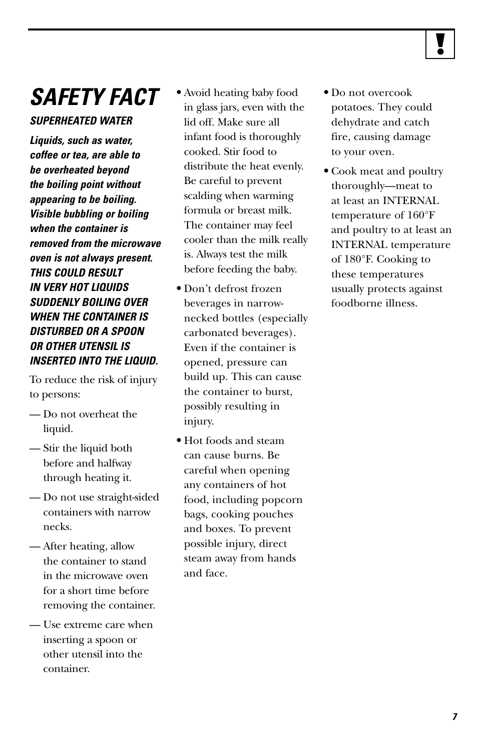

# *SAFETY FACT*

#### *SUPERHEATED WATER*

*Liquids, such as water, coffee or tea, are able to be overheated beyond the boiling point without appearing to be boiling. Visible bubbling or boiling when the container is removed from the microwave oven is not always present. THIS COULD RESULT IN VERY HOT LIQUIDS SUDDENLY BOILING OVER WHEN THE CONTAINER IS DISTURBED OR A SPOON OR OTHER UTENSIL IS INSERTED INTO THE LIQUID.* 

To reduce the risk of injury to persons:

- Do not overheat the liquid.
- Stir the liquid both before and halfway through heating it.
- Do not use straight-sided containers with narrow necks.
- After heating, allow the container to stand in the microwave oven for a short time before removing the container.
- Use extreme care when inserting a spoon or other utensil into the container.
- **•** Avoid heating baby food in glass jars, even with the lid off. Make sure all infant food is thoroughly cooked. Stir food to distribute the heat evenly. Be careful to prevent scalding when warming formula or breast milk. The container may feel cooler than the milk really is. Always test the milk before feeding the baby.
- **•** Don't defrost frozen beverages in narrownecked bottles (especially carbonated beverages). Even if the container is opened, pressure can build up. This can cause the container to burst, possibly resulting in injury.
- **•** Hot foods and steam can cause burns. Be careful when opening any containers of hot food, including popcorn bags, cooking pouches and boxes. To prevent possible injury, direct steam away from hands and face.
- **•** Do not overcook potatoes. They could dehydrate and catch fire, causing damage to your oven.
- **•** Cook meat and poultry thoroughly—meat to at least an INTERNAL temperature of 160°F and poultry to at least an INTERNAL temperature of 180°F. Cooking to these temperatures usually protects against foodborne illness.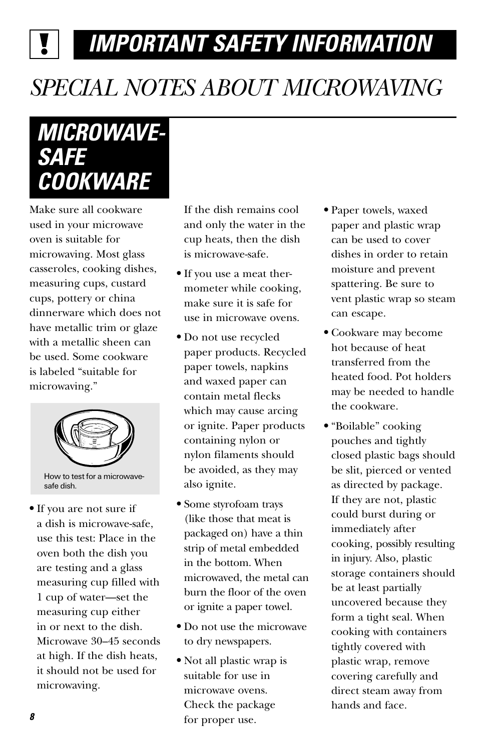# *IMPORTANT SAFETY INFORMATION*

# *SPECIAL NOTES ABOUT MICROWAVING*

# *MICROWAVE-SAFE COOKWARE*

Make sure all cookware used in your microwave oven is suitable for microwaving. Most glass casseroles, cooking dishes, measuring cups, custard cups, pottery or china dinnerware which does not have metallic trim or glaze with a metallic sheen can be used. Some cookware is labeled "suitable for microwaving."



safe dish.

**•** If you are not sure if a dish is microwave-safe, use this test: Place in the oven both the dish you are testing and a glass measuring cup filled with 1 cup of water—set the measuring cup either in or next to the dish. Microwave 30–45 seconds at high. If the dish heats, it should not be used for microwaving.

If the dish remains cool and only the water in the cup heats, then the dish is microwave-safe.

- **•** If you use a meat thermometer while cooking, make sure it is safe for use in microwave ovens.
- **•** Do not use recycled paper products. Recycled paper towels, napkins and waxed paper can contain metal flecks which may cause arcing or ignite. Paper products containing nylon or nylon filaments should be avoided, as they may also ignite.
- **•** Some styrofoam trays (like those that meat is packaged on) have a thin strip of metal embedded in the bottom. When microwaved, the metal can burn the floor of the oven or ignite a paper towel.
- **•** Do not use the microwave to dry newspapers.
- **•** Not all plastic wrap is suitable for use in microwave ovens. Check the package for proper use.
- **•** Paper towels, waxed paper and plastic wrap can be used to cover dishes in order to retain moisture and prevent spattering. Be sure to vent plastic wrap so steam can escape.
- **•** Cookware may become hot because of heat transferred from the heated food. Pot holders may be needed to handle the cookware.
- **•** "Boilable" cooking pouches and tightly closed plastic bags should be slit, pierced or vented as directed by package. If they are not, plastic could burst during or immediately after cooking, possibly resulting in injury. Also, plastic storage containers should be at least partially uncovered because they form a tight seal. When cooking with containers tightly covered with plastic wrap, remove covering carefully and direct steam away from hands and face.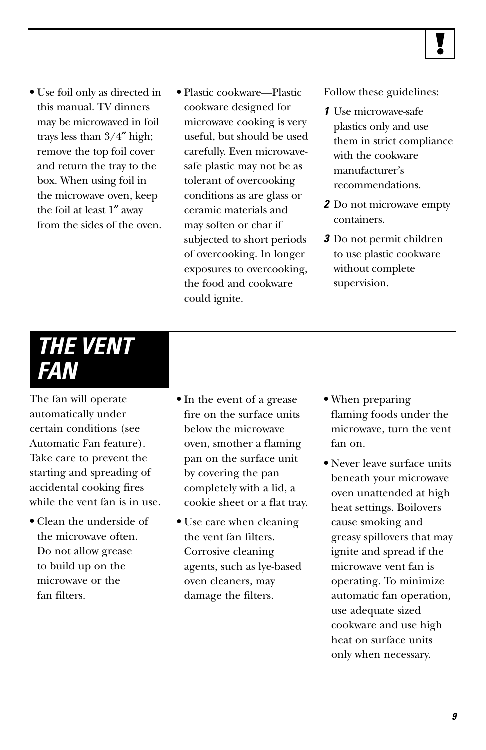- **•** Use foil only as directed in this manual. TV dinners may be microwaved in foil trays less than 3/4″ high; remove the top foil cover and return the tray to the box. When using foil in the microwave oven, keep the foil at least 1″ away from the sides of the oven.
- **•** Plastic cookware—Plastic cookware designed for microwave cooking is very useful, but should be used carefully. Even microwavesafe plastic may not be as tolerant of overcooking conditions as are glass or ceramic materials and may soften or char if subjected to short periods of overcooking. In longer exposures to overcooking, the food and cookware could ignite.

Follow these guidelines:

- *1* Use microwave-safe plastics only and use them in strict compliance with the cookware manufacturer's recommendations.
- *2* Do not microwave empty containers.
- *3* Do not permit children to use plastic cookware without complete supervision.

# *THE VENT FAN*

The fan will operate automatically under certain conditions (see Automatic Fan feature). Take care to prevent the starting and spreading of accidental cooking fires while the vent fan is in use.

- **•** Clean the underside of the microwave often. Do not allow grease to build up on the microwave or the fan filters.
- **•** In the event of a grease fire on the surface units below the microwave oven, smother a flaming pan on the surface unit by covering the pan completely with a lid, a cookie sheet or a flat tray.
- **•** Use care when cleaning the vent fan filters. Corrosive cleaning agents, such as lye-based oven cleaners, may damage the filters.
- **•** When preparing flaming foods under the microwave, turn the vent fan on.
- **•** Never leave surface units beneath your microwave oven unattended at high heat settings. Boilovers cause smoking and greasy spillovers that may ignite and spread if the microwave vent fan is operating. To minimize automatic fan operation, use adequate sized cookware and use high heat on surface units only when necessary.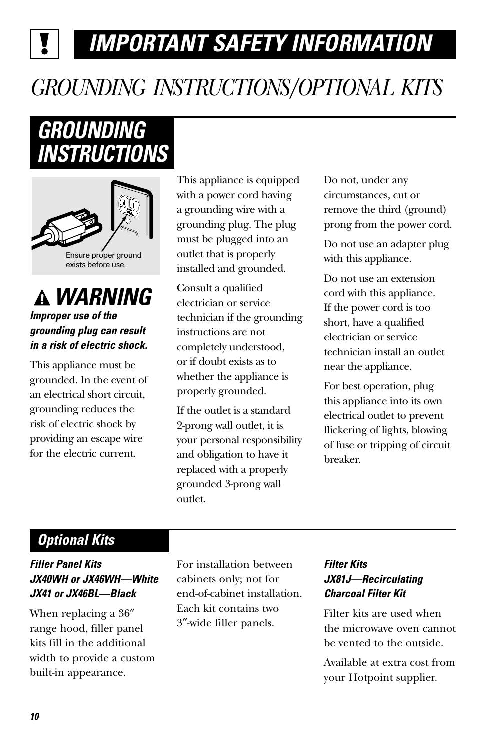# *IMPORTANT SAFETY INFORMATION*

# *GROUNDING INSTRUCTIONS/OPTIONAL KITS*

# *GROUNDING INSTRUCTIONS*



### *WARNING Improper use of the grounding plug can result in a risk of electric shock.*

This appliance must be grounded. In the event of an electrical short circuit, grounding reduces the risk of electric shock by providing an escape wire for the electric current.

This appliance is equipped with a power cord having a grounding wire with a grounding plug. The plug must be plugged into an outlet that is properly installed and grounded.

Consult a qualified electrician or service technician if the grounding instructions are not completely understood, or if doubt exists as to whether the appliance is properly grounded.

If the outlet is a standard 2-prong wall outlet, it is your personal responsibility and obligation to have it replaced with a properly grounded 3-prong wall outlet.

Do not, under any circumstances, cut or remove the third (ground) prong from the power cord.

Do not use an adapter plug with this appliance.

Do not use an extension cord with this appliance. If the power cord is too short, have a qualified electrician or service technician install an outlet near the appliance.

For best operation, plug this appliance into its own electrical outlet to prevent flickering of lights, blowing of fuse or tripping of circuit breaker.

## *Optional Kits*

#### *Filler Panel Kits JX40WH or JX46WH—White JX41 or JX46BL—Black*

When replacing a 36″ range hood, filler panel kits fill in the additional width to provide a custom built-in appearance.

For installation between cabinets only; not for end-of-cabinet installation. Each kit contains two 3″-wide filler panels.

#### *Filter Kits JX81J—Recirculating Charcoal Filter Kit*

Filter kits are used when the microwave oven cannot be vented to the outside.

Available at extra cost from your Hotpoint supplier.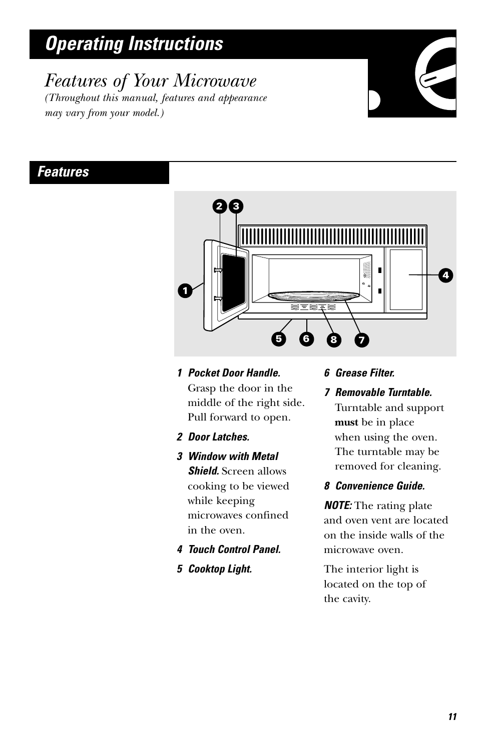# <span id="page-10-0"></span>*Operating Instructions*

*may vary from your model.)*

*Features of Your Microwave (Throughout this manual, features and appearance*



#### *Features*



- *1 Pocket Door Handle.* Grasp the door in the middle of the right side. Pull forward to open.
- *2 Door Latches.*
- *3 Window with Metal Shield.* Screen allows cooking to be viewed while keeping microwaves confined in the oven.
- *4 Touch Control Panel.*
- *5 Cooktop Light.*

#### *6 Grease Filter.*

*7 Removable Turntable.* Turntable and support **must** be in place when using the oven. The turntable may be removed for cleaning.

#### *8 Convenience Guide.*

*NOTE:* The rating plate and oven vent are located on the inside walls of the microwave oven.

The interior light is located on the top of the cavity.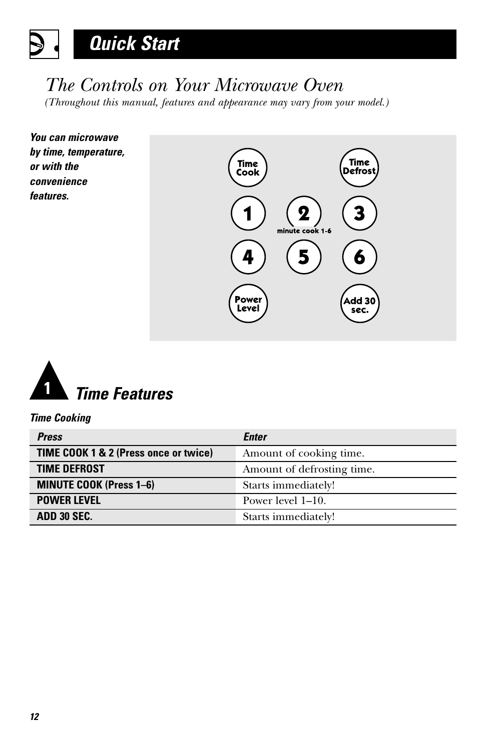# <span id="page-11-0"></span>*Quick Start*

## *The Controls on Your Microwave Oven*

*(Throughout this manual, features and appearance may vary from your model.)*

*You can microwave by time, temperature, or with the convenience features.*





*Time Cooking*

| <b>Press</b>                          | <b>Enter</b>               |
|---------------------------------------|----------------------------|
| TIME COOK 1 & 2 (Press once or twice) | Amount of cooking time.    |
| <b>TIME DEFROST</b>                   | Amount of defrosting time. |
| <b>MINUTE COOK (Press 1-6)</b>        | Starts immediately!        |
| <b>POWER LEVEL</b>                    | Power level 1–10.          |
| ADD 30 SEC.                           | Starts immediately!        |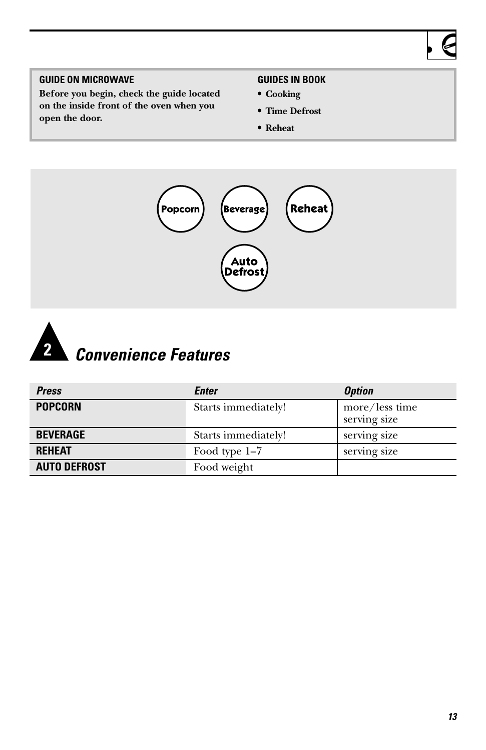#### **GUIDE ON MICROWAVE**

**Before you begin, check the guide located on the inside front of the oven when you open the door.**

#### **GUIDES IN BOOK**

- **• Cooking**
- **• Time Defrost**
- **• Reheat**





| <b>Press</b>        | Enter               | <b>Option</b>                  |
|---------------------|---------------------|--------------------------------|
| <b>POPCORN</b>      | Starts immediately! | more/less time<br>serving size |
| <b>BEVERAGE</b>     | Starts immediately! | serving size                   |
| <b>REHEAT</b>       | Food type 1-7       | serving size                   |
| <b>AUTO DEFROST</b> | Food weight         |                                |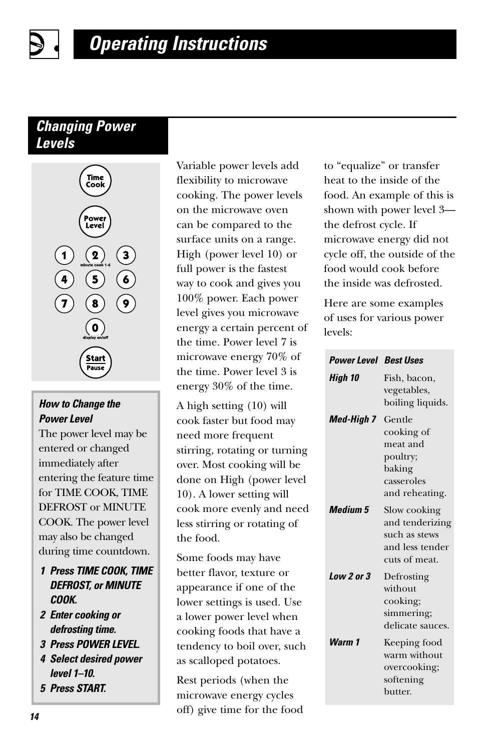### *Changing Power Levels*



#### *How to Change the Power Level*

The power level may be entered or changed immediately after entering the feature time for TIME COOK, TIME DEFROST or MINUTE COOK. The power level may also be changed during time countdown.

- *1 Press TIME COOK, TIME DEFROST, or MINUTE COOK.*
- *2 Enter cooking or defrosting time.*
- *3 Press POWER LEVEL.*
- *4 Select desired power level 1–10.*
- *5 Press START.*

Variable power levels add flexibility to microwave cooking. The power levels on the microwave oven can be compared to the surface units on a range. High (power level 10) or full power is the fastest way to cook and gives you 100% power. Each power level gives you microwave energy a certain percent of the time. Power level 7 is microwave energy 70% of the time. Power level 3 is energy 30% of the time.

A high setting (10) will cook faster but food may need more frequent stirring, rotating or turning over. Most cooking will be done on High (power level 10). A lower setting will cook more evenly and need less stirring or rotating of the food.

Some foods may have better flavor, texture or appearance if one of the lower settings is used. Use a lower power level when cooking foods that have a tendency to boil over, such as scalloped potatoes.

Rest periods (when the microwave energy cycles off) give time for the food to "equalize" or transfer heat to the inside of the food. An example of this is shown with power level 3 the defrost cycle. If microwave energy did not cycle off, the outside of the food would cook before the inside was defrosted.

Here are some examples of uses for various power levels:

| <b>Power Level Best Uses</b> |                                                                                        |
|------------------------------|----------------------------------------------------------------------------------------|
| High 10                      | Fish, bacon,<br>vegetables,<br>boiling liquids.                                        |
| <b>Med-High 7</b>            | Gentle<br>cooking of<br>meat and<br>poultry;<br>baking<br>casseroles<br>and reheating. |
| <b>Medium 5</b>              | Slow cooking<br>and tenderizing<br>such as stews<br>and less tender<br>cuts of meat.   |
| $Low 2$ or $3$               | Defrosting<br>without<br>cooking;<br>simmering;<br>delicate sauces.                    |
| Warm 1                       | Keeping food<br>warm without<br>overcooking;<br>softening<br>butter.                   |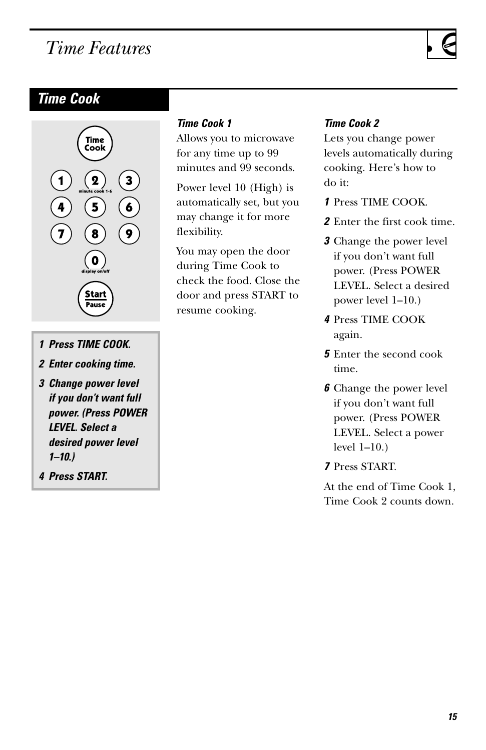## <span id="page-14-0"></span>*Time Features*

### *Time Cook*



- *1 Press TIME COOK.*
- *2 Enter cooking time.*
- *3 Change power level if you don't want full power. (Press POWER LEVEL. Select a desired power level 1–10.)*
- *4 Press START.*

#### *Time Cook 1*

Allows you to microwave for any time up to 99 minutes and 99 seconds.

Power level 10 (High) is automatically set, but you may change it for more flexibility.

You may open the door during Time Cook to check the food. Close the door and press START to resume cooking.

#### *Time Cook 2*

Lets you change power levels automatically during cooking. Here's how to do it:

- *1* Press TIME COOK.
- *2* Enter the first cook time.
- *3* Change the power level if you don't want full power. (Press POWER LEVEL. Select a desired power level 1–10.)
- *4* Press TIME COOK again.
- *5* Enter the second cook time.
- *6* Change the power level if you don't want full power. (Press POWER LEVEL. Select a power level 1–10.)
- *7* Press START.

At the end of Time Cook 1, Time Cook 2 counts down.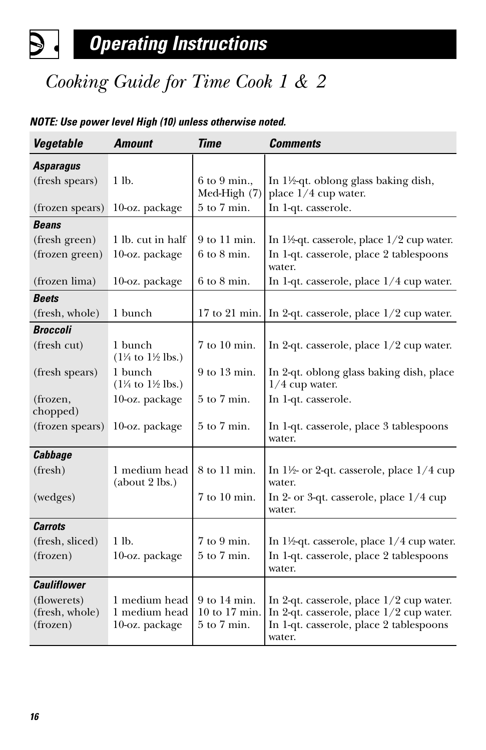# *Cooking Guide for Time Cook 1 & 2*

#### *Vegetable Amount Time Comments Asparagus* (fresh spears) 1 lb.  $\begin{bmatrix} 6 & 9 & \text{min.} \\ 1 & 1 & \text{width.} \end{bmatrix}$  In 1½-qt. oblong glass baking dish, Med-High  $(7)$  place  $1/4$  cup water. (frozen spears) 10-oz. package  $\vert 5$  to 7 min. In 1-qt. casserole. *Beans* (fresh green) 1 lb. cut in half  $\vert$  9 to 11 min. In 1½-qt. casserole, place 1/2 cup water. (frozen green) 10-oz. package  $\begin{bmatrix} 6 \text{ to } 8 \text{ min.} \end{bmatrix}$  In 1-qt. casserole, place 2 tablespoons water. (frozen lima) 10-oz. package  $\begin{bmatrix} 6 \text{ to } 8 \text{ min.} \end{bmatrix}$  In 1-qt. casserole, place 1/4 cup water. *Beets* (fresh, whole) 1 bunch  $17$  to 21 min. In 2-qt. casserole, place  $1/2$  cup water. *Broccoli* (fresh cut) 1 bunch  $7 \text{ to } 10 \text{ min.}$  In 2-qt. casserole, place  $1/2$  cup water.  $(1\frac{1}{4} \text{ to } 1\frac{1}{2} \text{ lbs.})$ (fresh spears) 1 bunch  $9$  to 13 min. In 2-qt. oblong glass baking dish, place  $(1\frac{1}{4} \text{ to } 1)$  $1/4$  cup water. (frozen,  $10$ -oz. package  $\frac{1}{5}$  to 7 min. In 1-qt. casserole. chopped) (frozen spears) 10-oz. package  $\frac{5}{6}$  to 7 min. In 1-qt. casserole, place 3 tablespoons water. *Cabbage* (fresh) 1 medium head 8 to 11 min. In  $1\frac{1}{2}$  or 2-qt. casserole, place  $1/4$  cup (about 2 lbs.) water. (wedges) 7 to 10 min. In 2- or 3-qt. casserole, place 1/4 cup water. *Carrots* (fresh, sliced) 1 lb. 7 to 9 min. In 11⁄2-qt. casserole, place 1/4 cup water.  $($ frozen $)$  10-oz. package  $\frac{1}{5}$  to 7 min. In 1-qt. casserole, place 2 tablespoons water. *Cauliflower* (flowerets) 1 medium head 9 to 14 min. In 2-qt. casserole, place  $1/2$  cup water.<br>(fresh. whole) 1 medium head 10 to 17 min. In 2-qt. casserole, place  $1/2$  cup water. (fresh, whole) 1 medium head  $\begin{bmatrix} 10 \text{ to } 17 \text{ min.} \\ 5 \text{ to } 7 \text{ min.} \end{bmatrix}$  In 2-qt. casserole, place 1/2 cup water. (frozen) 10-oz. package  $\begin{bmatrix} 5 \text{ to } 7 \text{ min.} \end{bmatrix}$  In 1-qt. casserole, place 2 tablespoons water.

#### *NOTE: Use power level High (10) unless otherwise noted.*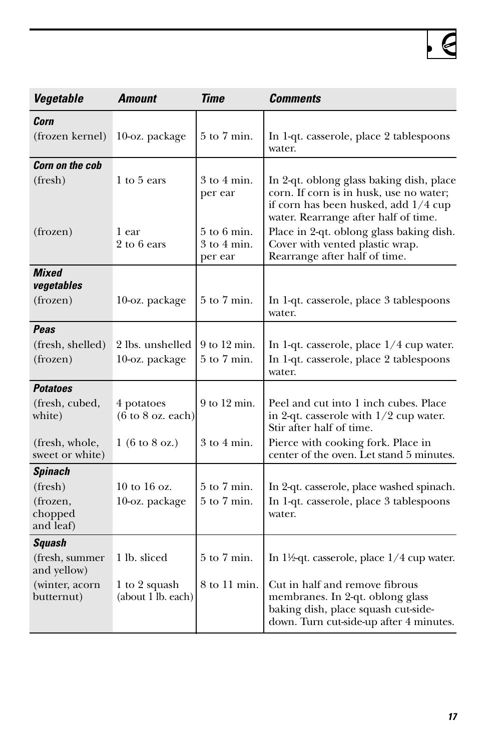| Vegetable                         | <b>Amount</b>                                      | Time                                          | <b>Comments</b>                                                                                                                                                     |
|-----------------------------------|----------------------------------------------------|-----------------------------------------------|---------------------------------------------------------------------------------------------------------------------------------------------------------------------|
| Corn                              |                                                    |                                               |                                                                                                                                                                     |
| (frozen kernel)                   | 10-oz. package                                     | $5$ to $7$ min.                               | In 1-qt. casserole, place 2 tablespoons<br>water.                                                                                                                   |
| <b>Corn on the cob</b>            |                                                    |                                               |                                                                                                                                                                     |
| (fresh)                           | 1 to 5 ears                                        | $3$ to $4$ min.<br>per ear                    | In 2-qt. oblong glass baking dish, place<br>corn. If corn is in husk, use no water;<br>if corn has been husked, add 1/4 cup<br>water. Rearrange after half of time. |
| (frozen)                          | 1 ear<br>2 to 6 ears                               | $5$ to $6$ min.<br>$3$ to $4$ min.<br>per ear | Place in 2-qt. oblong glass baking dish.<br>Cover with vented plastic wrap.<br>Rearrange after half of time.                                                        |
| <b>Mixed</b><br>vegetables        |                                                    |                                               |                                                                                                                                                                     |
| (frozen)                          | 10-oz. package                                     | $5$ to $7$ min.                               | In 1-qt. casserole, place 3 tablespoons<br>water.                                                                                                                   |
| Peas                              |                                                    |                                               |                                                                                                                                                                     |
| (fresh, shelled)                  | 2 lbs. unshelled                                   | 9 to 12 min.                                  | In 1-qt. casserole, place $1/4$ cup water.                                                                                                                          |
| (frozen)                          | 10-oz. package                                     | $5$ to $7$ min.                               | In 1-qt. casserole, place 2 tablespoons<br>water.                                                                                                                   |
| <b>Potatoes</b>                   |                                                    |                                               |                                                                                                                                                                     |
| (fresh, cubed,<br>white)          | 4 potatoes<br>$(6 \text{ to } 8 \text{ oz. each})$ | $9$ to $12$ min.                              | Peel and cut into 1 inch cubes. Place<br>in 2-qt. casserole with $1/2$ cup water.<br>Stir after half of time.                                                       |
| (fresh, whole,<br>sweet or white) | $1(6 \text{ to } 8 \text{ oz.})$                   | $3$ to $4$ min.                               | Pierce with cooking fork. Place in<br>center of the oven. Let stand 5 minutes.                                                                                      |
| Spinach                           |                                                    |                                               |                                                                                                                                                                     |
| (fresh)                           | $10$ to $16$ oz.                                   | $5$ to $7$ min.                               | In 2-qt. casserole, place washed spinach.                                                                                                                           |
| (frozen,<br>chopped<br>and leaf)  | 10-oz. package                                     | $5$ to $7$ min.                               | In 1-qt. casserole, place 3 tablespoons<br>water.                                                                                                                   |
| Squash                            |                                                    |                                               |                                                                                                                                                                     |
| (fresh, summer<br>and yellow)     | 1 lb. sliced                                       | $5$ to $7$ min.                               | In $1\frac{1}{2}$ -qt. casserole, place $1/4$ cup water.                                                                                                            |
| (winter, acorn<br>butternut)      | 1 to 2 squash<br>(about 1 lb. each)                | 8 to 11 min.                                  | Cut in half and remove fibrous<br>membranes. In 2-qt. oblong glass<br>baking dish, place squash cut-side-<br>down. Turn cut-side-up after 4 minutes.                |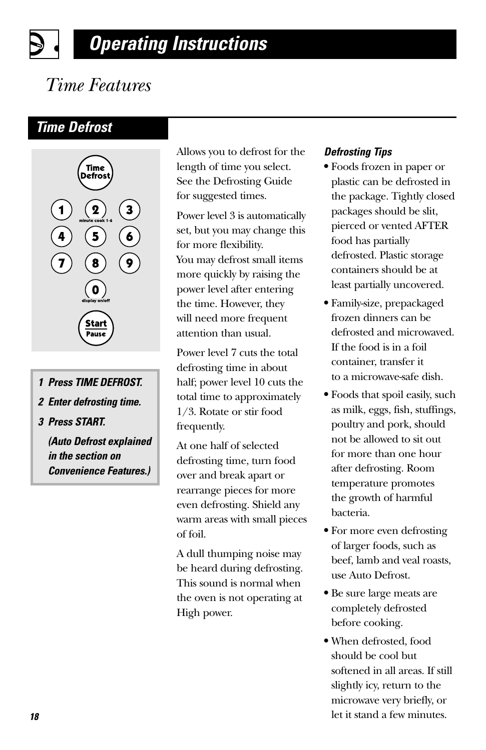# *Operating Instructions*

# *Time Features*

### *Time Defrost*



- *1 Press TIME DEFROST.*
- *2 Enter defrosting time.*
- *3 Press START.*

*(Auto Defrost explained in the section on Convenience Features.)*

Allows you to defrost for the length of time you select. See the Defrosting Guide for suggested times.

Power level 3 is automatically set, but you may change this for more flexibility. You may defrost small items more quickly by raising the power level after entering the time. However, they will need more frequent attention than usual.

Power level 7 cuts the total defrosting time in about half; power level 10 cuts the total time to approximately 1/3. Rotate or stir food frequently.

At one half of selected defrosting time, turn food over and break apart or rearrange pieces for more even defrosting. Shield any warm areas with small pieces of foil.

A dull thumping noise may be heard during defrosting. This sound is normal when the oven is not operating at High power.

#### *Defrosting Tips*

- **•** Foods frozen in paper or plastic can be defrosted in the package. Tightly closed packages should be slit, pierced or vented AFTER food has partially defrosted. Plastic storage containers should be at least partially uncovered.
- **•** Family-size, prepackaged frozen dinners can be defrosted and microwaved. If the food is in a foil container, transfer it to a microwave-safe dish.
- **•** Foods that spoil easily, such as milk, eggs, fish, stuffings, poultry and pork, should not be allowed to sit out for more than one hour after defrosting. Room temperature promotes the growth of harmful bacteria.
- **•** For more even defrosting of larger foods, such as beef, lamb and veal roasts, use Auto Defrost.
- **•** Be sure large meats are completely defrosted before cooking.
- **•** When defrosted, food should be cool but softened in all areas. If still slightly icy, return to the microwave very briefly, or let it stand a few minutes.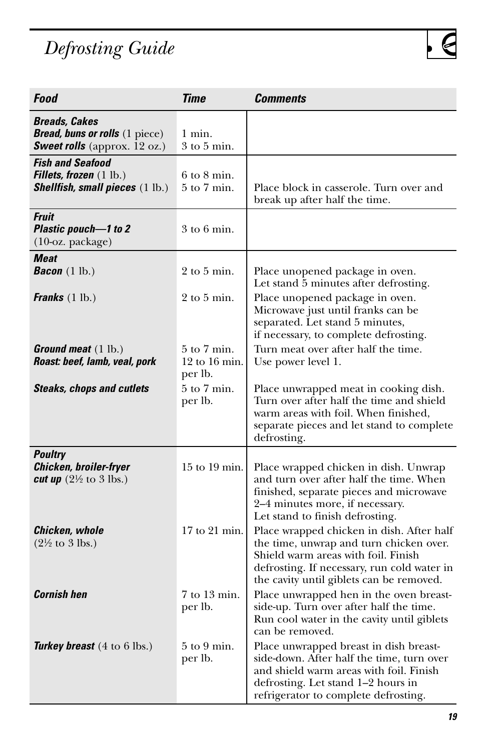# *Defrosting Guide*

| Food                                                                                                          | Time                                            | Comments                                                                                                                                                                                                               |
|---------------------------------------------------------------------------------------------------------------|-------------------------------------------------|------------------------------------------------------------------------------------------------------------------------------------------------------------------------------------------------------------------------|
| <b>Breads, Cakes</b><br><b>Bread, buns or rolls</b> (1 piece)<br><b>Sweet rolls</b> (approx. $12$ oz.)        | 1 min.<br>3 to 5 min.                           |                                                                                                                                                                                                                        |
| <b>Fish and Seafood</b><br><b>Fillets, frozen</b> $(1 \text{ lb.})$<br><b>Shellfish, small pieces</b> (1 lb.) | $6$ to $8$ min.<br>$5$ to $7$ min.              | Place block in casserole. Turn over and<br>break up after half the time.                                                                                                                                               |
| Fruit<br>Plastic pouch-1 to 2<br>(10-oz. package)                                                             | $3$ to $6$ min.                                 |                                                                                                                                                                                                                        |
| <b>Meat</b><br><b>Bacon</b> $(1 \text{ lb.})$                                                                 | $2$ to $5$ min.                                 | Place unopened package in oven.<br>Let stand 5 minutes after defrosting.                                                                                                                                               |
| <b>Franks</b> $(1 \text{ lb.})$                                                                               | $2$ to $5$ min.                                 | Place unopened package in oven.<br>Microwave just until franks can be<br>separated. Let stand 5 minutes,<br>if necessary, to complete defrosting.                                                                      |
| <b>Ground meat</b> $(1 \text{ lb.})$<br>Roast: beef, lamb, veal, pork                                         | $5$ to $7$ min.<br>$12$ to $16$ min.<br>per lb. | Turn meat over after half the time.<br>Use power level 1.                                                                                                                                                              |
| <b>Steaks, chops and cutlets</b>                                                                              | $5$ to $7$ min.<br>per lb.                      | Place unwrapped meat in cooking dish.<br>Turn over after half the time and shield<br>warm areas with foil. When finished,<br>separate pieces and let stand to complete<br>defrosting.                                  |
| <b>Poultry</b><br>Chicken, broiler-fryer<br>cut up $(2\frac{1}{2}$ to 3 lbs.)                                 | 15 to 19 min.                                   | Place wrapped chicken in dish. Unwrap<br>and turn over after half the time. When<br>finished, separate pieces and microwave<br>2-4 minutes more, if necessary.<br>Let stand to finish defrosting.                      |
| Chicken, whole<br>$(2\frac{1}{2}$ to 3 lbs.)                                                                  | $17$ to $21$ min.                               | Place wrapped chicken in dish. After half<br>the time, unwrap and turn chicken over.<br>Shield warm areas with foil. Finish<br>defrosting. If necessary, run cold water in<br>the cavity until giblets can be removed. |
| <b>Cornish hen</b>                                                                                            | 7 to 13 min.<br>per lb.                         | Place unwrapped hen in the oven breast-<br>side-up. Turn over after half the time.<br>Run cool water in the cavity until giblets<br>can be removed.                                                                    |
| <b>Turkey breast</b> $(4 \text{ to } 6 \text{ lbs.})$                                                         | $5$ to $9$ min.<br>per lb.                      | Place unwrapped breast in dish breast-<br>side-down. After half the time, turn over<br>and shield warm areas with foil. Finish<br>defrosting. Let stand 1-2 hours in<br>refrigerator to complete defrosting.           |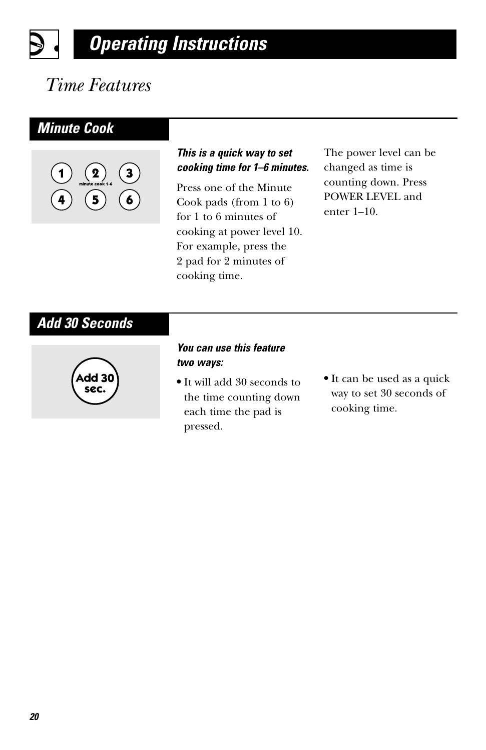### *Operating Instructions* D

# *Time Features*

### *Minute Cook*



#### *This is a quick way to set cooking time for 1–6 minutes.*

Press one of the Minute Cook pads (from 1 to 6) for 1 to 6 minutes of cooking at power level 10. For example, press the 2 pad for 2 minutes of cooking time.

The power level can be changed as time is counting down. Press POWER LEVEL and enter 1–10.

### *Add 30 Seconds*



#### *You can use this feature two ways:*

- **•** It will add 30 seconds to the time counting down each time the pad is pressed.
- **•** It can be used as a quick way to set 30 seconds of cooking time.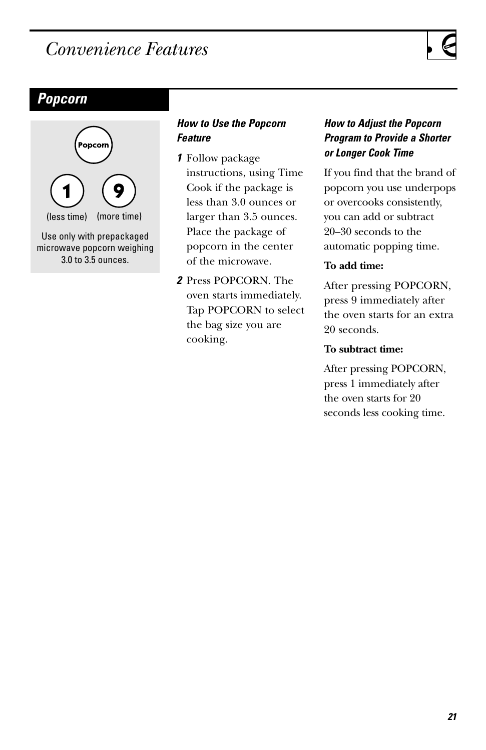## <span id="page-20-0"></span>*Convenience Features*

### *Popcorn*



#### *How to Use the Popcorn Feature*

- *1* Follow package instructions, using Time Cook if the package is less than 3.0 ounces or larger than 3.5 ounces. Place the package of popcorn in the center of the microwave.
- *2* Press POPCORN. The oven starts immediately. Tap POPCORN to select the bag size you are cooking.

#### *How to Adjust the Popcorn Program to Provide a Shorter or Longer Cook Time*

If you find that the brand of popcorn you use underpops or overcooks consistently, you can add or subtract 20–30 seconds to the automatic popping time.

#### **To add time:**

After pressing POPCORN, press 9 immediately after the oven starts for an extra 20 seconds.

#### **To subtract time:**

After pressing POPCORN, press 1 immediately after the oven starts for 20 seconds less cooking time.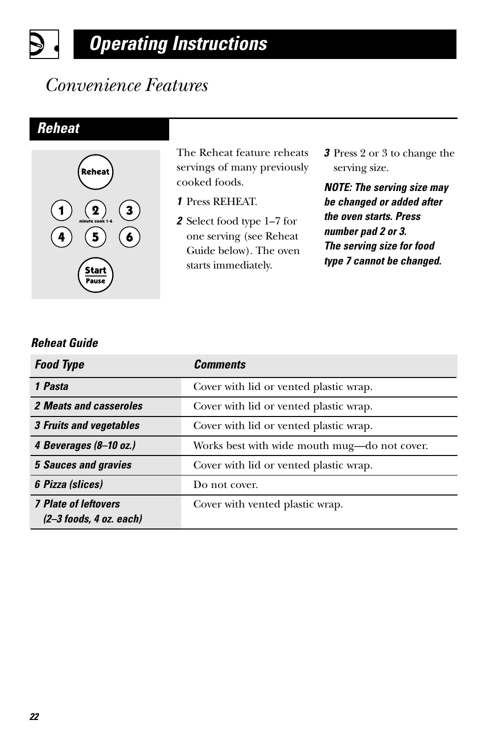# *Operating Instructions*

## *Convenience Features*

### *Reheat*

 $\boldsymbol{\beta}$ 



The Reheat feature reheats servings of many previously cooked foods.

- *1* Press REHEAT.
- *2* Select food type 1–7 for one serving (see Reheat Guide below). The oven starts immediately.
- *3* Press 2 or 3 to change the serving size.

*NOTE: The serving size may be changed or added after the oven starts. Press number pad 2 or 3. The serving size for food type 7 cannot be changed.*

#### *Reheat Guide*

| <b>Food Type</b>                                         | <b>Comments</b>                              |
|----------------------------------------------------------|----------------------------------------------|
| 1 Pasta                                                  | Cover with lid or vented plastic wrap.       |
| 2 Meats and casseroles                                   | Cover with lid or vented plastic wrap.       |
| 3 Fruits and vegetables                                  | Cover with lid or vented plastic wrap.       |
| 4 Beverages (8-10 oz.)                                   | Works best with wide mouth mug—do not cover. |
| <b>5 Sauces and gravies</b>                              | Cover with lid or vented plastic wrap.       |
| 6 Pizza (slices)                                         | Do not cover.                                |
| <b>7 Plate of leftovers</b><br>$(2-3$ foods, 4 oz. each) | Cover with vented plastic wrap.              |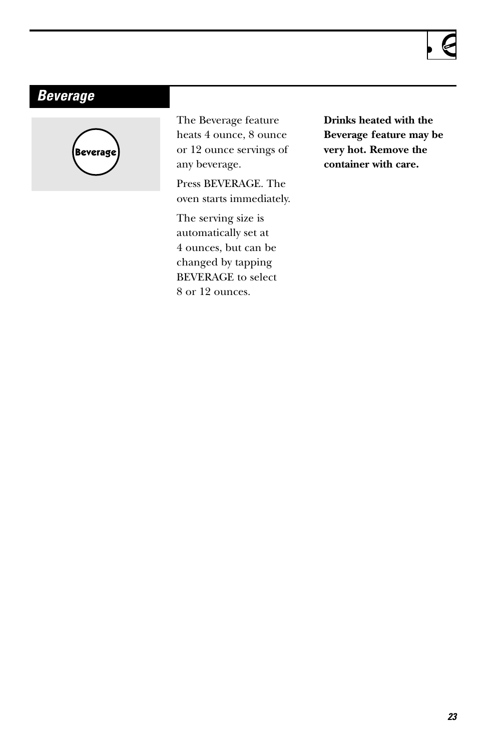### *Beverage*



The Beverage feature heats 4 ounce, 8 ounce or 12 ounce servings of any beverage.

Press BEVERAGE. The oven starts immediately.

The serving size is automatically set at 4 ounces, but can be changed by tapping BEVERAGE to select 8 or 12 ounces.

**Drinks heated with the Beverage feature may be very hot. Remove the container with care.**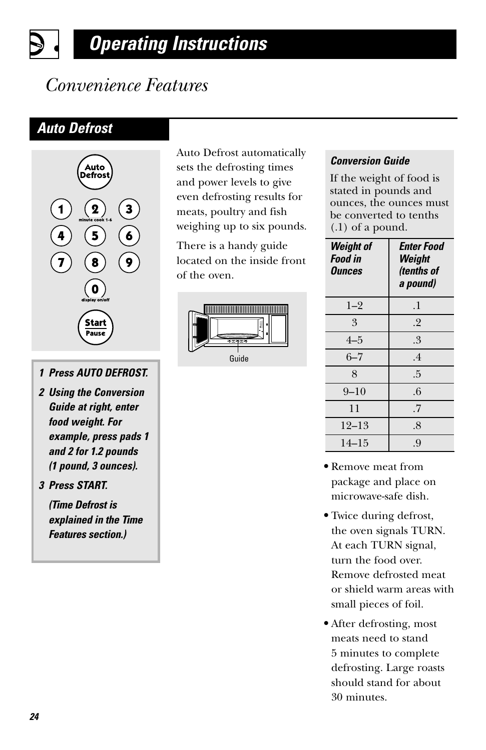# *Operating Instructions*

## *Convenience Features*

### *Auto Defrost*



- *1 Press AUTO DEFROST.*
- *2 Using the Conversion Guide at right, enter food weight. For example, press pads 1 and 2 for 1.2 pounds (1 pound, 3 ounces).*

*3 Press START.* 

*(Time Defrost is explained in the Time Features section.)*

Auto Defrost automatically sets the defrosting times and power levels to give even defrosting results for meats, poultry and fish weighing up to six pounds.

There is a handy guide located on the inside front of the oven.



#### *Conversion Guide*

If the weight of food is stated in pounds and ounces, the ounces must be converted to tenths (.1) of a pound.

| <b>Weight of</b><br><b>Food in</b><br>Ounces | <b>Enter Food</b><br>Weight<br>(tenths of<br>a pound) |  |
|----------------------------------------------|-------------------------------------------------------|--|
| $1 - 2$                                      | .1                                                    |  |
| 3                                            | .2                                                    |  |
| $4 - 5$                                      | .3                                                    |  |
| $6 - 7$                                      | .4                                                    |  |
| 8                                            | .5                                                    |  |
| $9 - 10$                                     | .6                                                    |  |
| 11                                           | .7                                                    |  |
| 12–13                                        | .8                                                    |  |
| $14 - 15$                                    | .9                                                    |  |

- **•** Remove meat from package and place on microwave-safe dish.
- **•** Twice during defrost, the oven signals TURN. At each TURN signal, turn the food over. Remove defrosted meat or shield warm areas with small pieces of foil.
- **•** After defrosting, most meats need to stand 5 minutes to complete defrosting. Large roasts should stand for about 30 minutes.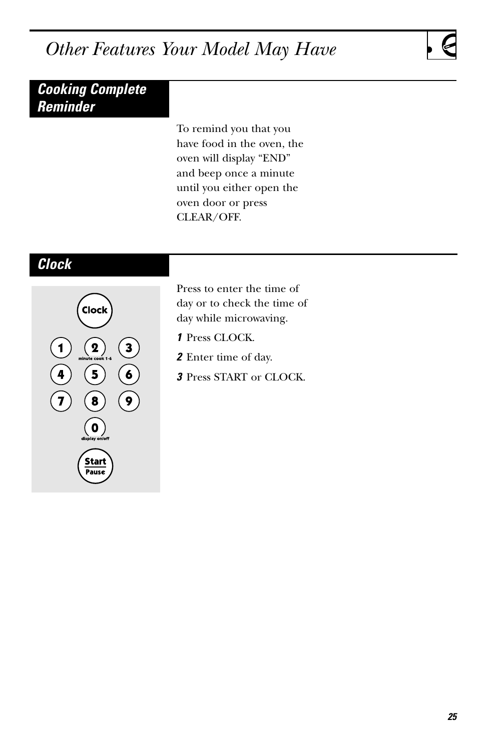## <span id="page-24-0"></span>*Other Features Your Model May Have*

### *Cooking Complete Reminder*

To remind you that you have food in the oven, the oven will display "END" and beep once a minute until you either open the oven door or press CLEAR/OFF.

### *Clock*



Press to enter the time of day or to check the time of day while microwaving.

- *1* Press CLOCK.
- *2* Enter time of day.
- *3* Press START or CLOCK.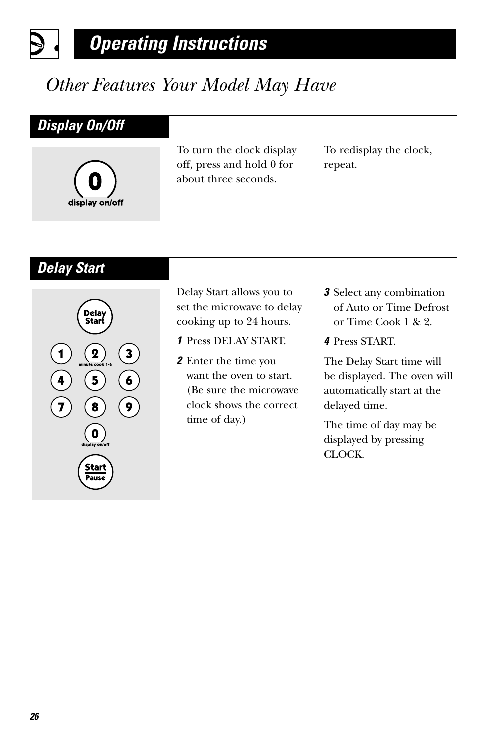# *Other Features Your Model May Have*

### *Display On/Off*

 $\mathbf S$ 



To turn the clock display off, press and hold 0 for about three seconds.

To redisplay the clock, repeat.

### *Delay Start*



Delay Start allows you to set the microwave to delay cooking up to 24 hours.

- *1* Press DELAY START.
- *2* Enter the time you want the oven to start. (Be sure the microwave clock shows the correct time of day.)
- *3* Select any combination of Auto or Time Defrost or Time Cook 1 & 2.
- *4* Press START.

The Delay Start time will be displayed. The oven will automatically start at the delayed time.

The time of day may be displayed by pressing CLOCK.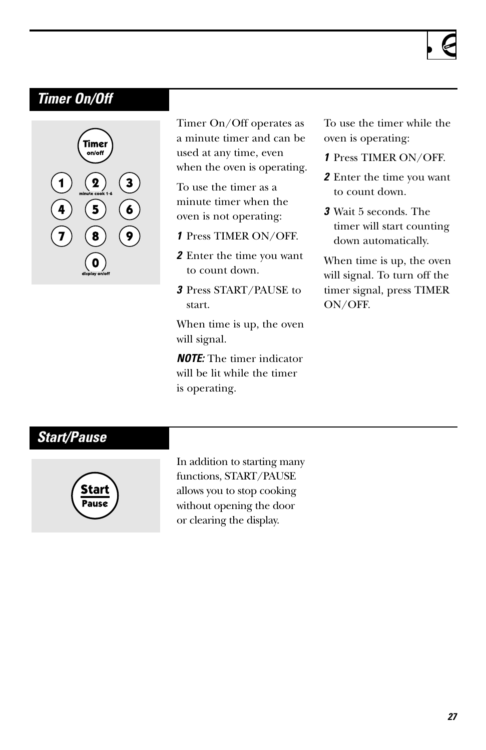### *Timer On/Off*



Timer On/Off operates as a minute timer and can be used at any time, even when the oven is operating.

To use the timer as a minute timer when the oven is not operating:

- *1* Press TIMER ON/OFF.
- *2* Enter the time you want to count down.
- *3* Press START/PAUSE to start.

When time is up, the oven will signal.

*NOTE:* The timer indicator will be lit while the timer is operating.

To use the timer while the oven is operating:

- *1* Press TIMER ON/OFF.
- *2* Enter the time you want to count down.
- *3* Wait 5 seconds. The timer will start counting down automatically.

When time is up, the oven will signal. To turn off the timer signal, press TIMER ON/OFF.

### *Start/Pause*



In addition to starting many functions, START/PAUSE allows you to stop cooking without opening the door or clearing the display.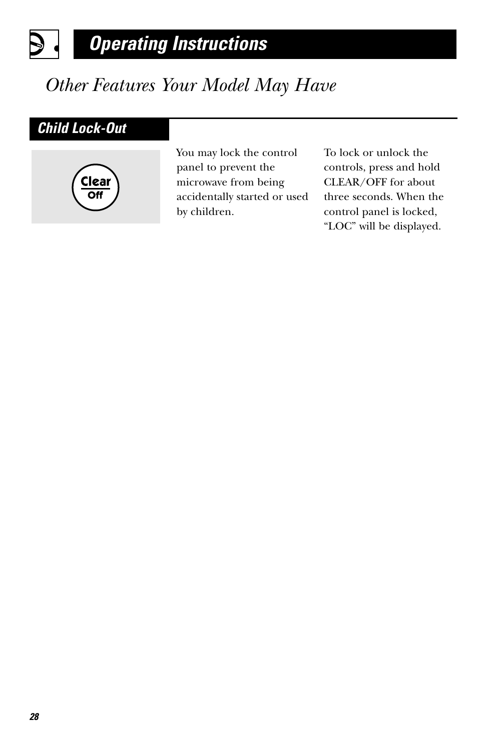# *Other Features Your Model May Have*

### *Child Lock-Out*

9 |



You may lock the control panel to prevent the microwave from being accidentally started or used by children.

To lock or unlock the controls, press and hold CLEAR/OFF for about three seconds. When the control panel is locked, "LOC" will be displayed.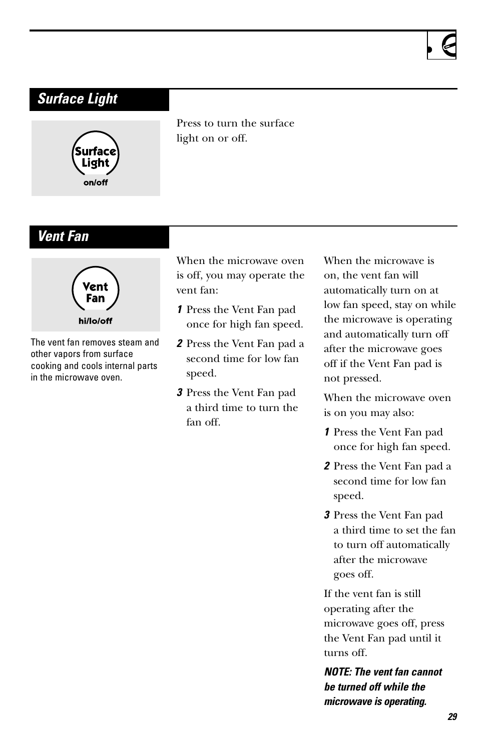



Press to turn the surface light on or off.

### *Vent Fan*



The vent fan removes steam and other vapors from surface cooking and cools internal parts in the microwave oven.

When the microwave oven is off, you may operate the vent fan:

- *1* Press the Vent Fan pad once for high fan speed.
- *2* Press the Vent Fan pad a second time for low fan speed.
- *3* Press the Vent Fan pad a third time to turn the fan off.

When the microwave is on, the vent fan will automatically turn on at low fan speed, stay on while the microwave is operating and automatically turn off after the microwave goes off if the Vent Fan pad is not pressed.

When the microwave oven is on you may also:

- *1* Press the Vent Fan pad once for high fan speed.
- *2* Press the Vent Fan pad a second time for low fan speed.
- *3* Press the Vent Fan pad a third time to set the fan to turn off automatically after the microwave goes off.

If the vent fan is still operating after the microwave goes off, press the Vent Fan pad until it turns off.

*NOTE: The vent fan cannot be turned off while the microwave is operating.*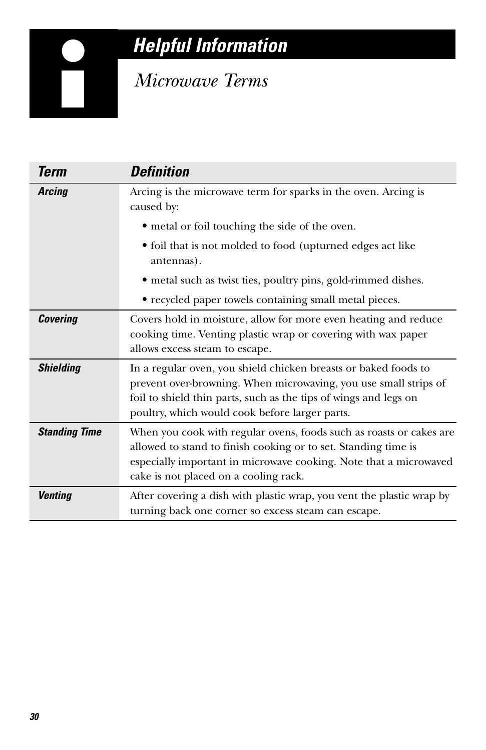# *Helpful Information*

## *Microwave Terms*

<span id="page-29-0"></span>

| <b>Term</b>          | <b>Definition</b>                                                                                                                                                                                                                                         |
|----------------------|-----------------------------------------------------------------------------------------------------------------------------------------------------------------------------------------------------------------------------------------------------------|
| <b>Arcing</b>        | Arcing is the microwave term for sparks in the oven. Arcing is<br>caused by:                                                                                                                                                                              |
|                      | • metal or foil touching the side of the oven.                                                                                                                                                                                                            |
|                      | • foil that is not molded to food (upturned edges act like<br>antennas).                                                                                                                                                                                  |
|                      | • metal such as twist ties, poultry pins, gold-rimmed dishes.                                                                                                                                                                                             |
|                      | • recycled paper towels containing small metal pieces.                                                                                                                                                                                                    |
| Covering             | Covers hold in moisture, allow for more even heating and reduce<br>cooking time. Venting plastic wrap or covering with wax paper<br>allows excess steam to escape.                                                                                        |
| <b>Shielding</b>     | In a regular oven, you shield chicken breasts or baked foods to<br>prevent over-browning. When microwaving, you use small strips of<br>foil to shield thin parts, such as the tips of wings and legs on<br>poultry, which would cook before larger parts. |
| <b>Standing Time</b> | When you cook with regular ovens, foods such as roasts or cakes are<br>allowed to stand to finish cooking or to set. Standing time is<br>especially important in microwave cooking. Note that a microwaved<br>cake is not placed on a cooling rack.       |
| <b>Venting</b>       | After covering a dish with plastic wrap, you vent the plastic wrap by<br>turning back one corner so excess steam can escape.                                                                                                                              |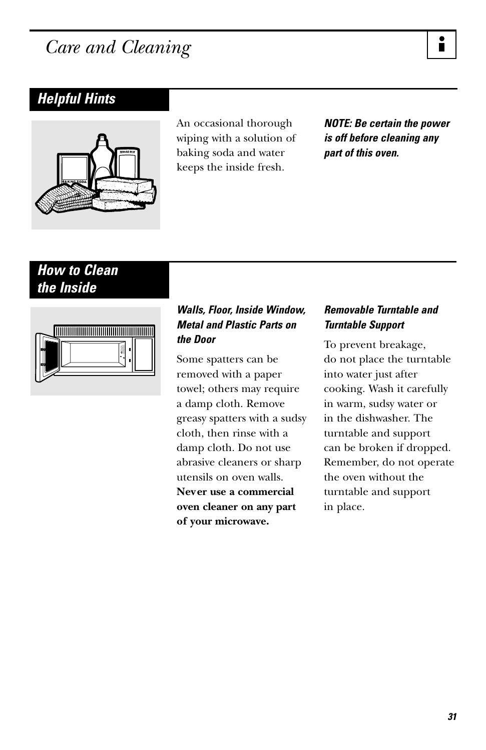## <span id="page-30-0"></span>*Care and Cleaning*

### *Helpful Hints*



An occasional thorough wiping with a solution of baking soda and water keeps the inside fresh.

*NOTE: Be certain the power is off before cleaning any part of this oven.*

### *How to Clean the Inside*



#### *Walls, Floor, Inside Window, Metal and Plastic Parts on the Door*

Some spatters can be removed with a paper towel; others may require a damp cloth. Remove greasy spatters with a sudsy cloth, then rinse with a damp cloth. Do not use abrasive cleaners or sharp utensils on oven walls. **Never use a commercial oven cleaner on any part of your microwave.**

#### *Removable Turntable and Turntable Support*

To prevent breakage, do not place the turntable into water just after cooking. Wash it carefully in warm, sudsy water or in the dishwasher. The turntable and support can be broken if dropped. Remember, do not operate the oven without the turntable and support in place.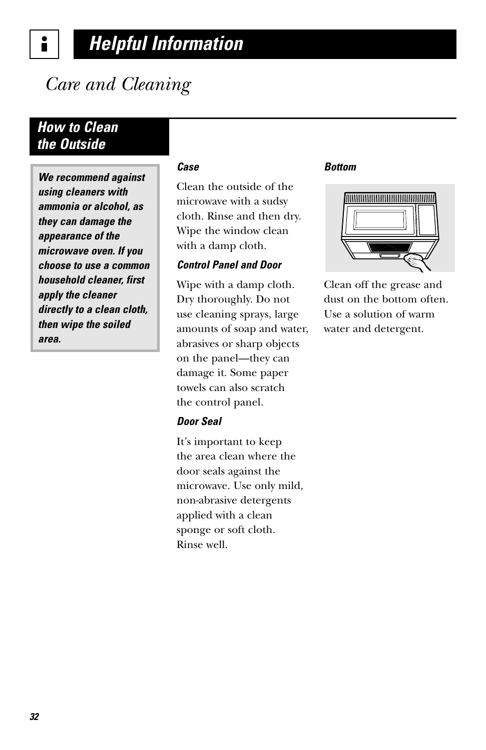*Care and Cleaning*

### *How to Clean the Outside*

i

*We recommend against using cleaners with ammonia or alcohol, as they can damage the appearance of the microwave oven. If you choose to use a common household cleaner, first apply the cleaner directly to a clean cloth, then wipe the soiled area.*

#### *Case*

Clean the outside of the microwave with a sudsy cloth. Rinse and then dry. Wipe the window clean with a damp cloth.

#### *Control Panel and Door*

Wipe with a damp cloth. Dry thoroughly. Do not use cleaning sprays, large amounts of soap and water, abrasives or sharp objects on the panel—they can damage it. Some paper towels can also scratch the control panel.

#### *Door Seal*

It's important to keep the area clean where the door seals against the microwave. Use only mild, non-abrasive detergents applied with a clean sponge or soft cloth. Rinse well.

#### *Bottom*



Clean off the grease and dust on the bottom often. Use a solution of warm water and detergent.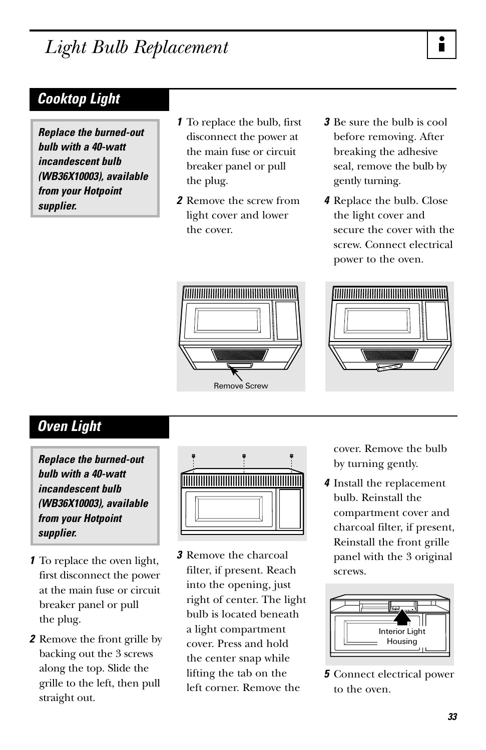## *Light Bulb Replacement*

*Replace the burned-out bulb with a 40-watt incandescent bulb (WB36X10003), available from your Hotpoint supplier.*

- *1* To replace the bulb, first disconnect the power at the main fuse or circuit breaker panel or pull the plug.
- *2* Remove the screw from light cover and lower the cover.
- *3* Be sure the bulb is cool before removing. After breaking the adhesive seal, remove the bulb by gently turning.
- *4* Replace the bulb. Close the light cover and secure the cover with the screw. Connect electrical power to the oven.



Remove Screw



### *Oven Light*

*Replace the burned-out bulb with a 40-watt incandescent bulb (WB36X10003), available from your Hotpoint supplier.*

- *1* To replace the oven light, first disconnect the power at the main fuse or circuit breaker panel or pull the plug.
- *2* Remove the front grille by backing out the 3 screws along the top. Slide the grille to the left, then pull straight out.



*3* Remove the charcoal filter, if present. Reach into the opening, just right of center. The light bulb is located beneath a light compartment cover. Press and hold the center snap while lifting the tab on the left corner. Remove the

cover. Remove the bulb by turning gently.

*4* Install the replacement bulb. Reinstall the compartment cover and charcoal filter, if present, Reinstall the front grille panel with the 3 original screws.



*5* Connect electrical power to the oven.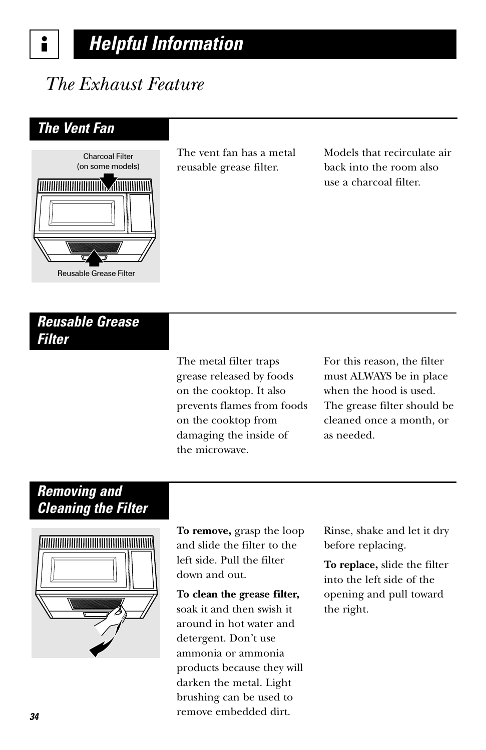#### *Helpful Information* i

## *The Exhaust Feature*

### *The Vent Fan*



The vent fan has a metal reusable grease filter.

Models that recirculate air back into the room also use a charcoal filter.

### *Reusable Grease Filter*

The metal filter traps grease released by foods on the cooktop. It also prevents flames from foods on the cooktop from damaging the inside of the microwave.

For this reason, the filter must ALWAYS be in place when the hood is used. The grease filter should be cleaned once a month, or as needed.

### *Removing and Cleaning the Filter*



**To remove,** grasp the loop and slide the filter to the left side. Pull the filter down and out.

**To clean the grease filter,** soak it and then swish it around in hot water and detergent. Don't use ammonia or ammonia products because they will darken the metal. Light brushing can be used to remove embedded dirt.

Rinse, shake and let it dry before replacing.

**To replace,** slide the filter into the left side of the opening and pull toward the right.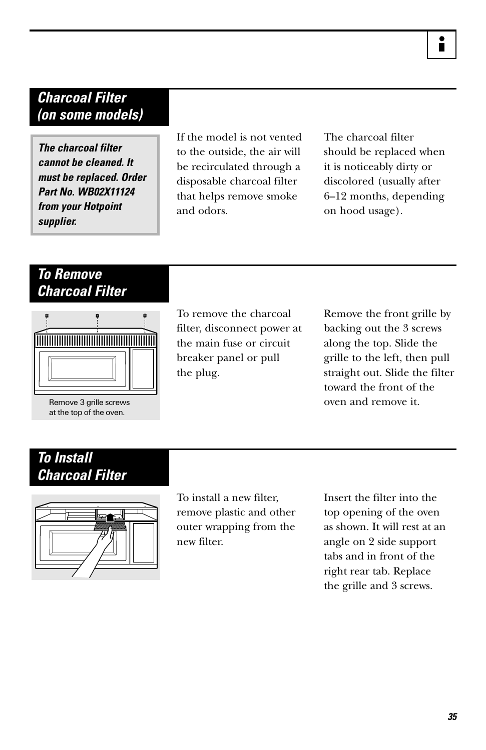### *Charcoal Filter (on some models)*

*The charcoal filter cannot be cleaned. It must be replaced. Order Part No. WB02X11124 from your Hotpoint supplier.*

If the model is not vented to the outside, the air will be recirculated through a disposable charcoal filter that helps remove smoke and odors.

The charcoal filter should be replaced when it is noticeably dirty or discolored (usually after 6–12 months, depending on hood usage).

### *To Remove Charcoal Filter*



Remove 3 grille screws at the top of the oven.

To remove the charcoal filter, disconnect power at the main fuse or circuit breaker panel or pull the plug.

Remove the front grille by backing out the 3 screws along the top. Slide the grille to the left, then pull straight out. Slide the filter toward the front of the oven and remove it.

### *To Install Charcoal Filter*



To install a new filter, remove plastic and other outer wrapping from the new filter.

Insert the filter into the top opening of the oven as shown. It will rest at an angle on 2 side support tabs and in front of the right rear tab. Replace the grille and 3 screws.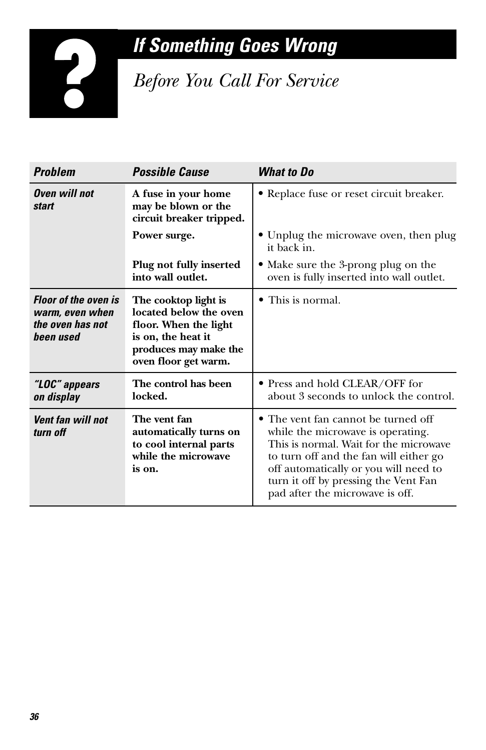# *If Something Goes Wrong*

*Before You Call For Service*

| <b>Problem</b>                                                                  | <b>Possible Cause</b>                                                                                                                          | <b>What to Do</b>                                                                                                                                                                                                                                                                |
|---------------------------------------------------------------------------------|------------------------------------------------------------------------------------------------------------------------------------------------|----------------------------------------------------------------------------------------------------------------------------------------------------------------------------------------------------------------------------------------------------------------------------------|
| <b>Oven will not</b><br>start                                                   | A fuse in your home<br>may be blown or the<br>circuit breaker tripped.                                                                         | • Replace fuse or reset circuit breaker.                                                                                                                                                                                                                                         |
|                                                                                 | Power surge.                                                                                                                                   | • Unplug the microwave oven, then plug<br>it back in.                                                                                                                                                                                                                            |
|                                                                                 | Plug not fully inserted<br>into wall outlet.                                                                                                   | • Make sure the 3-prong plug on the<br>oven is fully inserted into wall outlet.                                                                                                                                                                                                  |
| <b>Floor of the oven is</b><br>warm, even when<br>the oven has not<br>been used | The cooktop light is<br>located below the oven<br>floor. When the light<br>is on, the heat it<br>produces may make the<br>oven floor get warm. | • This is normal.                                                                                                                                                                                                                                                                |
| "LOC" appears<br>on display                                                     | The control has been<br>locked.                                                                                                                | • Press and hold CLEAR/OFF for<br>about 3 seconds to unlock the control.                                                                                                                                                                                                         |
| Vent fan will not<br>turn off                                                   | The vent fan<br>automatically turns on<br>to cool internal parts<br>while the microwave<br>is on.                                              | • The vent fan cannot be turned off<br>while the microwave is operating.<br>This is normal. Wait for the microwave<br>to turn off and the fan will either go<br>off automatically or you will need to<br>turn it off by pressing the Vent Fan<br>pad after the microwave is off. |

<span id="page-35-0"></span>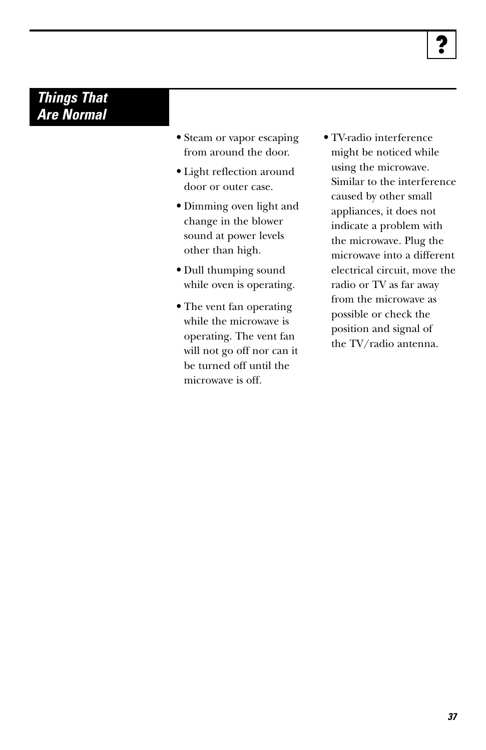### *Things That Are Normal*

- **•** Steam or vapor escaping from around the door.
- **•** Light reflection around door or outer case.
- **•** Dimming oven light and change in the blower sound at power levels other than high.
- **•** Dull thumping sound while oven is operating.
- **•** The vent fan operating while the microwave is operating. The vent fan will not go off nor can it be turned off until the microwave is off.
- **•** TV-radio interference might be noticed while using the microwave. Similar to the interference caused by other small appliances, it does not indicate a problem with the microwave. Plug the microwave into a different electrical circuit, move the radio or TV as far away from the microwave as possible or check the position and signal of the TV/radio antenna.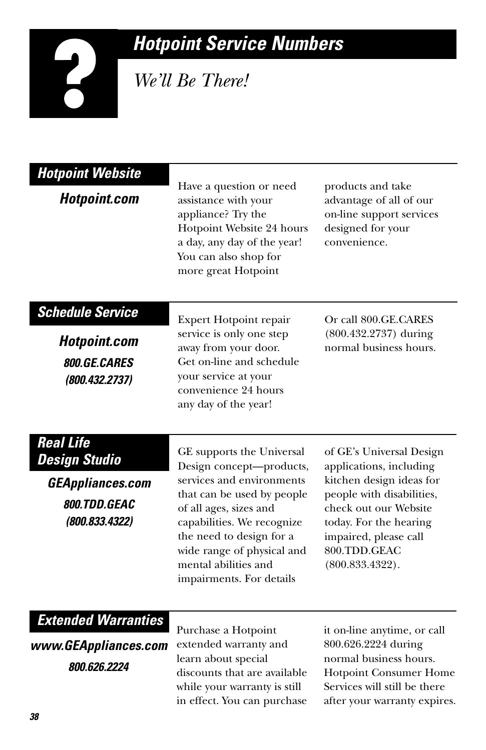# *Hotpoint Service Numbers*

*We'll Be There!*

| <b>Hotpoint Website</b><br><b>Hotpoint.com</b>                                                        | Have a question or need<br>assistance with your<br>appliance? Try the<br>Hotpoint Website 24 hours<br>a day, any day of the year!<br>You can also shop for<br>more great Hotpoint                                                                                                      | products and take<br>advantage of all of our<br>on-line support services<br>designed for your<br>convenience.                                                                                                               |
|-------------------------------------------------------------------------------------------------------|----------------------------------------------------------------------------------------------------------------------------------------------------------------------------------------------------------------------------------------------------------------------------------------|-----------------------------------------------------------------------------------------------------------------------------------------------------------------------------------------------------------------------------|
| <b>Schedule Service</b><br><b>Hotpoint.com</b><br>800.GE.CARES<br>(800.432.2737)                      | Expert Hotpoint repair<br>service is only one step<br>away from your door.<br>Get on-line and schedule<br>your service at your<br>convenience 24 hours<br>any day of the year!                                                                                                         | Or call 800.GE.CARES<br>(800.432.2737) during<br>normal business hours.                                                                                                                                                     |
| <b>Real Life</b><br><b>Design Studio</b><br><b>GEAppliances.com</b><br>800.TDD.GEAC<br>(800.833.4322) | GE supports the Universal<br>Design concept-products,<br>services and environments<br>that can be used by people<br>of all ages, sizes and<br>capabilities. We recognize<br>the need to design for a<br>wide range of physical and<br>mental abilities and<br>impairments. For details | of GE's Universal Design<br>applications, including<br>kitchen design ideas for<br>people with disabilities,<br>check out our Website<br>today. For the hearing<br>impaired, please call<br>800.TDD.GEAC<br>(800.833.4322). |
| <b>Extended Warranties</b><br>www.GEAppliances.com<br>800.626.2224                                    | Purchase a Hotpoint<br>extended warranty and<br>learn about special<br>discounts that are available<br>while your warranty is still                                                                                                                                                    | it on-line anytime, or call<br>800.626.2224 during<br>normal business hours.<br><b>Hotpoint Consumer Home</b><br>Services will still be there                                                                               |

in effect. You can purchase

after your warranty expires.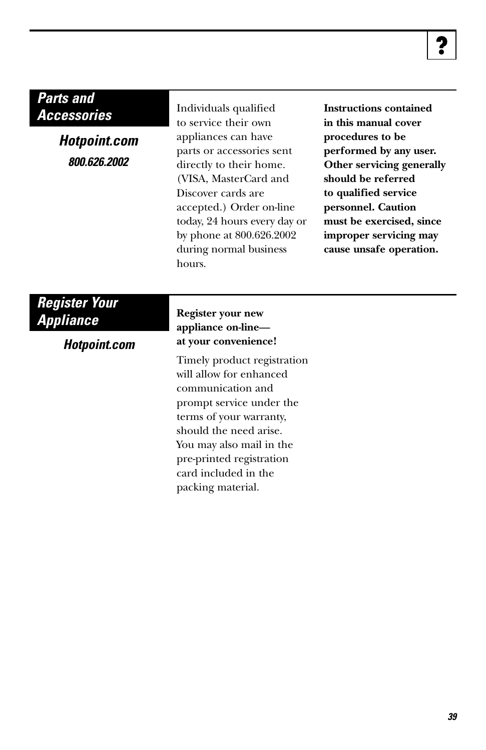### *Parts and Accessories*

*Hotpoint.com 800.626.2002*

Individuals qualified to service their own appliances can have parts or accessories sent directly to their home. (VISA, MasterCard and Discover cards are accepted.) Order on-line today, 24 hours every day or by phone at 800.626.2002 during normal business hours.

**Instructions contained in this manual cover procedures to be performed by any user. Other servicing generally should be referred to qualified service personnel. Caution must be exercised, since improper servicing may cause unsafe operation.**

### *Register Your Appliance*

*Hotpoint.com*

#### **Register your new appliance on-line at your convenience!**

Timely product registration will allow for enhanced communication and prompt service under the terms of your warranty, should the need arise. You may also mail in the pre-printed registration card included in the packing material.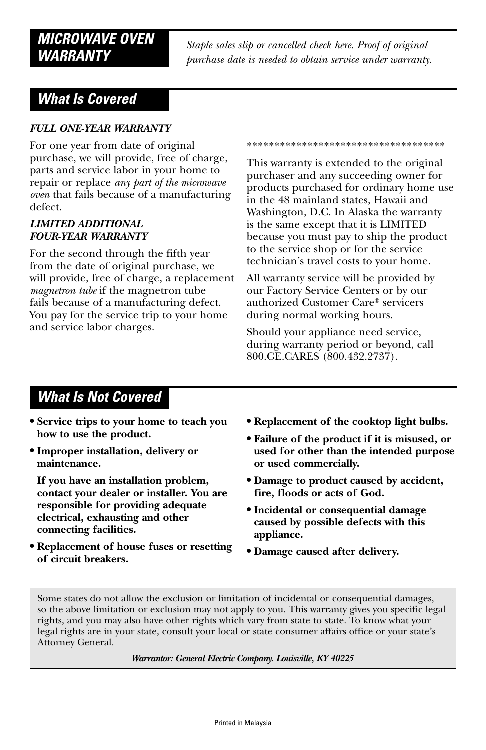### *MICROWAVE OVEN WARRANTY*

*Staple sales slip or cancelled check here. Proof of original purchase date is needed to obtain service under warranty.*

### *What Is Covered*

#### *FULL ONE-YEAR WARRANTY*

For one year from date of original purchase, we will provide, free of charge, parts and service labor in your home to repair or replace *any part of the microwave oven* that fails because of a manufacturing defect.

#### *LIMITED ADDITIONAL FOUR-YEAR WARRANTY*

For the second through the fifth year from the date of original purchase, we will provide, free of charge, a replacement *magnetron tube* if the magnetron tube fails because of a manufacturing defect. You pay for the service trip to your home and service labor charges.

\*\*\*\*\*\*\*\*\*\*\*\*\*\*\*\*\*\*\*\*\*\*\*\*\*\*\*\*\*\*\*\*\*\*\*\*

This warranty is extended to the original purchaser and any succeeding owner for products purchased for ordinary home use in the 48 mainland states, Hawaii and Washington, D.C. In Alaska the warranty is the same except that it is LIMITED because you must pay to ship the product to the service shop or for the service technician's travel costs to your home.

All warranty service will be provided by our Factory Service Centers or by our authorized Customer Care® servicers during normal working hours.

Should your appliance need service, during warranty period or beyond, call 800.GE.CARES (800.432.2737).

### *What Is Not Covered*

- **• Service trips to your home to teach you how to use the product.**
- **• Improper installation, delivery or maintenance.**

**If you have an installation problem, contact your dealer or installer. You are responsible for providing adequate electrical, exhausting and other connecting facilities.**

**• Replacement of house fuses or resetting of circuit breakers.**

- **• Replacement of the cooktop light bulbs.**
- **• Failure of the product if it is misused, or used for other than the intended purpose or used commercially.**
- **• Damage to product caused by accident, fire, floods or acts of God.**
- **• Incidental or consequential damage caused by possible defects with this appliance.**
- **• Damage caused after delivery.**

Some states do not allow the exclusion or limitation of incidental or consequential damages, so the above limitation or exclusion may not apply to you. This warranty gives you specific legal rights, and you may also have other rights which vary from state to state. To know what your legal rights are in your state, consult your local or state consumer affairs office or your state's Attorney General.

*Warrantor: General Electric Company. Louisville, KY 40225*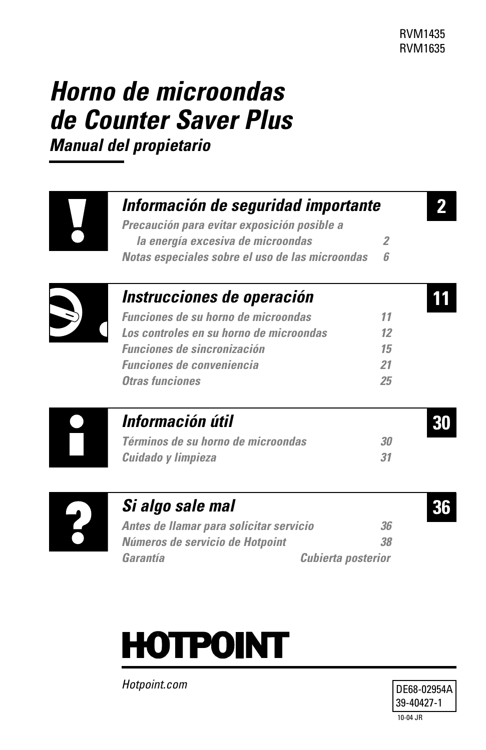**2**

**11**

# *Horno de microondas de Counter Saver Plus*

*Manual del propietario*



### *[Información de seguridad importante](#page-41-0)*

*Precaución para evitar exposición posible a [la energía excesiva de microondas 2](#page-41-0) [Notas especiales sobre el uso de las microondas 6](#page-45-0)*



|  | Instrucciones de operación |  |  |  |
|--|----------------------------|--|--|--|
|  |                            |  |  |  |

| <b>Funciones de su horno de microondas</b> | 11 |
|--------------------------------------------|----|
| Los controles en su horno de microondas    | 12 |
| <i><b>Funciones de sincronización</b></i>  | 15 |
| <b>Funciones de conveniencia</b>           | 21 |
| <b>Otras funciones</b>                     | 25 |



# *[Información útil](#page-69-0)* **30**

*[Términos de su horno de microondas 30](#page-69-0) [Cuidado y limpieza 31](#page-70-0)*



### *[Si algo sale mal](#page-75-0)* **36** *[Antes de llamar para solicitar servicio 36](#page-75-0) [Números de servicio de Hotpoint 38](#page-77-0)*

*[Garantía Cubierta posterior](#page-79-0)*



*Hotpoint.com*



10-04 JR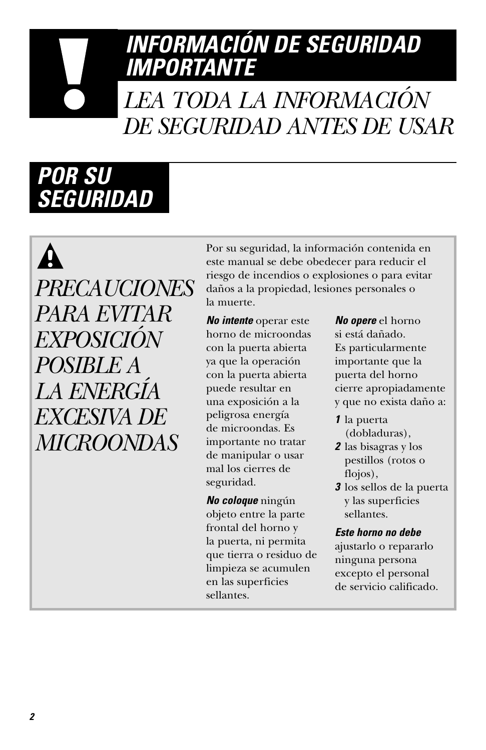# <span id="page-41-0"></span>*INFORMACIÓN DE SEGURIDAD IMPORTANTE*

# *LEA TODA LA INFORMACIÓN DE SEGURIDAD ANTES DE USAR*

# *POR SU SEGURIDAD*

 $\boldsymbol{\Lambda}$ *PRECAUCIONES PARA EVITAR EXPOSICIÓN POSIBLE A LA ENERGÍA EXCESIVA DE MICROONDAS*

Por su seguridad, la información contenida en este manual se debe obedecer para reducir el riesgo de incendios o explosiones o para evitar daños a la propiedad, lesiones personales o la muerte.

*No intente* operar este horno de microondas con la puerta abierta ya que la operación con la puerta abierta puede resultar en una exposición a la peligrosa energía de microondas. Es importante no tratar de manipular o usar mal los cierres de seguridad.

*No coloque* ningún objeto entre la parte frontal del horno y la puerta, ni permita que tierra o residuo de limpieza se acumulen en las superficies sellantes.

*No opere* el horno si está dañado. Es particularmente importante que la puerta del horno cierre apropiadamente y que no exista daño a:

- *1* la puerta (dobladuras),
- *2* las bisagras y los pestillos (rotos o flojos),
- *3* los sellos de la puerta y las superficies sellantes.

#### *Este horno no debe*

ajustarlo o repararlo ninguna persona excepto el personal de servicio calificado.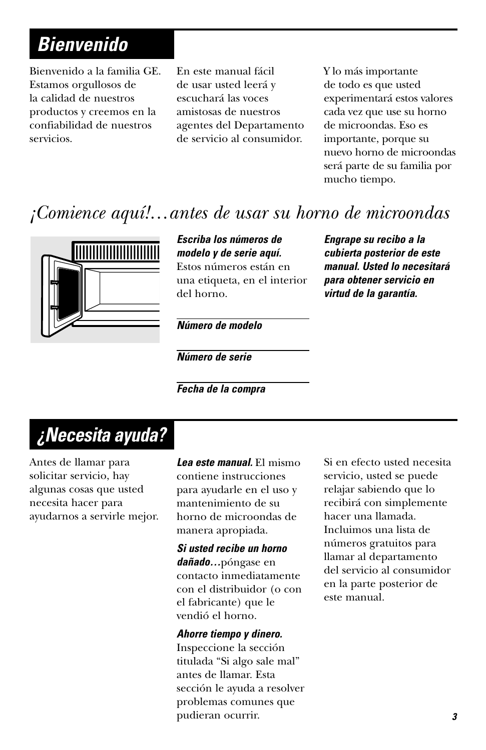# *Bienvenido*

Bienvenido a la familia GE. Estamos orgullosos de la calidad de nuestros productos y creemos en la confiabilidad de nuestros servicios.

En este manual fácil de usar usted leerá y escuchará las voces amistosas de nuestros agentes del Departamento de servicio al consumidor.

Y lo más importante de todo es que usted experimentará estos valores cada vez que use su horno de microondas. Eso es importante, porque su nuevo horno de microondas será parte de su familia por mucho tiempo.

# *¡Comience aquí!…antes de usar su horno de microondas*



#### *Escriba los números de modelo y de serie aquí.*

Estos números están en una etiqueta, en el interior del horno.

*Número de modelo*

*Número de serie*

*Fecha de la compra*

# *¿Necesita ayuda?*

Antes de llamar para solicitar servicio, hay algunas cosas que usted necesita hacer para ayudarnos a servirle mejor. *Lea este manual.* El mismo contiene instrucciones para ayudarle en el uso y mantenimiento de su horno de microondas de manera apropiada.

#### *Si usted recibe un horno*

*dañado…*póngase en contacto inmediatamente con el distribuidor (o con el fabricante) que le vendió el horno.

#### *Ahorre tiempo y dinero.*

Inspeccione la sección titulada "Si algo sale mal" antes de llamar. Esta sección le ayuda a resolver problemas comunes que pudieran ocurrir.

*manual. Usted lo necesitará para obtener servicio en virtud de la garantía.*

*Engrape su recibo a la cubierta posterior de este*

Si en efecto usted necesita servicio, usted se puede relajar sabiendo que lo recibirá con simplemente hacer una llamada. Incluimos una lista de números gratuitos para llamar al departamento del servicio al consumidor en la parte posterior de este manual.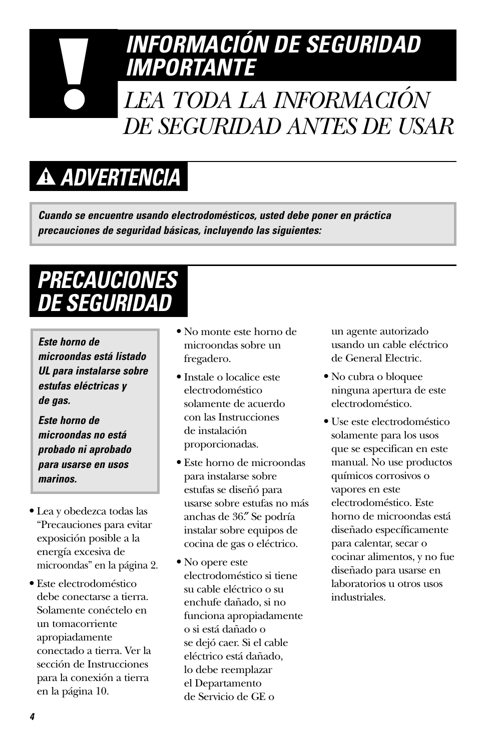# *INFORMACIÓN DE SEGURIDAD IMPORTANTE LEA TODA LA INFORMACIÓN DE SEGURIDAD ANTES DE USAR*

# *ADVERTENCIA*

*Cuando se encuentre usando electrodomésticos, usted debe poner en práctica precauciones de seguridad básicas, incluyendo las siguientes:*

# *PRECAUCIONES DE SEGURIDAD*

*Este horno de microondas está listado UL para instalarse sobre estufas eléctricas y de gas.* 

*Este horno de microondas no está probado ni aprobado para usarse en usos marinos.*

- **•** Lea y obedezca todas las "Precauciones para evitar exposición posible a la energía excesiva de microondas" en la página 2.
- **•** Este electrodoméstico debe conectarse a tierra. Solamente conéctelo en un tomacorriente apropiadamente conectado a tierra. Ver la sección de Instrucciones para la conexión a tierra en la página 10.
- **•** No monte este horno de microondas sobre un fregadero.
- **•** Instale o localice este electrodoméstico solamente de acuerdo con las Instrucciones de instalación proporcionadas.
- **•** Este horno de microondas para instalarse sobre estufas se diseñó para usarse sobre estufas no más anchas de 36.″ Se podría instalar sobre equipos de cocina de gas o eléctrico.
- **•** No opere este electrodoméstico si tiene su cable eléctrico o su enchufe dañado, si no funciona apropiadamente o si está dañado o se dejó caer. Si el cable eléctrico está dañado, lo debe reemplazar el Departamento de Servicio de GE o

un agente autorizado usando un cable eléctrico de General Electric.

- **•** No cubra o bloquee ninguna apertura de este electrodoméstico.
- **•** Use este electrodoméstico solamente para los usos que se especifican en este manual. No use productos químicos corrosivos o vapores en este electrodoméstico. Este horno de microondas está diseñado específicamente para calentar, secar o cocinar alimentos, y no fue diseñado para usarse en laboratorios u otros usos industriales.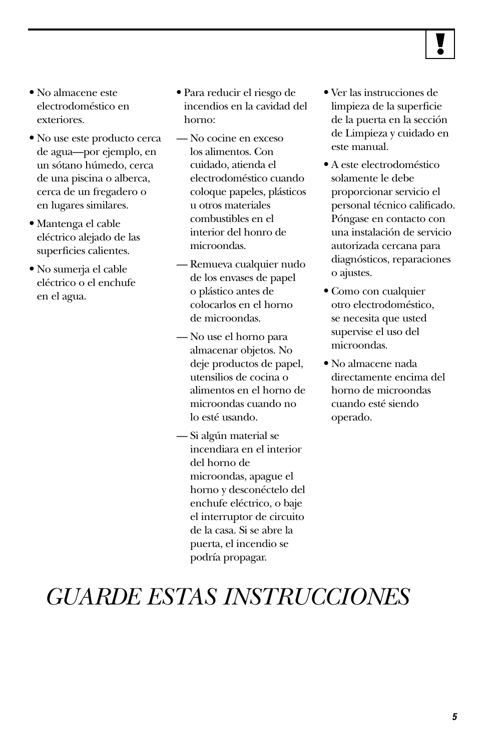

- **•** No almacene este electrodoméstico en exteriores.
- **•** No use este producto cerca de agua—por ejemplo, en un sótano húmedo, cerca de una piscina o alberca, cerca de un fregadero o en lugares similares.
- **•** Mantenga el cable eléctrico alejado de las superficies calientes.
- **•** No sumerja el cable eléctrico o el enchufe en el agua.
- **•** Para reducir el riesgo de incendios en la cavidad del horno:
- No cocine en exceso los alimentos. Con cuidado, atienda el electrodoméstico cuando coloque papeles, plásticos u otros materiales combustibles en el interior del honro de microondas.
- Remueva cualquier nudo de los envases de papel o plástico antes de colocarlos en el horno de microondas.
- No use el horno para almacenar objetos. No deje productos de papel, utensilios de cocina o alimentos en el horno de microondas cuando no lo esté usando.
- Si algún material se incendiara en el interior del horno de microondas, apague el horno y desconéctelo del enchufe eléctrico, o baje el interruptor de circuito de la casa. Si se abre la puerta, el incendio se podría propagar.
- **•** Ver las instrucciones de limpieza de la superficie de la puerta en la sección de Limpieza y cuidado en este manual.
- **•** A este electrodoméstico solamente le debe proporcionar servicio el personal técnico calificado. Póngase en contacto con una instalación de servicio autorizada cercana para diagnósticos, reparaciones o ajustes.
- **•** Como con cualquier otro electrodoméstico, se necesita que usted supervise el uso del microondas.
- **•** No almacene nada directamente encima del horno de microondas cuando esté siendo operado.

# *GUARDE ESTAS INSTRUCCIONES*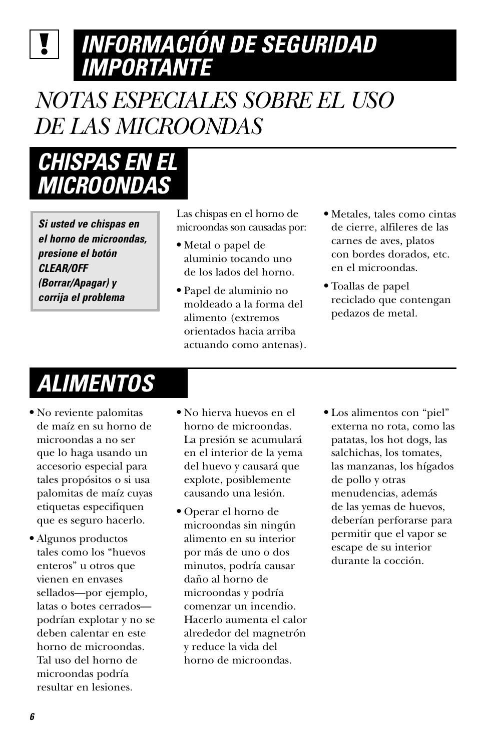# <span id="page-45-0"></span>*INFORMACIÓN DE SEGURIDAD IMPORTANTE*

# *NOTAS ESPECIALES SOBRE EL USO DE LAS MICROONDAS*

# *CHISPAS EN EL MICROONDAS*

*Si usted ve chispas en el horno de microondas, presione el botón CLEAR/OFF (Borrar/Apagar) y corrija el problema*

Las chispas en el horno de microondas son causadas por:

- **•** Metal o papel de aluminio tocando uno de los lados del horno.
- **•** Papel de aluminio no moldeado a la forma del alimento (extremos orientados hacia arriba actuando como antenas).
- **•** Metales, tales como cintas de cierre, alfileres de las carnes de aves, platos con bordes dorados, etc. en el microondas.
- **•** Toallas de papel reciclado que contengan pedazos de metal.

# *ALIMENTOS*

- **•** No reviente palomitas de maíz en su horno de microondas a no ser que lo haga usando un accesorio especial para tales propósitos o si usa palomitas de maíz cuyas etiquetas especifiquen que es seguro hacerlo.
- **•** Algunos productos tales como los "huevos enteros" u otros que vienen en envases sellados—por ejemplo, latas o botes cerrados podrían explotar y no se deben calentar en este horno de microondas. Tal uso del horno de microondas podría resultar en lesiones.
- **•** No hierva huevos en el horno de microondas. La presión se acumulará en el interior de la yema del huevo y causará que explote, posiblemente causando una lesión.
- **•** Operar el horno de microondas sin ningún alimento en su interior por más de uno o dos minutos, podría causar daño al horno de microondas y podría comenzar un incendio. Hacerlo aumenta el calor alrededor del magnetrón y reduce la vida del horno de microondas.
- **•** Los alimentos con "piel" externa no rota, como las patatas, los hot dogs, las salchichas, los tomates, las manzanas, los hígados de pollo y otras menudencias, además de las yemas de huevos, deberían perforarse para permitir que el vapor se escape de su interior durante la cocción.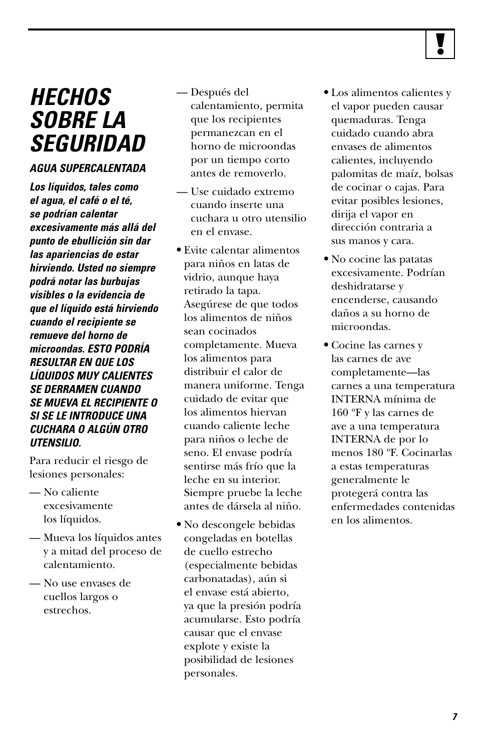

# *HECHOS SOBRE LA SEGURIDAD*

#### *AGUA SUPERCALENTADA*

*Los líquidos, tales como el agua, el café o el té, se podrían calentar excesivamente más allá del punto de ebullición sin dar las apariencias de estar hirviendo. Usted no siempre podrá notar las burbujas visibles o la evidencia de que el líquido está hirviendo cuando el recipiente se remueve del horno de microondas. ESTO PODRÍA RESULTAR EN QUE LOS LÍQUIDOS MUY CALIENTES SE DERRAMEN CUANDO SE MUEVA EL RECIPIENTE O SI SE LE INTRODUCE UNA CUCHARA O ALGÚN OTRO UTENSILIO.*

Para reducir el riesgo de lesiones personales:

- No caliente excesivamente los líquidos.
- Mueva los líquidos antes y a mitad del proceso de calentamiento.
- No use envases de cuellos largos o estrechos.
- Después del calentamiento, permita que los recipientes permanezcan en el horno de microondas por un tiempo corto antes de removerlo.
- Use cuidado extremo cuando inserte una cuchara u otro utensilio en el envase.
- **•** Evite calentar alimentos para niños en latas de vidrio, aunque haya retirado la tapa. Asegúrese de que todos los alimentos de niños sean cocinados completamente. Mueva los alimentos para distribuir el calor de manera uniforme. Tenga cuidado de evitar que los alimentos hiervan cuando caliente leche para niños o leche de seno. El envase podría sentirse más frío que la leche en su interior. Siempre pruebe la leche antes de dársela al niño.
- **•** No descongele bebidas congeladas en botellas de cuello estrecho (especialmente bebidas carbonatadas), aún si el envase está abierto, ya que la presión podría acumularse. Esto podría causar que el envase explote y existe la posibilidad de lesiones personales.
- **•** Los alimentos calientes y el vapor pueden causar quemaduras. Tenga cuidado cuando abra envases de alimentos calientes, incluyendo palomitas de maíz, bolsas de cocinar o cajas. Para evitar posibles lesiones, dirija el vapor en dirección contraria a sus manos y cara.
- **•** No cocine las patatas excesivamente. Podrían deshidratarse y encenderse, causando daños a su horno de microondas.
- **•** Cocine las carnes y las carnes de ave completamente—las carnes a una temperatura INTERNA mínima de 160 ºF y las carnes de ave a una temperatura INTERNA de por lo menos 180 ºF. Cocinarlas a estas temperaturas generalmente le protegerá contra las enfermedades contenidas en los alimentos.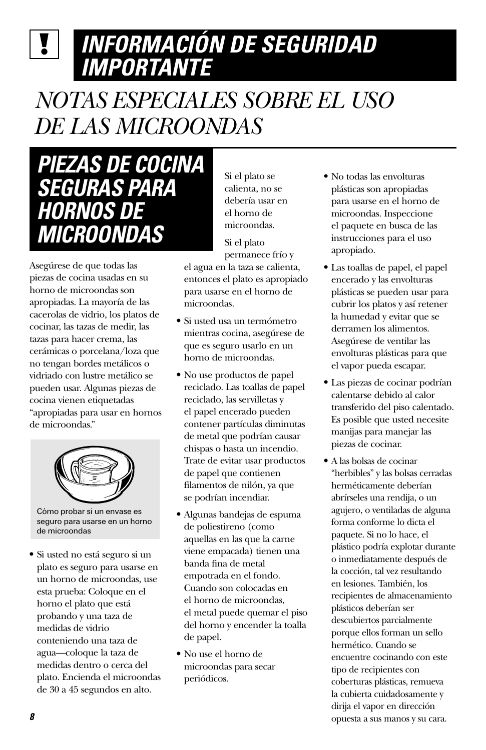### *INFORMACIÓN DE SEGURIDAD*  $\mathbf{V}$ *IMPORTANTE*

# *NOTAS ESPECIALES SOBRE EL USO DE LAS MICROONDAS*

*PIEZAS DE COCINA SEGURAS PARA HORNOS DE MICROONDAS*

Asegúrese de que todas las piezas de cocina usadas en su horno de microondas son apropiadas. La mayoría de las cacerolas de vidrio, los platos de cocinar, las tazas de medir, las tazas para hacer crema, las cerámicas o porcelana/loza que no tengan bordes metálicos o vidriado con lustre metálico se pueden usar. Algunas piezas de cocina vienen etiquetadas "apropiadas para usar en hornos de microondas."



Cómo probar si un envase es seguro para usarse en un horno de microondas

**•** Si usted no está seguro si un plato es seguro para usarse en un horno de microondas, use esta prueba: Coloque en el horno el plato que está probando y una taza de medidas de vidrio conteniendo una taza de agua—coloque la taza de medidas dentro o cerca del plato. Encienda el microondas de 30 a 45 segundos en alto.

Si el plato se calienta, no se debería usar en el horno de microondas.

Si el plato

permanece frío y el agua en la taza se calienta, entonces el plato es apropiado para usarse en el horno de microondas.

- **•** Si usted usa un termómetro mientras cocina, asegúrese de que es seguro usarlo en un horno de microondas.
- **•** No use productos de papel reciclado. Las toallas de papel reciclado, las servilletas y el papel encerado pueden contener partículas diminutas de metal que podrían causar chispas o hasta un incendio. Trate de evitar usar productos de papel que contienen filamentos de nilón, ya que se podrían incendiar.
- **•** Algunas bandejas de espuma de poliestireno (como aquellas en las que la carne viene empacada) tienen una banda fina de metal empotrada en el fondo. Cuando son colocadas en el horno de microondas, el metal puede quemar el piso del horno y encender la toalla de papel.
- **•** No use el horno de microondas para secar periódicos.
- **•** No todas las envolturas plásticas son apropiadas para usarse en el horno de microondas. Inspeccione el paquete en busca de las instrucciones para el uso apropiado.
- **•** Las toallas de papel, el papel encerado y las envolturas plásticas se pueden usar para cubrir los platos y así retener la humedad y evitar que se derramen los alimentos. Asegúrese de ventilar las envolturas plásticas para que el vapor pueda escapar.
- **•** Las piezas de cocinar podrían calentarse debido al calor transferido del piso calentado. Es posible que usted necesite manijas para manejar las piezas de cocinar.
- **•** A las bolsas de cocinar "herbibles" y las bolsas cerradas herméticamente deberían abrírseles una rendija, o un agujero, o ventiladas de alguna forma conforme lo dicta el paquete. Si no lo hace, el plástico podría explotar durante o inmediatamente después de la cocción, tal vez resultando en lesiones. También, los recipientes de almacenamiento plásticos deberían ser descubiertos parcialmente porque ellos forman un sello hermético. Cuando se encuentre cocinando con este tipo de recipientes con coberturas plásticas, remueva la cubierta cuidadosamente y dirija el vapor en dirección opuesta a sus manos y su cara.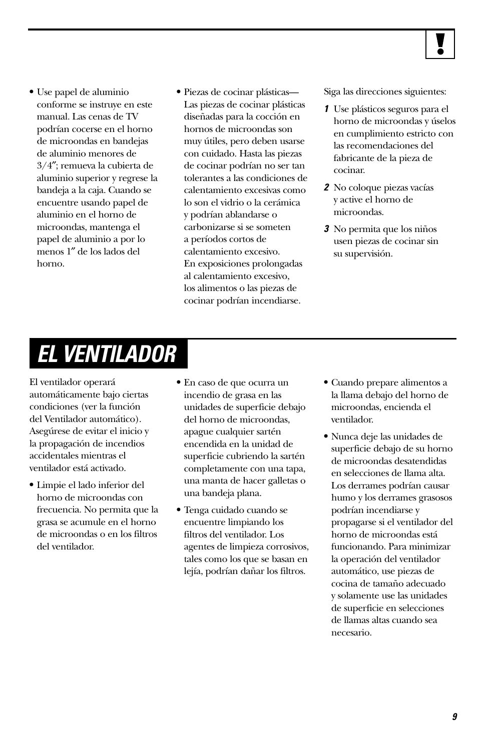

- **•** Use papel de aluminio conforme se instruye en este manual. Las cenas de TV podrían cocerse en el horno de microondas en bandejas de aluminio menores de 3/4″; remueva la cubierta de aluminio superior y regrese la bandeja a la caja. Cuando se encuentre usando papel de aluminio en el horno de microondas, mantenga el papel de aluminio a por lo menos 1″ de los lados del horno.
- **•** Piezas de cocinar plásticas— Las piezas de cocinar plásticas diseñadas para la cocción en hornos de microondas son muy útiles, pero deben usarse con cuidado. Hasta las piezas de cocinar podrían no ser tan tolerantes a las condiciones de calentamiento excesivas como lo son el vidrio o la cerámica y podrían ablandarse o carbonizarse si se someten a períodos cortos de calentamiento excesivo. En exposiciones prolongadas al calentamiento excesivo, los alimentos o las piezas de cocinar podrían incendiarse.

Siga las direcciones siguientes:

- *1* Use plásticos seguros para el horno de microondas y úselos en cumplimiento estricto con las recomendaciones del fabricante de la pieza de cocinar.
- *2* No coloque piezas vacías y active el horno de microondas.
- *3* No permita que los niños usen piezas de cocinar sin su supervisión.

# *EL VENTILADOR*

El ventilador operará automáticamente bajo ciertas condiciones (ver la función del Ventilador automático). Asegúrese de evitar el inicio y la propagación de incendios accidentales mientras el ventilador está activado.

- **•** Limpie el lado inferior del horno de microondas con frecuencia. No permita que la grasa se acumule en el horno de microondas o en los filtros del ventilador.
- **•** En caso de que ocurra un incendio de grasa en las unidades de superficie debajo del horno de microondas, apague cualquier sartén encendida en la unidad de superficie cubriendo la sartén completamente con una tapa, una manta de hacer galletas o una bandeja plana.
- **•** Tenga cuidado cuando se encuentre limpiando los filtros del ventilador. Los agentes de limpieza corrosivos, tales como los que se basan en lejía, podrían dañar los filtros.
- **•** Cuando prepare alimentos a la llama debajo del horno de microondas, encienda el ventilador.
- **•** Nunca deje las unidades de superficie debajo de su horno de microondas desatendidas en selecciones de llama alta. Los derrames podrían causar humo y los derrames grasosos podrían incendiarse y propagarse si el ventilador del horno de microondas está funcionando. Para minimizar la operación del ventilador automático, use piezas de cocina de tamaño adecuado y solamente use las unidades de superficie en selecciones de llamas altas cuando sea necesario.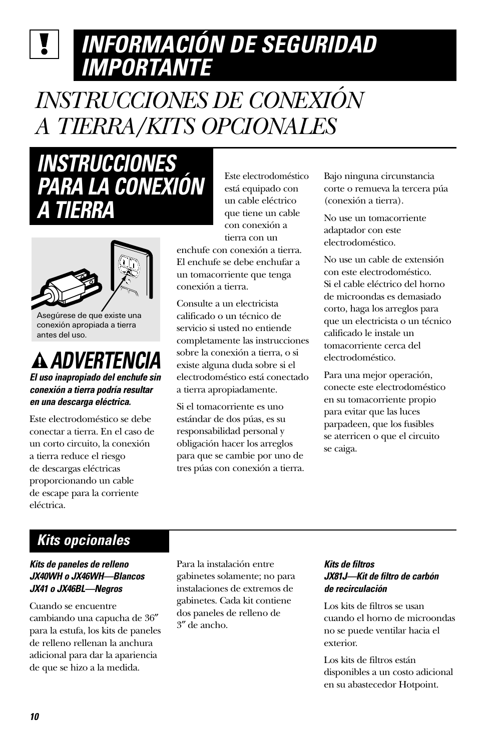# *INFORMACIÓN DE SEGURIDAD IMPORTANTE*

# *INSTRUCCIONES DE CONEXIÓN A TIERRA/KITS OPCIONALES*

*INSTRUCCIONES PARA LA CONEXIÓN A TIERRA*



Asegúrese de que existe una conexión apropiada a tierra antes del uso.

# *ADVERTENCIA*

*El uso inapropiado del enchufe sin conexión a tierra podría resultar en una descarga eléctrica.*

Este electrodoméstico se debe conectar a tierra. En el caso de un corto circuito, la conexión a tierra reduce el riesgo de descargas eléctricas proporcionando un cable de escape para la corriente eléctrica.

Este electrodoméstico está equipado con un cable eléctrico que tiene un cable con conexión a tierra con un

enchufe con conexión a tierra. El enchufe se debe enchufar a un tomacorriente que tenga conexión a tierra.

Consulte a un electricista calificado o un técnico de servicio si usted no entiende completamente las instrucciones sobre la conexión a tierra, o si existe alguna duda sobre si el electrodoméstico está conectado a tierra apropiadamente.

Si el tomacorriente es uno estándar de dos púas, es su responsabilidad personal y obligación hacer los arreglos para que se cambie por uno de tres púas con conexión a tierra. Bajo ninguna circunstancia corte o remueva la tercera púa (conexión a tierra).

No use un tomacorriente adaptador con este electrodoméstico.

No use un cable de extensión con este electrodoméstico. Si el cable eléctrico del horno de microondas es demasiado corto, haga los arreglos para que un electricista o un técnico calificado le instale un tomacorriente cerca del electrodoméstico.

Para una mejor operación, conecte este electrodoméstico en su tomacorriente propio para evitar que las luces parpadeen, que los fusibles se aterricen o que el circuito se caiga.

### *Kits opcionales*

#### *Kits de paneles de relleno JX40WH o JX46WH—Blancos JX41 o JX46BL—Negros*

Cuando se encuentre cambiando una capucha de 36″ para la estufa, los kits de paneles de relleno rellenan la anchura adicional para dar la apariencia de que se hizo a la medida.

Para la instalación entre gabinetes solamente; no para instalaciones de extremos de gabinetes. Cada kit contiene dos paneles de relleno de 3″ de ancho.

#### *Kits de filtros JX81J—Kit de filtro de carbón de recirculación*

Los kits de filtros se usan cuando el horno de microondas no se puede ventilar hacia el exterior.

Los kits de filtros están disponibles a un costo adicional en su abastecedor Hotpoint.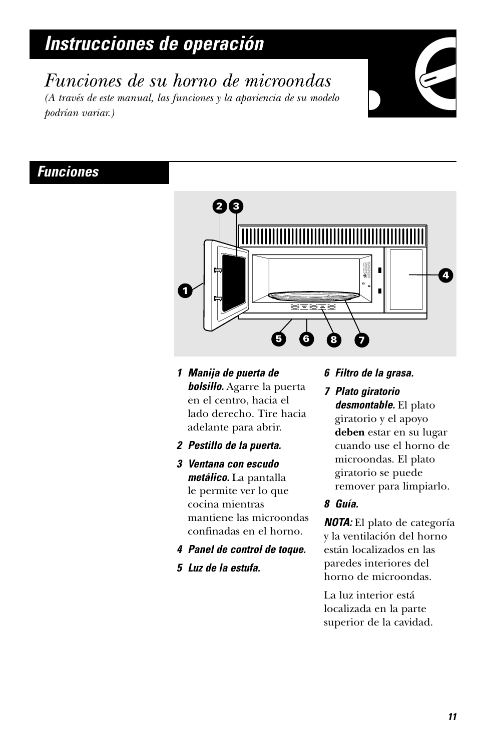<span id="page-50-0"></span>*Funciones de su horno de microondas (A través de este manual, las funciones y la apariencia de su modelo podrían variar.)*

### *Funciones*



- *1 Manija de puerta de bolsillo.* Agarre la puerta en el centro, hacia el lado derecho. Tire hacia adelante para abrir.
- *2 Pestillo de la puerta.*
- *3 Ventana con escudo metálico.* La pantalla le permite ver lo que cocina mientras mantiene las microondas confinadas en el horno.
- *4 Panel de control de toque.*
- *5 Luz de la estufa.*

#### *6 Filtro de la grasa.*

*7 Plato giratorio desmontable.* El plato giratorio y el apoyo **deben** estar en su lugar cuando use el horno de microondas. El plato giratorio se puede remover para limpiarlo.

#### *8 Guía.*

*NOTA:* El plato de categoría y la ventilación del horno están localizados en las paredes interiores del horno de microondas.

La luz interior está localizada en la parte superior de la cavidad.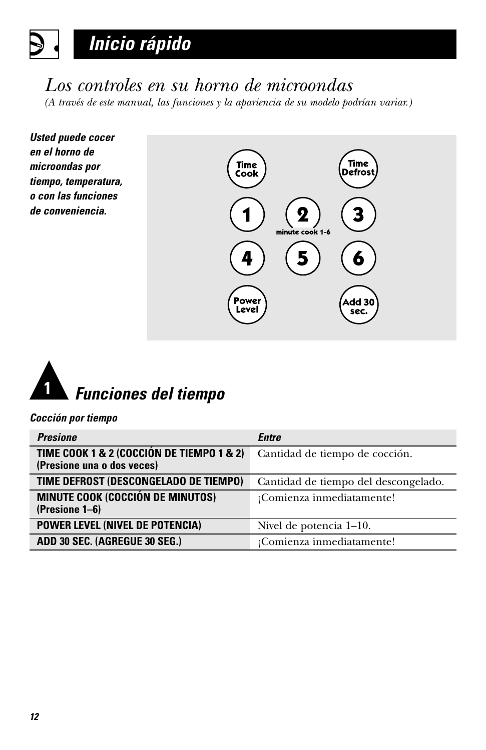## <span id="page-51-0"></span>*Los controles en su horno de microondas*

*(A través de este manual, las funciones y la apariencia de su modelo podrían variar.)*







#### *Cocción por tiempo*

| <b>Presione</b>                                                         | <b>Entre</b>                         |
|-------------------------------------------------------------------------|--------------------------------------|
| TIME COOK 1 & 2 (COCCIÓN DE TIEMPO 1 & 2)<br>(Presione una o dos veces) | Cantidad de tiempo de cocción.       |
| TIME DEFROST (DESCONGELADO DE TIEMPO)                                   | Cantidad de tiempo del descongelado. |
| <b>MINUTE COOK (COCCIÓN DE MINUTOS)</b><br>(Presione 1–6)               | ¡Comienza inmediatamente!            |
| <b>POWER LEVEL (NIVEL DE POTENCIA)</b>                                  | Nivel de potencia 1–10.              |
| ADD 30 SEC. (AGREGUE 30 SEG.)                                           | ¡Comienza inmediatamente!            |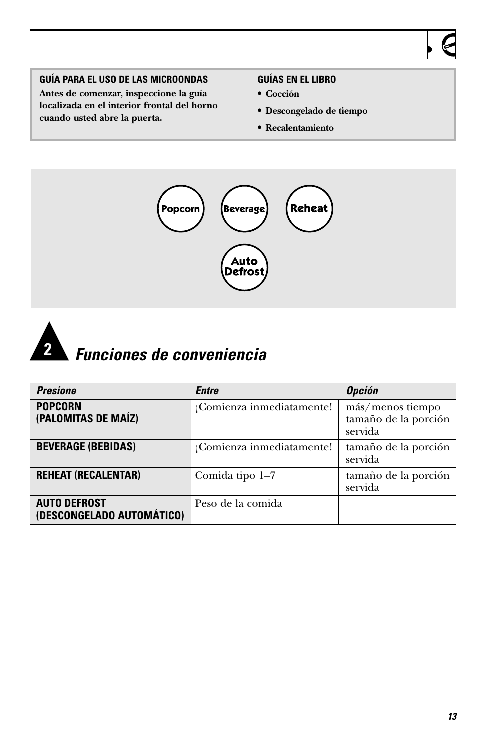### **GUÍA PARA EL USO DE LAS MICROONDAS**

**Antes de comenzar, inspeccione la guía localizada en el interior frontal del horno cuando usted abre la puerta.**

#### **GUÍAS EN EL LIBRO**

- **• Cocción**
- **• Descongelado de tiempo**
- **• Recalentamiento**





| <b>Presione</b>                                  | Entre                     | <b>Opción</b>                                       |
|--------------------------------------------------|---------------------------|-----------------------------------------------------|
| <b>POPCORN</b><br>(PALOMITAS DE MAÍZ)            | ¡Comienza inmediatamente! | más/menos tiempo<br>tamaño de la porción<br>servida |
| <b>BEVERAGE (BEBIDAS)</b>                        | ¡Comienza inmediatamente! | tamaño de la porción<br>servida                     |
| <b>REHEAT (RECALENTAR)</b>                       | Comida tipo 1-7           | tamaño de la porción<br>servida                     |
| <b>AUTO DEFROST</b><br>(DESCONGELADO AUTOMÁTICO) | Peso de la comida         |                                                     |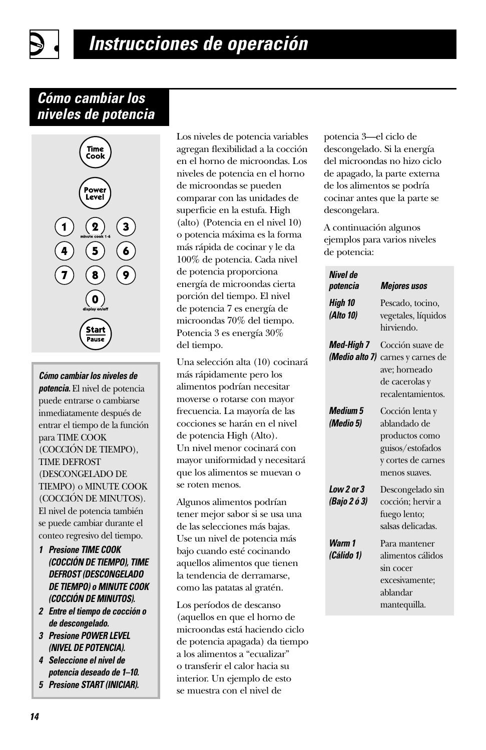### *Cómo cambiar los niveles de potencia*



*Cómo cambiar los niveles de potencia.* El nivel de potencia puede entrarse o cambiarse inmediatamente después de entrar el tiempo de la función para TIME COOK (COCCIÓN DE TIEMPO), TIME DEFROST (DESCONGELADO DE TIEMPO) o MINUTE COOK (COCCIÓN DE MINUTOS). El nivel de potencia también se puede cambiar durante el conteo regresivo del tiempo.

- *1 Presione TIME COOK (COCCIÓN DE TIEMPO), TIME DEFROST (DESCONGELADO DE TIEMPO) o MINUTE COOK (COCCIÓN DE MINUTOS).*
- *2 Entre el tiempo de cocción o de descongelado.*
- *3 Presione POWER LEVEL (NIVEL DE POTENCIA).*
- *4 Seleccione el nivel de potencia deseado de 1–10.*
- *5 Presione START (INICIAR).*

Los niveles de potencia variables agregan flexibilidad a la cocción en el horno de microondas. Los niveles de potencia en el horno de microondas se pueden comparar con las unidades de superficie en la estufa. High (alto) (Potencia en el nivel 10) o potencia máxima es la forma más rápida de cocinar y le da 100% de potencia. Cada nivel de potencia proporciona energía de microondas cierta porción del tiempo. El nivel de potencia 7 es energía de microondas 70% del tiempo. Potencia 3 es energía 30% del tiempo.

Una selección alta (10) cocinará más rápidamente pero los alimentos podrían necesitar moverse o rotarse con mayor frecuencia. La mayoría de las cocciones se harán en el nivel de potencia High (Alto). Un nivel menor cocinará con mayor uniformidad y necesitará que los alimentos se muevan o se roten menos.

Algunos alimentos podrían tener mejor sabor si se usa una de las selecciones más bajas. Use un nivel de potencia más bajo cuando esté cocinando aquellos alimentos que tienen la tendencia de derramarse, como las patatas al gratén.

Los períodos de descanso (aquellos en que el horno de microondas está haciendo ciclo de potencia apagada) da tiempo a los alimentos a "ecualizar" o transferir el calor hacia su interior. Un ejemplo de esto se muestra con el nivel de

potencia 3—el ciclo de descongelado. Si la energía del microondas no hizo ciclo de apagado, la parte externa de los alimentos se podría cocinar antes que la parte se descongelara.

A continuación algunos ejemplos para varios niveles de potencia:

| Nivel de<br>potencia                | <b>Mejores usos</b>                                                                                          |
|-------------------------------------|--------------------------------------------------------------------------------------------------------------|
| High 10<br>(Alto 10)                | Pescado, tocino,<br>vegetales, líquidos<br>hirviendo.                                                        |
| <b>Med-High 7</b><br>(Medio alto 7) | Cocción suave de<br>carnes y carnes de<br>ave; horneado<br>de cacerolas y<br>recalentamientos.               |
| <b>Medium 5</b><br>(Medio 5)        | Cocción lenta y<br>ablandado de<br>productos como<br>guisos/estofados<br>y cortes de carnes<br>menos suaves. |
| Low 2 or 3<br>(Bajo 2 ó 3)          | Descongelado sin<br>cocción; hervir a<br>fuego lento;<br>salsas delicadas.                                   |
| Warm 1<br>(Cálido 1)                | Para mantener<br>alimentos cálidos<br>sin cocer<br>excesivamente;<br>ablandar<br>mantequilla.                |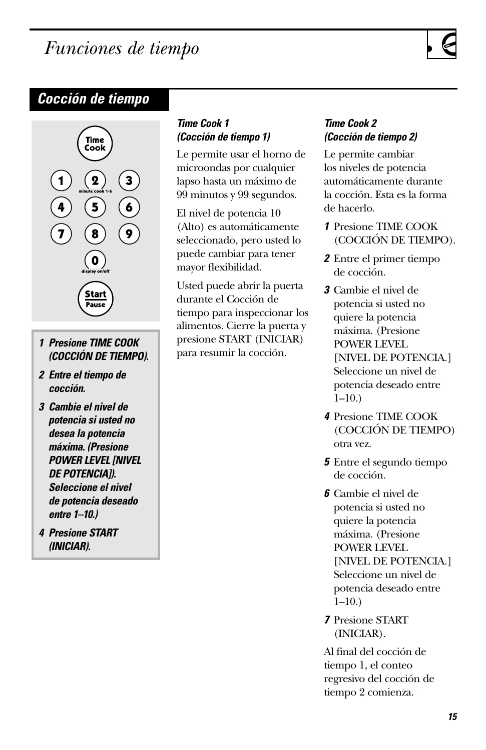# <span id="page-54-0"></span>*Funciones de tiempo*

### *Cocción de tiempo*



- *1 Presione TIME COOK (COCCIÓN DE TIEMPO).*
- *2 Entre el tiempo de cocción.*
- *3 Cambie el nivel de potencia si usted no desea la potencia máxima. (Presione POWER LEVEL [NIVEL DE POTENCIA]). Seleccione el nivel de potencia deseado entre 1–10.)*
- *4 Presione START (INICIAR).*

### *Time Cook 1 (Cocción de tiempo 1)*

Le permite usar el horno de microondas por cualquier lapso hasta un máximo de 99 minutos y 99 segundos.

El nivel de potencia 10 (Alto) es automáticamente seleccionado, pero usted lo puede cambiar para tener mayor flexibilidad.

Usted puede abrir la puerta durante el Cocción de tiempo para inspeccionar los alimentos. Cierre la puerta y presione START (INICIAR) para resumir la cocción.

### *Time Cook 2 (Cocción de tiempo 2)*

Le permite cambiar los niveles de potencia automáticamente durante la cocción. Esta es la forma de hacerlo.

- *1* Presione TIME COOK (COCCIÓN DE TIEMPO).
- *2* Entre el primer tiempo de cocción.
- *3* Cambie el nivel de potencia si usted no quiere la potencia máxima. (Presione POWER LEVEL [NIVEL DE POTENCIA.] Seleccione un nivel de potencia deseado entre 1–10.)
- *4* Presione TIME COOK (COCCIÓN DE TIEMPO) otra vez.
- *5* Entre el segundo tiempo de cocción.
- *6* Cambie el nivel de potencia si usted no quiere la potencia máxima. (Presione POWER LEVEL [NIVEL DE POTENCIA.] Seleccione un nivel de potencia deseado entre  $1-10.$ )
- *7* Presione START (INICIAR).

Al final del cocción de tiempo 1, el conteo regresivo del cocción de tiempo 2 comienza.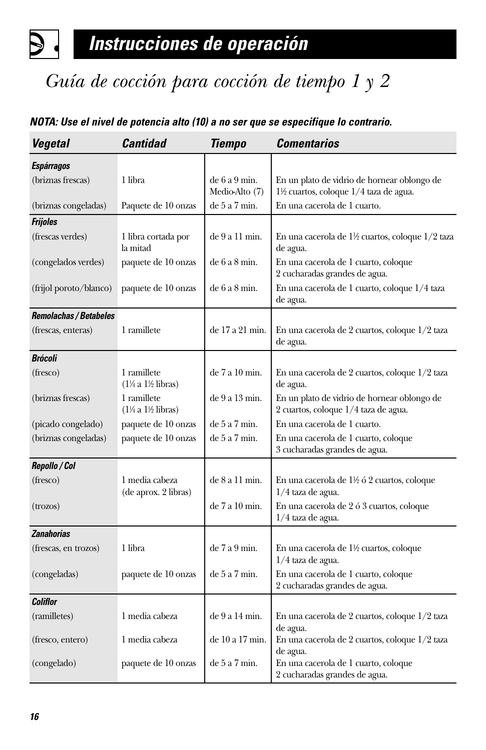# *Guía de cocción para cocción de tiempo 1 y 2*

#### *NOTA: Use el nivel de potencia alto (10) a no ser que se especifique lo contrario.*

| <b>Vegetal</b>                | <b>Cantidad</b>                                       | <b>Tiempo</b>                  | <b>Comentarios</b>                                                                   |
|-------------------------------|-------------------------------------------------------|--------------------------------|--------------------------------------------------------------------------------------|
| <b>Espárragos</b>             |                                                       |                                |                                                                                      |
| (briznas frescas)             | 1 libra                                               | de 6a 9 min.<br>Medio-Alto (7) | En un plato de vidrio de hornear oblongo de<br>1½ cuartos, coloque 1/4 taza de agua. |
| (briznas congeladas)          | Paquete de 10 onzas                                   | de 5a 7 min.                   | En una cacerola de 1 cuarto.                                                         |
| <b>Frijoles</b>               |                                                       |                                |                                                                                      |
| (frescas verdes)              | 1 libra cortada por<br>la mitad                       | de 9 a 11 min.                 | En una cacerola de 1½ cuartos, coloque 1/2 taza<br>de agua.                          |
| (congelados verdes)           | paquete de 10 onzas                                   | de 6a 8 min.                   | En una cacerola de 1 cuarto, coloque<br>2 cucharadas grandes de agua.                |
| (frijol poroto/blanco)        | paquete de 10 onzas                                   | de 6a 8 min.                   | En una cacerola de 1 cuarto, coloque 1/4 taza<br>de agua.                            |
| <b>Remolachas / Betabeles</b> |                                                       |                                |                                                                                      |
| (frescas, enteras)            | 1 ramillete                                           | de 17 a 21 min.                | En una cacerola de 2 cuartos, coloque 1/2 taza<br>de agua.                           |
| <b>Brócoli</b>                |                                                       |                                |                                                                                      |
| (fresco)                      | 1 ramillete<br>$(1\% a 1\% libras)$                   | de 7 a 10 min.                 | En una cacerola de 2 cuartos, coloque 1/2 taza<br>de agua.                           |
| (briznas frescas)             | 1 ramillete<br>$(1\frac{1}{4} a 1\frac{1}{2}$ libras) | de 9 a 13 min.                 | En un plato de vidrio de hornear oblongo de<br>2 cuartos, coloque 1/4 taza de agua.  |
| (picado congelado)            | paquete de 10 onzas                                   | de 5a 7 min.                   | En una cacerola de 1 cuarto.                                                         |
| (briznas congeladas)          | paquete de 10 onzas                                   | de 5a 7 min.                   | En una cacerola de 1 cuarto, coloque<br>3 cucharadas grandes de agua.                |
| Repollo / Col                 |                                                       |                                |                                                                                      |
| (fresco)                      | 1 media cabeza<br>(de aprox. 2 libras)                | de 8 a 11 min.                 | En una cacerola de 1½ ó 2 cuartos, coloque<br>$1/4$ taza de agua.                    |
| (trozos)                      |                                                       | de 7 a 10 min.                 | En una cacerola de 2 ó 3 cuartos, coloque<br>$1/4$ taza de agua.                     |
| <b>Zanahorias</b>             |                                                       |                                |                                                                                      |
| (frescas, en trozos)          | 1 libra                                               | de 7a 9 min.                   | En una cacerola de 1½ cuartos, coloque<br>$1/4$ taza de agua.                        |
| (congeladas)                  | paquete de 10 onzas                                   | de 5a 7 min.                   | En una cacerola de 1 cuarto, coloque<br>2 cucharadas grandes de agua.                |
| <b>Coliflor</b>               |                                                       |                                |                                                                                      |
| (ramilletes)                  | 1 media cabeza                                        | de 9 a 14 min.                 | En una cacerola de 2 cuartos, coloque 1/2 taza<br>de agua.                           |
| (fresco, entero)              | 1 media cabeza                                        | de 10 a 17 min.                | En una cacerola de 2 cuartos, coloque 1/2 taza<br>de agua.                           |
| (congelado)                   | paquete de 10 onzas                                   | de 5a 7 min.                   | En una cacerola de 1 cuarto, coloque<br>2 cucharadas grandes de agua.                |

D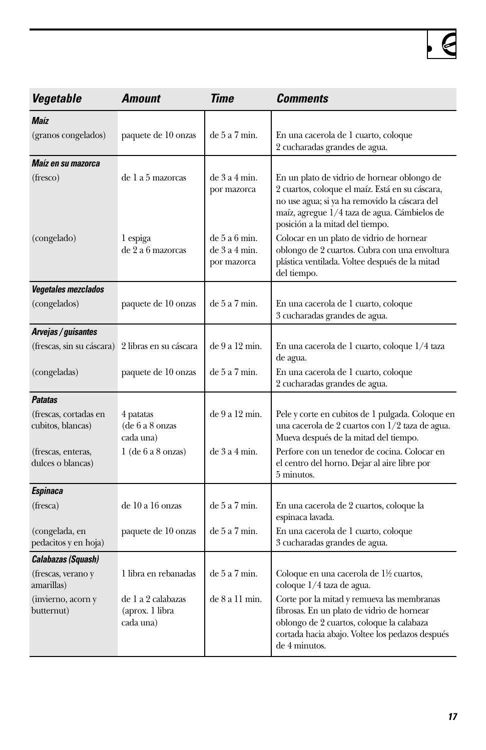| Vegetable                                  | <b>Amount</b>                                      | Time                                           | <b>Comments</b>                                                                                                                                                                                                                    |
|--------------------------------------------|----------------------------------------------------|------------------------------------------------|------------------------------------------------------------------------------------------------------------------------------------------------------------------------------------------------------------------------------------|
| <b>Maíz</b>                                |                                                    |                                                |                                                                                                                                                                                                                                    |
| (granos congelados)                        | paquete de 10 onzas                                | de 5 a 7 min.                                  | En una cacerola de 1 cuarto, coloque<br>2 cucharadas grandes de agua.                                                                                                                                                              |
| Maíz en su mazorca                         |                                                    |                                                |                                                                                                                                                                                                                                    |
| (fresco)                                   | de 1 a 5 mazorcas                                  | $de$ 3 a 4 min.<br>por mazorca                 | En un plato de vidrio de hornear oblongo de<br>2 cuartos, coloque el maíz. Está en su cáscara,<br>no use agua; si ya ha removido la cáscara del<br>maíz, agregue 1/4 taza de agua. Cámbielos de<br>posición a la mitad del tiempo. |
| (congelado)                                | 1 espiga<br>de 2 a 6 mazorcas                      | de 5a 6 min.<br>$de$ 3 a 4 min.<br>por mazorca | Colocar en un plato de vidrio de hornear<br>oblongo de 2 cuartos. Cubra con una envoltura<br>plástica ventilada. Voltee después de la mitad<br>del tiempo.                                                                         |
| <b>Vegetales mezclados</b>                 |                                                    |                                                |                                                                                                                                                                                                                                    |
| (congelados)                               | paquete de 10 onzas                                | de 5a 7 min.                                   | En una cacerola de 1 cuarto, coloque<br>3 cucharadas grandes de agua.                                                                                                                                                              |
| Arvejas / guisantes                        |                                                    |                                                |                                                                                                                                                                                                                                    |
| (frescas, sin su cáscara)                  | 2 libras en su cáscara                             | de 9 a 12 min.                                 | En una cacerola de 1 cuarto, coloque 1/4 taza<br>de agua.                                                                                                                                                                          |
| (congeladas)                               | paquete de 10 onzas                                | de 5 a 7 min.                                  | En una cacerola de 1 cuarto, coloque<br>2 cucharadas grandes de agua.                                                                                                                                                              |
| <b>Patatas</b>                             |                                                    |                                                |                                                                                                                                                                                                                                    |
| (frescas, cortadas en<br>cubitos, blancas) | 4 patatas<br>(de 6 a 8 onzas<br>cada una)          | de 9 a 12 min.                                 | Pele y corte en cubitos de 1 pulgada. Coloque en<br>una cacerola de 2 cuartos con 1/2 taza de agua.<br>Mueva después de la mitad del tiempo.                                                                                       |
| (frescas, enteras,<br>dulces o blancas)    | $1$ (de 6 a 8 onzas)                               | $de$ 3 a 4 min.                                | Perfore con un tenedor de cocina. Colocar en<br>el centro del horno. Dejar al aire libre por<br>5 minutos.                                                                                                                         |
| Espinaca                                   |                                                    |                                                |                                                                                                                                                                                                                                    |
| (fresca)                                   | de 10 a 16 onzas                                   | de 5a 7 min.                                   | En una cacerola de 2 cuartos, coloque la<br>espinaca lavada.                                                                                                                                                                       |
| (congelada, en<br>pedacitos y en hoja)     | paquete de 10 onzas                                | de 5a 7 min.                                   | En una cacerola de 1 cuarto, coloque<br>3 cucharadas grandes de agua.                                                                                                                                                              |
| <b>Calabazas (Squash)</b>                  |                                                    |                                                |                                                                                                                                                                                                                                    |
| (frescas, verano y<br>amarillas)           | 1 libra en rebanadas                               | de 5 a 7 min.                                  | Coloque en una cacerola de 1½ cuartos,<br>coloque 1/4 taza de agua.                                                                                                                                                                |
| (invierno, acorn y<br>butternut)           | de 1 a 2 calabazas<br>(aprox. 1 libra<br>cada una) | de 8 a 11 min.                                 | Corte por la mitad y remueva las membranas<br>fibrosas. En un plato de vidrio de hornear<br>oblongo de 2 cuartos, coloque la calabaza<br>cortada hacia abajo. Voltee los pedazos después<br>de 4 minutos.                          |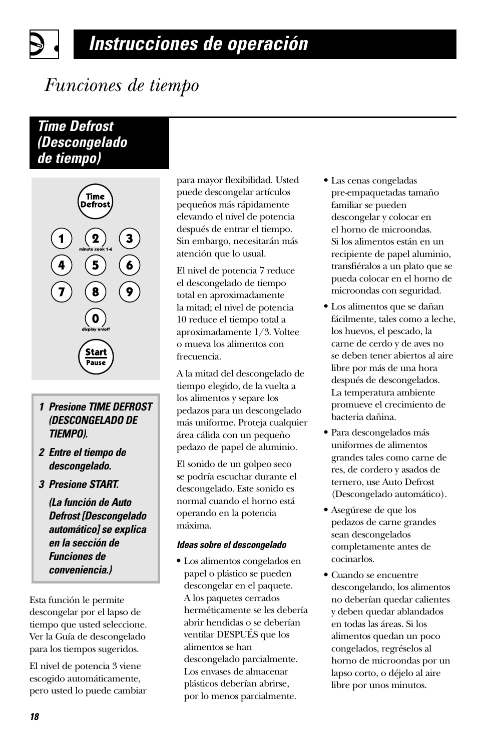# *Funciones de tiempo*

### *Time Defrost (Descongelado de tiempo)*



- *1 Presione TIME DEFROST (DESCONGELADO DE TIEMPO).*
- *2 Entre el tiempo de descongelado.*
- *3 Presione START.*

*(La función de Auto Defrost [Descongelado automático] se explica en la sección de Funciones de conveniencia.)*

Esta función le permite descongelar por el lapso de tiempo que usted seleccione. Ver la Guía de descongelado para los tiempos sugeridos.

El nivel de potencia 3 viene escogido automáticamente, pero usted lo puede cambiar para mayor flexibilidad. Usted puede descongelar artículos pequeños más rápidamente elevando el nivel de potencia después de entrar el tiempo. Sin embargo, necesitarán más atención que lo usual.

El nivel de potencia 7 reduce el descongelado de tiempo total en aproximadamente la mitad; el nivel de potencia 10 reduce el tiempo total a aproximadamente 1/3. Voltee o mueva los alimentos con frecuencia.

A la mitad del descongelado de tiempo elegido, de la vuelta a los alimentos y separe los pedazos para un descongelado más uniforme. Proteja cualquier área cálida con un pequeño pedazo de papel de aluminio.

El sonido de un golpeo seco se podría escuchar durante el descongelado. Este sonido es normal cuando el horno está operando en la potencia máxima.

#### *Ideas sobre el descongelado*

**•** Los alimentos congelados en papel o plástico se pueden descongelar en el paquete. A los paquetes cerrados herméticamente se les debería abrir hendidas o se deberían ventilar DESPUÉS que los alimentos se han descongelado parcialmente. Los envases de almacenar plásticos deberían abrirse, por lo menos parcialmente.

- **•** Las cenas congeladas pre-empaquetadas tamaño familiar se pueden descongelar y colocar en el horno de microondas. Si los alimentos están en un recipiente de papel aluminio, transfiéralos a un plato que se pueda colocar en el horno de microondas con seguridad.
- **•** Los alimentos que se dañan fácilmente, tales como a leche, los huevos, el pescado, la carne de cerdo y de aves no se deben tener abiertos al aire libre por más de una hora después de descongelados. La temperatura ambiente promueve el crecimiento de bacteria dañina.
- **•** Para descongelados más uniformes de alimentos grandes tales como carne de res, de cordero y asados de ternero, use Auto Defrost (Descongelado automático).
- **•** Asegúrese de que los pedazos de carne grandes sean descongelados completamente antes de cocinarlos.
- **•** Cuando se encuentre descongelando, los alimentos no deberían quedar calientes y deben quedar ablandados en todas las áreas. Si los alimentos quedan un poco congelados, regréselos al horno de microondas por un lapso corto, o déjelo al aire libre por unos minutos.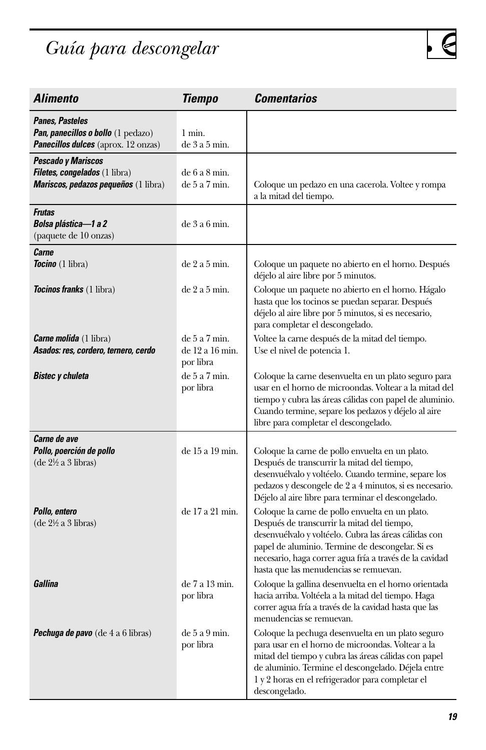# *Guía para descongelar*

| <b>Alimento</b>                                                                                           | Tiempo                                       | Comentarios                                                                                                                                                                                                                                                                                                      |
|-----------------------------------------------------------------------------------------------------------|----------------------------------------------|------------------------------------------------------------------------------------------------------------------------------------------------------------------------------------------------------------------------------------------------------------------------------------------------------------------|
| Panes, Pasteles<br>Pan, panecillos o bollo (1 pedazo)<br><b>Panecillos dulces</b> (aprox. 12 onzas)       | $1$ min.<br>$de$ 3 a 5 min.                  |                                                                                                                                                                                                                                                                                                                  |
| Pescado y Mariscos<br><b>Filetes, congelados</b> (1 libra)<br><b>Mariscos, pedazos pequeños</b> (1 libra) | de 6a 8 min.<br>de 5a 7 min.                 | Coloque un pedazo en una cacerola. Voltee y rompa<br>a la mitad del tiempo.                                                                                                                                                                                                                                      |
| <b>Frutas</b><br>Bolsa plástica—1 a 2<br>(paquete de 10 onzas)                                            | $de$ 3 a 6 min.                              |                                                                                                                                                                                                                                                                                                                  |
| Carne<br><b>Tocino</b> (1 libra)                                                                          | $de$ 2 a 5 min.                              | Coloque un paquete no abierto en el horno. Después<br>déjelo al aire libre por 5 minutos.                                                                                                                                                                                                                        |
| <b>Tocinos franks</b> (1 libra)                                                                           | $de$ 2 a 5 min.                              | Coloque un paquete no abierto en el horno. Hágalo<br>hasta que los tocinos se puedan separar. Después<br>déjelo al aire libre por 5 minutos, si es necesario,<br>para completar el descongelado.                                                                                                                 |
| <b>Carne molida</b> (1 libra)<br>Asados: res, cordero, ternero, cerdo                                     | de 5a 7 min.<br>de 12 a 16 min.<br>por libra | Voltee la carne después de la mitad del tiempo.<br>Use el nivel de potencia 1.                                                                                                                                                                                                                                   |
| Bistec y chuleta                                                                                          | de 5a 7 min.<br>por libra                    | Coloque la carne desenvuelta en un plato seguro para<br>usar en el horno de microondas. Voltear a la mitad del<br>tiempo y cubra las áreas cálidas con papel de aluminio.<br>Cuando termine, separe los pedazos y déjelo al aire<br>libre para completar el descongelado.                                        |
| Carne de ave<br>Pollo, poerción de pollo<br>$(de 2\frac{1}{2} a 3 libras)$                                | de 15 a 19 min.                              | Coloque la carne de pollo envuelta en un plato.<br>Después de transcurrir la mitad del tiempo,<br>desenvuélvalo y voltéelo. Cuando termine, separe los<br>pedazos y descongele de 2 a 4 minutos, si es necesario.<br>Déjelo al aire libre para terminar el descongelado.                                         |
| Pollo, entero<br>$(de 2\frac{1}{2} a 3 libras)$                                                           | de 17 a 21 min.                              | Coloque la carne de pollo envuelta en un plato.<br>Después de transcurrir la mitad del tiempo,<br>desenvuélvalo y voltéelo. Cubra las áreas cálidas con<br>papel de aluminio. Termine de descongelar. Si es<br>necesario, haga correr agua fría a través de la cavidad<br>hasta que las menudencias se remuevan. |
| Gallina                                                                                                   | de 7 a 13 min.<br>por libra                  | Coloque la gallina desenvuelta en el horno orientada<br>hacia arriba. Voltéela a la mitad del tiempo. Haga<br>correr agua fría a través de la cavidad hasta que las<br>menudencias se remuevan.                                                                                                                  |
| <b>Pechuga de pavo</b> (de 4 a 6 libras)                                                                  | de 5 a 9 min.<br>por libra                   | Coloque la pechuga desenvuelta en un plato seguro<br>para usar en el horno de microondas. Voltear a la<br>mitad del tiempo y cubra las áreas cálidas con papel<br>de aluminio. Termine el descongelado. Déjela entre<br>1 y 2 horas en el refrigerador para completar el<br>descongelado.                        |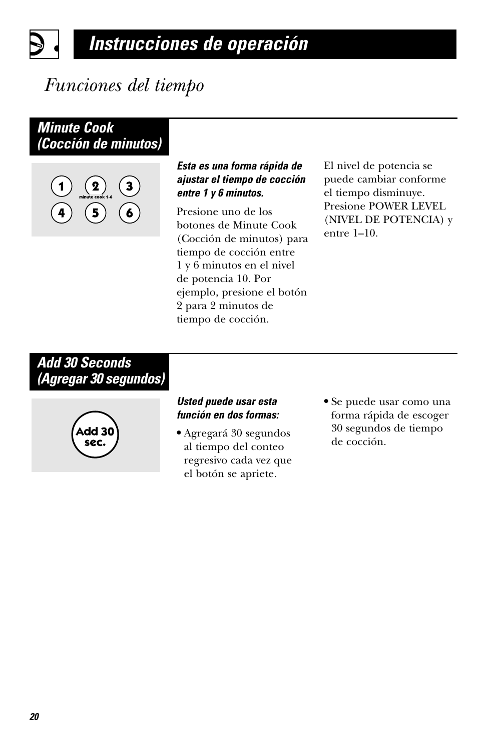# *Funciones del tiempo*

### *Minute Cook (Cocción de minutos)*



#### *Esta es una forma rápida de ajustar el tiempo de cocción entre 1 y 6 minutos.*

Presione uno de los botones de Minute Cook (Cocción de minutos) para tiempo de cocción entre 1 y 6 minutos en el nivel de potencia 10. Por ejemplo, presione el botón 2 para 2 minutos de tiempo de cocción.

El nivel de potencia se puede cambiar conforme el tiempo disminuye. Presione POWER LEVEL (NIVEL DE POTENCIA) y entre 1–10.

### *Add 30 Seconds (Agregar 30 segundos)*



#### *Usted puede usar esta función en dos formas:*

- **•** Agregará 30 segundos al tiempo del conteo regresivo cada vez que el botón se apriete.
- **•** Se puede usar como una forma rápida de escoger 30 segundos de tiempo de cocción.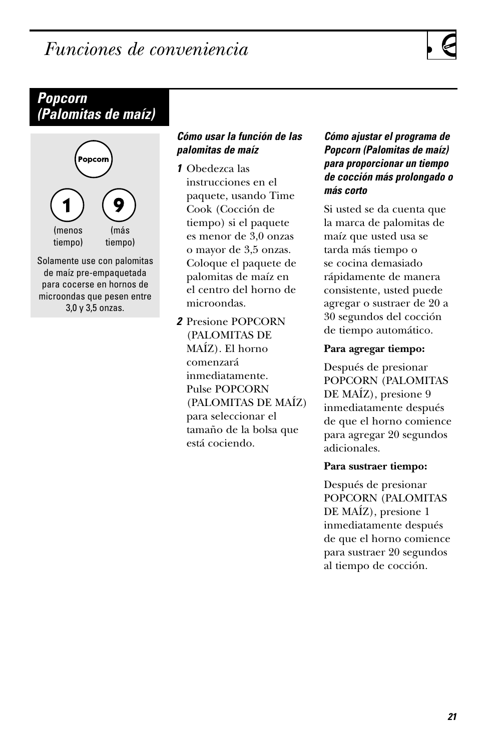# <span id="page-60-0"></span>*Funciones de conveniencia*

### *Popcorn (Palomitas de maíz)*



Solamente use con palomitas de maíz pre-empaquetada para cocerse en hornos de microondas que pesen entre 3,0 y 3,5 onzas.

#### *Cómo usar la función de las palomitas de maíz*

*1* Obedezca las instrucciones en el paquete, usando Time Cook (Cocción de tiempo) si el paquete es menor de 3,0 onzas o mayor de 3,5 onzas. Coloque el paquete de palomitas de maíz en el centro del horno de microondas.

*2* Presione POPCORN (PALOMITAS DE MAÍZ). El horno comenzará inmediatamente. Pulse POPCORN (PALOMITAS DE MAÍZ) para seleccionar el tamaño de la bolsa que está cociendo.

#### *Cómo ajustar el programa de Popcorn (Palomitas de maíz) para proporcionar un tiempo de cocción más prolongado o más corto*

Si usted se da cuenta que la marca de palomitas de maíz que usted usa se tarda más tiempo o se cocina demasiado rápidamente de manera consistente, usted puede agregar o sustraer de 20 a 30 segundos del cocción de tiempo automático.

#### **Para agregar tiempo:**

Después de presionar POPCORN (PALOMITAS DE MAÍZ), presione 9 inmediatamente después de que el horno comience para agregar 20 segundos adicionales.

#### **Para sustraer tiempo:**

Después de presionar POPCORN (PALOMITAS DE MAÍZ), presione 1 inmediatamente después de que el horno comience para sustraer 20 segundos al tiempo de cocción.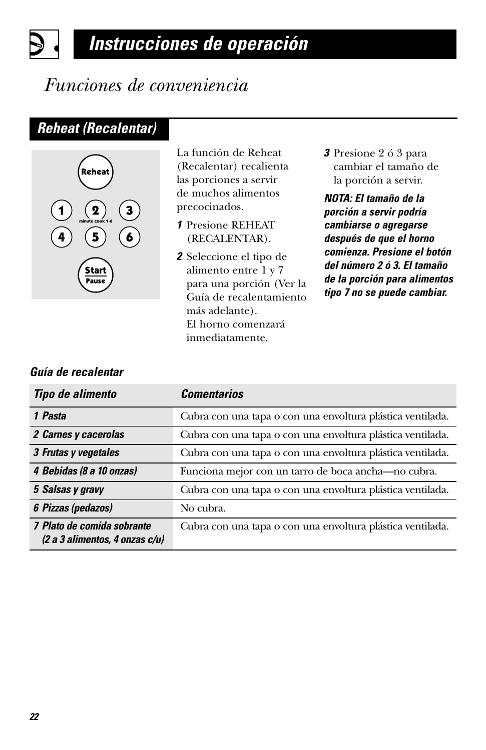### *Funciones de conveniencia*

### *Reheat (Recalentar)*



La función de Reheat (Recalentar) recalienta las porciones a servir de muchos alimentos precocinados.

- *1* Presione REHEAT (RECALENTAR).
- *2* Seleccione el tipo de alimento entre 1 y 7 para una porción (Ver la Guía de recalentamiento más adelante). El horno comenzará inmediatamente.
- *3* Presione 2 ó 3 para cambiar el tamaño de la porción a servir.

*NOTA: El tamaño de la porción a servir podría cambiarse o agregarse después de que el horno comienza. Presione el botón del número 2 ó 3. El tamaño de la porción para alimentos tipo 7 no se puede cambiar.*

#### *Guía de recalentar*

| <b>Tipo de alimento</b>                                           | <b>Comentarios</b>                                         |
|-------------------------------------------------------------------|------------------------------------------------------------|
| 1 Pasta                                                           | Cubra con una tapa o con una envoltura plástica ventilada. |
| 2 Carnes y cacerolas                                              | Cubra con una tapa o con una envoltura plástica ventilada. |
| 3 Frutas y vegetales                                              | Cubra con una tapa o con una envoltura plástica ventilada. |
| 4 Bebidas (8 a 10 onzas)                                          | Funciona mejor con un tarro de boca ancha-no cubra.        |
| 5 Salsas y gravy                                                  | Cubra con una tapa o con una envoltura plástica ventilada. |
| 6 Pizzas (pedazos)                                                | No cubra.                                                  |
| 7 Plato de comida sobrante<br>$(2 a 3$ alimentos, 4 onzas $c/u$ ) | Cubra con una tapa o con una envoltura plástica ventilada. |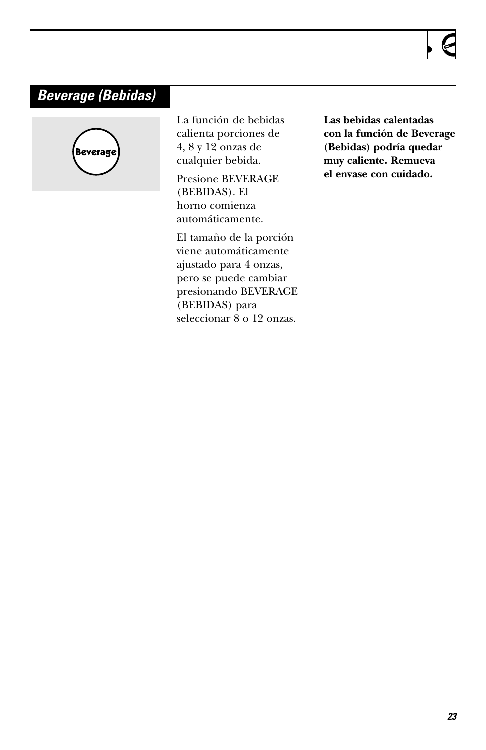### *Beverage (Bebidas)*



La función de bebidas calienta porciones de 4, 8 y 12 onzas de cualquier bebida.

Presione BEVERAGE (BEBIDAS). El horno comienza automáticamente.

El tamaño de la porción viene automáticamente ajustado para 4 onzas, pero se puede cambiar presionando BEVERAGE (BEBIDAS) para seleccionar 8 o 12 onzas.

**Las bebidas calentadas con la función de Beverage (Bebidas) podría quedar muy caliente. Remueva el envase con cuidado.**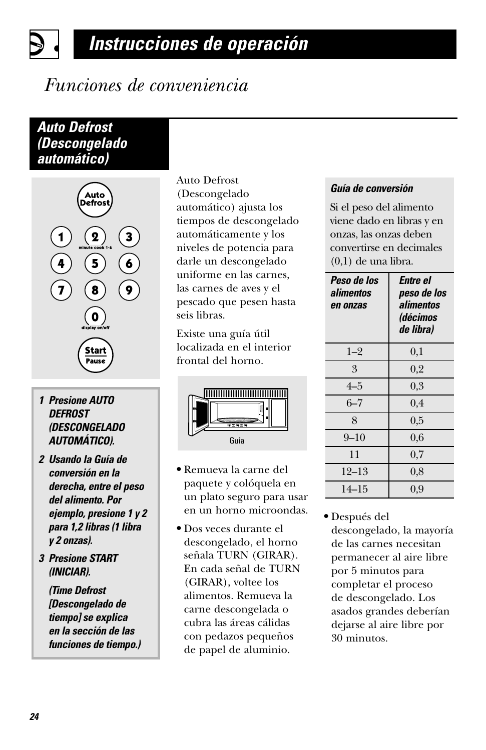# *Funciones de conveniencia*

### *Auto Defrost (Descongelado automático)*



- *1 Presione AUTO DEFROST (DESCONGELADO AUTOMÁTICO).*
- *2 Usando la Guía de conversión en la derecha, entre el peso del alimento. Por ejemplo, presione 1 y 2 para 1,2 libras (1 libra y 2 onzas).*
- *3 Presione START (INICIAR).*

*(Time Defrost [Descongelado de tiempo] se explica en la sección de las funciones de tiempo.)* Auto Defrost (Descongelado automático) ajusta los tiempos de descongelado automáticamente y los niveles de potencia para darle un descongelado uniforme en las carnes, las carnes de aves y el pescado que pesen hasta seis libras.

Existe una guía útil localizada en el interior frontal del horno.



- **•** Remueva la carne del paquete y colóquela en un plato seguro para usar en un horno microondas.
- **•** Dos veces durante el descongelado, el horno señala TURN (GIRAR). En cada señal de TURN (GIRAR), voltee los alimentos. Remueva la carne descongelada o cubra las áreas cálidas con pedazos pequeños de papel de aluminio.

#### *Guía de conversión*

Si el peso del alimento viene dado en libras y en onzas, las onzas deben convertirse en decimales (0,1) de una libra.

| Peso de los<br>alimentos<br>en onzas | Entre el<br>peso de los<br>alimentos<br><i><b>(décimos</b></i><br>de libra) |
|--------------------------------------|-----------------------------------------------------------------------------|
| $1 - 2$                              | 0,1                                                                         |
| 3                                    | 0,2                                                                         |
| $4 - 5$                              | 0,3                                                                         |
| $6 - 7$                              | 0,4                                                                         |
| 8                                    | 0.5                                                                         |
| $9 - 10$                             | 0.6                                                                         |
| 11                                   | 0.7                                                                         |
| 12–13                                | 0.8                                                                         |
| 14–15                                | 0,9                                                                         |

**•** Después del descongelado, la mayoría de las carnes necesitan permanecer al aire libre por 5 minutos para completar el proceso de descongelado. Los asados grandes deberían dejarse al aire libre por 30 minutos.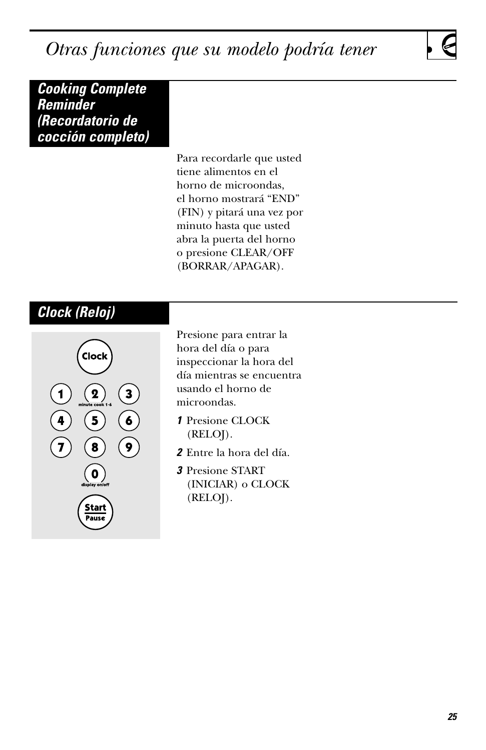<span id="page-64-0"></span>*Otras funciones que su modelo podría tener*

*Cooking Complete Reminder (Recordatorio de cocción completo)*

> Para recordarle que usted tiene alimentos en el horno de microondas, el horno mostrará "END" (FIN) y pitará una vez por minuto hasta que usted abra la puerta del horno o presione CLEAR/OFF (BORRAR/APAGAR).

### *Clock (Reloj)*



Presione para entrar la hora del día o para inspeccionar la hora del día mientras se encuentra usando el horno de microondas.

- *1* Presione CLOCK (RELOJ).
- *2* Entre la hora del día.
- *3* Presione START (INICIAR) o CLOCK (RELOJ).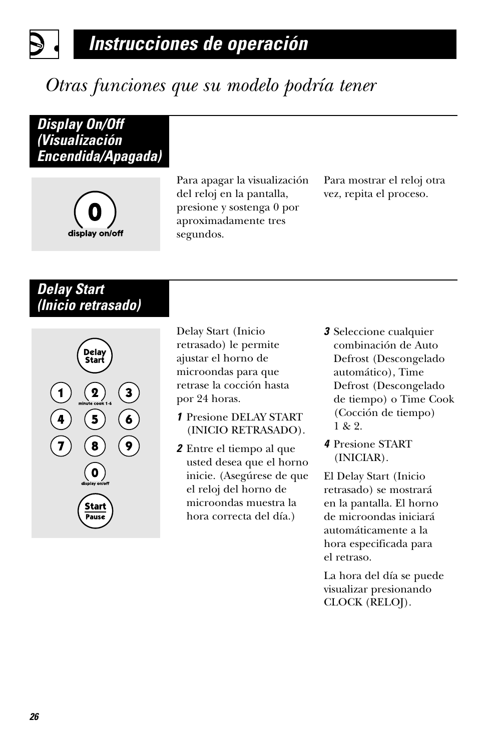# *Otras funciones que su modelo podría tener*

*Display On/Off (Visualización Encendida/Apagada)*



Para apagar la visualización del reloj en la pantalla, presione y sostenga 0 por aproximadamente tres segundos.

Para mostrar el reloj otra vez, repita el proceso.

### *Delay Start (Inicio retrasado)*



Delay Start (Inicio retrasado) le permite ajustar el horno de microondas para que retrase la cocción hasta por 24 horas.

- *1* Presione DELAY START (INICIO RETRASADO).
- *2* Entre el tiempo al que usted desea que el horno inicie. (Asegúrese de que el reloj del horno de microondas muestra la hora correcta del día.)
- *3* Seleccione cualquier combinación de Auto Defrost (Descongelado automático), Time Defrost (Descongelado de tiempo) o Time Cook (Cocción de tiempo) 1 & 2.
- *4* Presione START (INICIAR).

El Delay Start (Inicio retrasado) se mostrará en la pantalla. El horno de microondas iniciará automáticamente a la hora especificada para el retraso.

La hora del día se puede visualizar presionando CLOCK (RELOJ).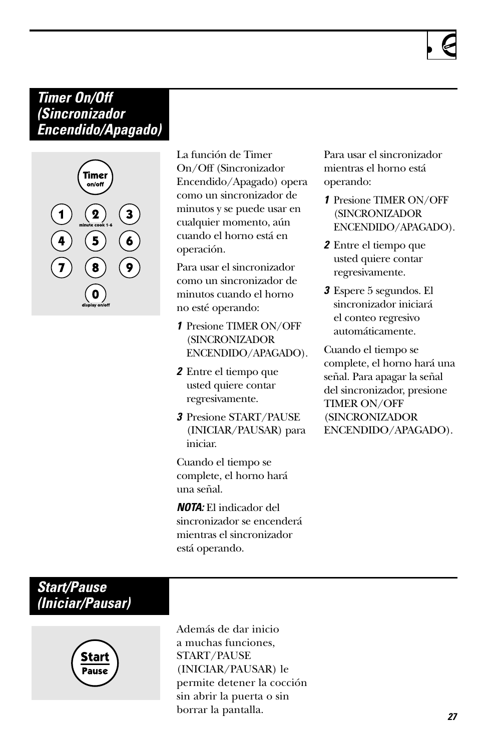### *Timer On/Off (Sincronizador Encendido/Apagado)*



La función de Timer On/Off (Sincronizador Encendido/Apagado) opera como un sincronizador de minutos y se puede usar en cualquier momento, aún cuando el horno está en operación.

Para usar el sincronizador como un sincronizador de minutos cuando el horno no esté operando:

- *1* Presione TIMER ON/OFF (SINCRONIZADOR ENCENDIDO/APAGADO).
- *2* Entre el tiempo que usted quiere contar regresivamente.
- *3* Presione START/PAUSE (INICIAR/PAUSAR) para iniciar.

Cuando el tiempo se complete, el horno hará una señal.

*NOTA:* El indicador del sincronizador se encenderá mientras el sincronizador está operando.

Para usar el sincronizador mientras el horno está operando:

- *1* Presione TIMER ON/OFF (SINCRONIZADOR ENCENDIDO/APAGADO).
- *2* Entre el tiempo que usted quiere contar regresivamente.
- *3* Espere 5 segundos. El sincronizador iniciará el conteo regresivo automáticamente.

Cuando el tiempo se complete, el horno hará una señal. Para apagar la señal del sincronizador, presione TIMER ON/OFF (SINCRONIZADOR ENCENDIDO/APAGADO).

### *Start/Pause (Iniciar/Pausar)*



Además de dar inicio a muchas funciones, START/PAUSE (INICIAR/PAUSAR) le permite detener la cocción sin abrir la puerta o sin borrar la pantalla.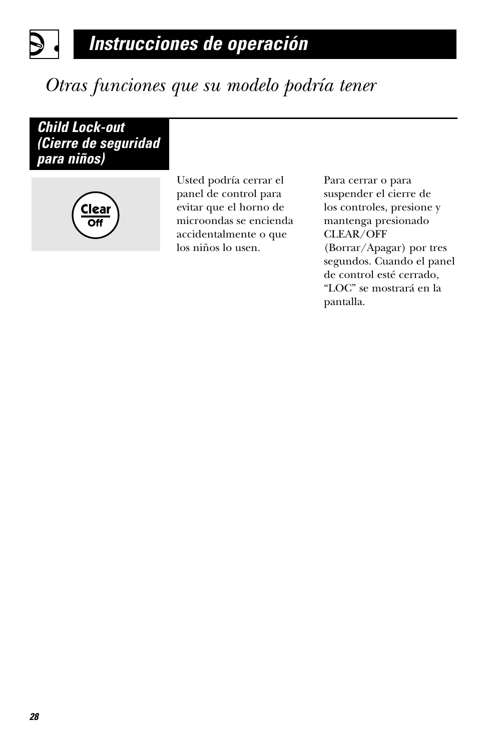

# *Otras funciones que su modelo podría tener*

*Child Lock-out (Cierre de seguridad para niños)*



Usted podría cerrar el panel de control para evitar que el horno de microondas se encienda accidentalmente o que los niños lo usen.

Para cerrar o para suspender el cierre de los controles, presione y mantenga presionado CLEAR/OFF (Borrar/Apagar) por tres segundos. Cuando el panel de control esté cerrado, "LOC" se mostrará en la pantalla.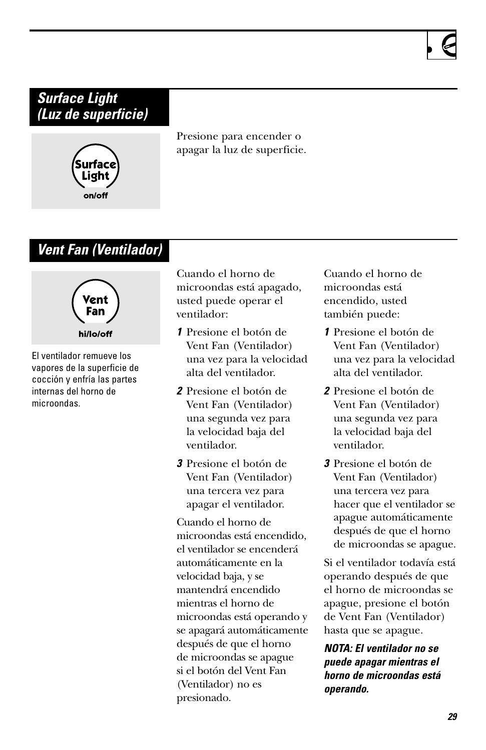### *Surface Light (Luz de superficie)*



Presione para encender o apagar la luz de superficie.

### *Vent Fan (Ventilador)*



El ventilador remueve los vapores de la superficie de cocción y enfría las partes internas del horno de microondas.

Cuando el horno de microondas está apagado, usted puede operar el ventilador:

- *1* Presione el botón de Vent Fan (Ventilador) una vez para la velocidad alta del ventilador.
- *2* Presione el botón de Vent Fan (Ventilador) una segunda vez para la velocidad baja del ventilador.
- *3* Presione el botón de Vent Fan (Ventilador) una tercera vez para apagar el ventilador.

Cuando el horno de microondas está encendido, el ventilador se encenderá automáticamente en la velocidad baja, y se mantendrá encendido mientras el horno de microondas está operando y se apagará automáticamente después de que el horno de microondas se apague si el botón del Vent Fan (Ventilador) no es presionado.

Cuando el horno de microondas está encendido, usted también puede:

- *1* Presione el botón de Vent Fan (Ventilador) una vez para la velocidad alta del ventilador.
- *2* Presione el botón de Vent Fan (Ventilador) una segunda vez para la velocidad baja del ventilador.
- *3* Presione el botón de Vent Fan (Ventilador) una tercera vez para hacer que el ventilador se apague automáticamente después de que el horno de microondas se apague.

Si el ventilador todavía está operando después de que el horno de microondas se apague, presione el botón de Vent Fan (Ventilador) hasta que se apague.

*NOTA: El ventilador no se puede apagar mientras el horno de microondas está operando.*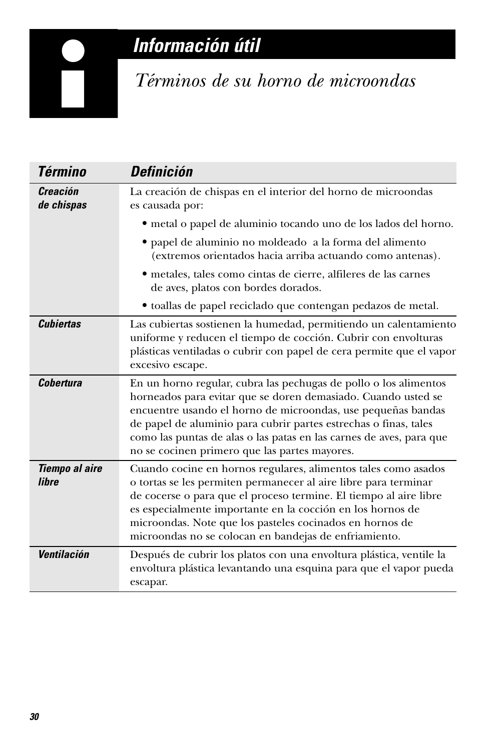# *Información útil*

<span id="page-69-0"></span>

# *Términos de su horno de microondas*

| <b>Término</b>                 | <b>Definición</b>                                                                                                                                                                                                                                                                                                                                                                             |
|--------------------------------|-----------------------------------------------------------------------------------------------------------------------------------------------------------------------------------------------------------------------------------------------------------------------------------------------------------------------------------------------------------------------------------------------|
| <b>Creación</b><br>de chispas  | La creación de chispas en el interior del horno de microondas<br>es causada por:                                                                                                                                                                                                                                                                                                              |
|                                | • metal o papel de aluminio tocando uno de los lados del horno.                                                                                                                                                                                                                                                                                                                               |
|                                | · papel de aluminio no moldeado a la forma del alimento<br>(extremos orientados hacia arriba actuando como antenas).                                                                                                                                                                                                                                                                          |
|                                | · metales, tales como cintas de cierre, alfileres de las carnes<br>de aves, platos con bordes dorados.                                                                                                                                                                                                                                                                                        |
|                                | · toallas de papel reciclado que contengan pedazos de metal.                                                                                                                                                                                                                                                                                                                                  |
| <b>Cubiertas</b>               | Las cubiertas sostienen la humedad, permitiendo un calentamiento<br>uniforme y reducen el tiempo de cocción. Cubrir con envolturas<br>plásticas ventiladas o cubrir con papel de cera permite que el vapor<br>excesivo escape.                                                                                                                                                                |
| <b>Cobertura</b>               | En un horno regular, cubra las pechugas de pollo o los alimentos<br>horneados para evitar que se doren demasiado. Cuando usted se<br>encuentre usando el horno de microondas, use pequeñas bandas<br>de papel de aluminio para cubrir partes estrechas o finas, tales<br>como las puntas de alas o las patas en las carnes de aves, para que<br>no se cocinen primero que las partes mayores. |
| <b>Tiempo al aire</b><br>libre | Cuando cocine en hornos regulares, alimentos tales como asados<br>o tortas se les permiten permanecer al aire libre para terminar<br>de cocerse o para que el proceso termine. El tiempo al aire libre<br>es especialmente importante en la cocción en los hornos de<br>microondas. Note que los pasteles cocinados en hornos de<br>microondas no se colocan en bandejas de enfriamiento.     |
| Ventilación                    | Después de cubrir los platos con una envoltura plástica, ventile la<br>envoltura plástica levantando una esquina para que el vapor pueda<br>escapar.                                                                                                                                                                                                                                          |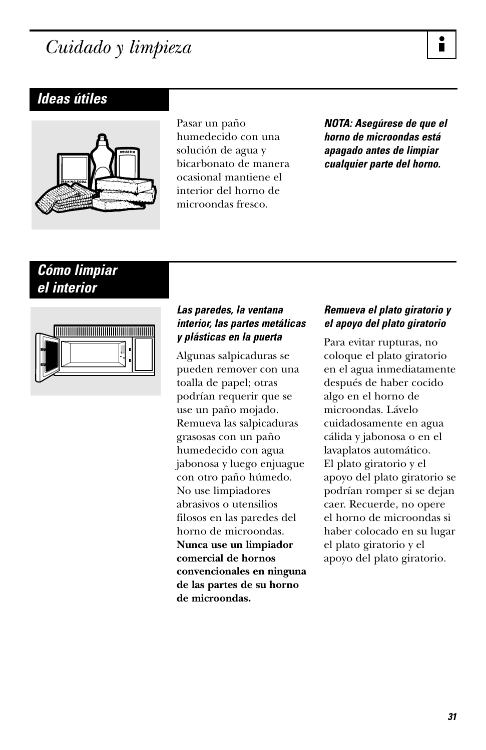# <span id="page-70-0"></span>*Cuidado y limpieza*

### *Ideas útiles*



Pasar un paño humedecido con una solución de agua y bicarbonato de manera ocasional mantiene el interior del horno de microondas fresco.

*NOTA: Asegúrese de que el horno de microondas está apagado antes de limpiar cualquier parte del horno.*

### *Cómo limpiar el interior*



#### *Las paredes, la ventana interior, las partes metálicas y plásticas en la puerta*

Algunas salpicaduras se pueden remover con una toalla de papel; otras podrían requerir que se use un paño mojado. Remueva las salpicaduras grasosas con un paño humedecido con agua jabonosa y luego enjuague con otro paño húmedo. No use limpiadores abrasivos o utensilios filosos en las paredes del horno de microondas. **Nunca use un limpiador comercial de hornos convencionales en ninguna de las partes de su horno de microondas.**

#### *Remueva el plato giratorio y el apoyo del plato giratorio*

Para evitar rupturas, no coloque el plato giratorio en el agua inmediatamente después de haber cocido algo en el horno de microondas. Lávelo cuidadosamente en agua cálida y jabonosa o en el lavaplatos automático. El plato giratorio y el apoyo del plato giratorio se podrían romper si se dejan caer. Recuerde, no opere el horno de microondas si haber colocado en su lugar el plato giratorio y el apoyo del plato giratorio.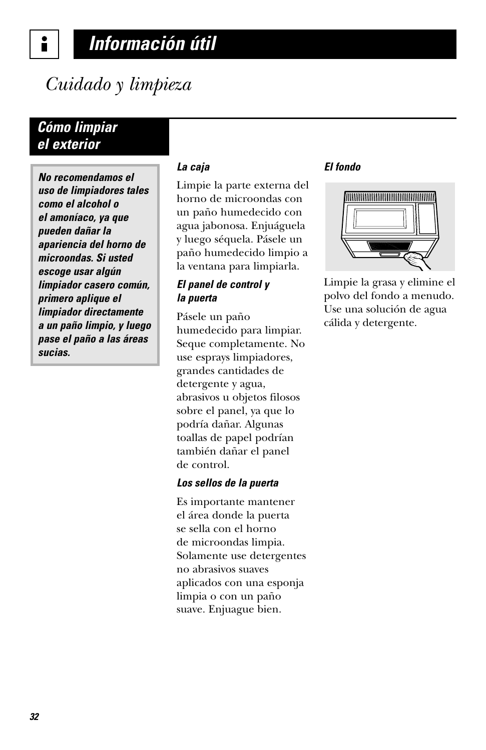# *Información útil*

# *Cuidado y limpieza*

### *Cómo limpiar el exterior*

*No recomendamos el uso de limpiadores tales como el alcohol o el amoníaco, ya que pueden dañar la apariencia del horno de microondas. Si usted escoge usar algún limpiador casero común, primero aplique el limpiador directamente a un paño limpio, y luego pase el paño a las áreas sucias.* 

#### *La caja*

Limpie la parte externa del horno de microondas con un paño humedecido con agua jabonosa. Enjuáguela y luego séquela. Pásele un paño humedecido limpio a la ventana para limpiarla.

#### *El panel de control y la puerta*

Pásele un paño humedecido para limpiar. Seque completamente. No use esprays limpiadores, grandes cantidades de detergente y agua, abrasivos u objetos filosos sobre el panel, ya que lo podría dañar. Algunas toallas de papel podrían también dañar el panel de control.

#### *Los sellos de la puerta*

Es importante mantener el área donde la puerta se sella con el horno de microondas limpia. Solamente use detergentes no abrasivos suaves aplicados con una esponja limpia o con un paño suave. Enjuague bien.

#### *El fondo*



Limpie la grasa y elimine el polvo del fondo a menudo. Use una solución de agua cálida y detergente.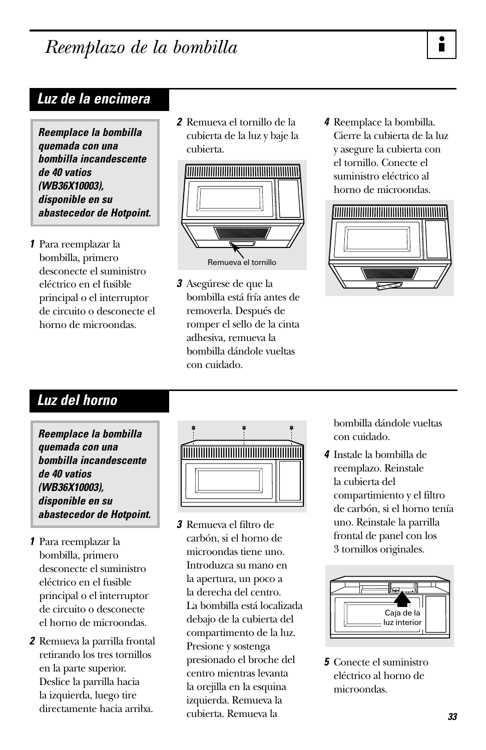# *Reemplazo de la bombilla*

# *Luz de la encimera*

*Reemplace la bombilla quemada con una bombilla incandescente de 40 vatios (WB36X10003), disponible en su abastecedor de Hotpoint.*

*1* Para reemplazar la bombilla, primero desconecte el suministro eléctrico en el fusible principal o el interruptor de circuito o desconecte el horno de microondas.

*2* Remueva el tornillo de la cubierta de la luz y baje la cubierta.



*3* Asegúrese de que la bombilla está fría antes de removerla. Después de romper el sello de la cinta adhesiva, remueva la bombilla dándole vueltas con cuidado.

*4* Reemplace la bombilla. Cierre la cubierta de la luz y asegure la cubierta con el tornillo. Conecte el suministro eléctrico al horno de microondas.



# *Luz del horno*

*Reemplace la bombilla quemada con una bombilla incandescente de 40 vatios (WB36X10003), disponible en su abastecedor de Hotpoint.*

- *1* Para reemplazar la bombilla, primero desconecte el suministro eléctrico en el fusible principal o el interruptor de circuito o desconecte el horno de microondas.
- *2* Remueva la parrilla frontal retirando los tres tornillos en la parte superior. Deslice la parrilla hacia la izquierda, luego tire directamente hacia arriba.



*3* Remueva el filtro de carbón, si el horno de microondas tiene uno. Introduzca su mano en la apertura, un poco a la derecha del centro. La bombilla está localizada debajo de la cubierta del compartimento de la luz. Presione y sostenga presionado el broche del centro mientras levanta la orejilla en la esquina izquierda. Remueva la cubierta. Remueva la

bombilla dándole vueltas con cuidado.

*4* Instale la bombilla de reemplazo. Reinstale la cubierta del compartimiento y el filtro de carbón, si el horno tenía uno. Reinstale la parrilla frontal de panel con los 3 tornillos originales.



*5* Conecte el suministro eléctrico al horno de microondas.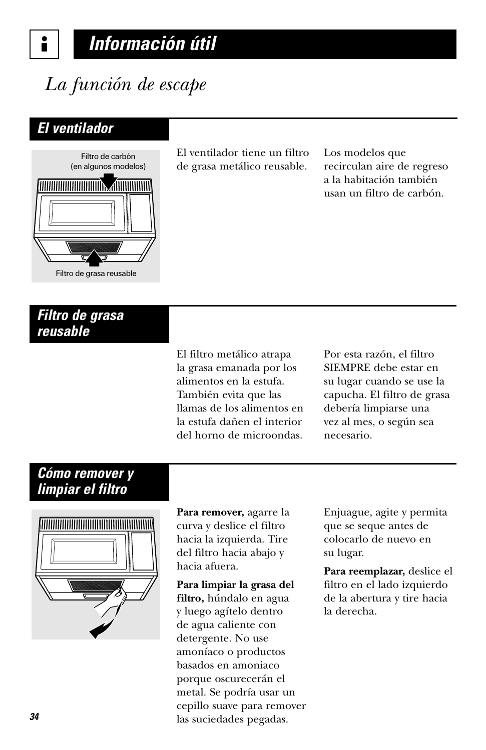# *Información útil*

# *La función de escape*

# *El ventilador*



El ventilador tiene un filtro de grasa metálico reusable.

Los modelos que recirculan aire de regreso a la habitación también usan un filtro de carbón.

# *Filtro de grasa reusable*

El filtro metálico atrapa la grasa emanada por los alimentos en la estufa. También evita que las llamas de los alimentos en la estufa dañen el interior del horno de microondas.

Por esta razón, el filtro SIEMPRE debe estar en su lugar cuando se use la capucha. El filtro de grasa debería limpiarse una vez al mes, o según sea necesario.

# *Cómo remover y limpiar el filtro*



**Para remover,** agarre la curva y deslice el filtro hacia la izquierda. Tire del filtro hacia abajo y hacia afuera.

**Para limpiar la grasa del filtro,** húndalo en agua y luego agítelo dentro de agua caliente con detergente. No use amoníaco o productos basados en amoniaco porque oscurecerán el metal. Se podría usar un cepillo suave para remover las suciedades pegadas.

Enjuague, agite y permita que se seque antes de colocarlo de nuevo en su lugar.

**Para reemplazar,** deslice el filtro en el lado izquierdo de la abertura y tire hacia la derecha.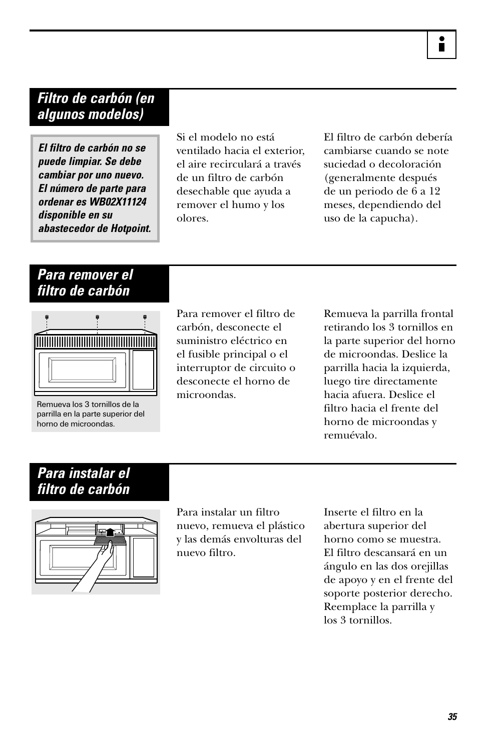### *Filtro de carbón (en algunos modelos)*

*El filtro de carbón no se puede limpiar. Se debe cambiar por uno nuevo. El número de parte para ordenar es WB02X11124 disponible en su abastecedor de Hotpoint.* Si el modelo no está ventilado hacia el exterior, el aire recirculará a través de un filtro de carbón desechable que ayuda a remover el humo y los olores.

El filtro de carbón debería cambiarse cuando se note suciedad o decoloración (generalmente después de un periodo de 6 a 12 meses, dependiendo del uso de la capucha).

### *Para remover el filtro de carbón*



Remueva los 3 tornillos de la parrilla en la parte superior del horno de microondas.

Para remover el filtro de carbón, desconecte el suministro eléctrico en el fusible principal o el interruptor de circuito o desconecte el horno de microondas.

Remueva la parrilla frontal retirando los 3 tornillos en la parte superior del horno de microondas. Deslice la parrilla hacia la izquierda, luego tire directamente hacia afuera. Deslice el filtro hacia el frente del horno de microondas y remuévalo.

# *Para instalar el filtro de carbón*



Para instalar un filtro nuevo, remueva el plástico y las demás envolturas del nuevo filtro.

Inserte el filtro en la abertura superior del horno como se muestra. El filtro descansará en un ángulo en las dos orejillas de apoyo y en el frente del soporte posterior derecho. Reemplace la parrilla y los 3 tornillos.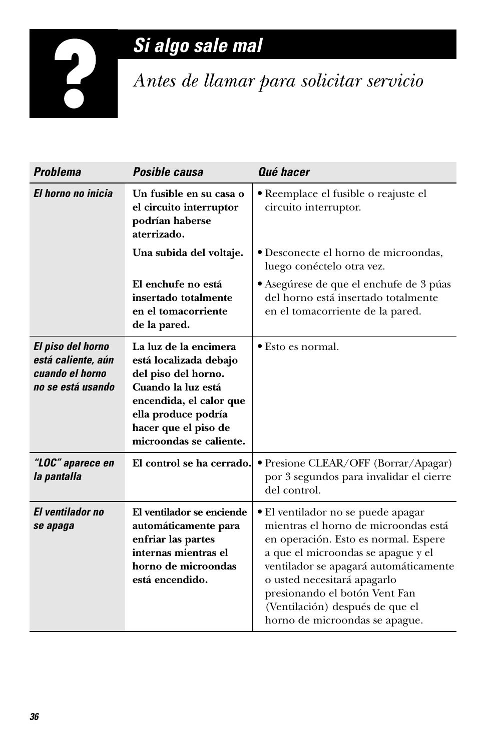# *Si algo sale mal*

*Antes de llamar para solicitar servicio*

| <b>Problema</b>                                                                 | Posible causa                                                                                                                                                                                     | Qué hacer                                                                                                                                                                                                                                                                                                                              |
|---------------------------------------------------------------------------------|---------------------------------------------------------------------------------------------------------------------------------------------------------------------------------------------------|----------------------------------------------------------------------------------------------------------------------------------------------------------------------------------------------------------------------------------------------------------------------------------------------------------------------------------------|
| El horno no inicia                                                              | Un fusible en su casa o<br>el circuito interruptor<br>podrían haberse<br>aterrizado.                                                                                                              | · Reemplace el fusible o reajuste el<br>circuito interruptor.                                                                                                                                                                                                                                                                          |
|                                                                                 | Una subida del voltaje.                                                                                                                                                                           | • Desconecte el horno de microondas,<br>luego conéctelo otra vez.                                                                                                                                                                                                                                                                      |
|                                                                                 | El enchufe no está<br>insertado totalmente<br>en el tomacorriente<br>de la pared.                                                                                                                 | • Asegúrese de que el enchufe de 3 púas<br>del horno está insertado totalmente<br>en el tomacorriente de la pared.                                                                                                                                                                                                                     |
| El piso del horno<br>está caliente, aún<br>cuando el horno<br>no se está usando | La luz de la encimera<br>está localizada debajo<br>del piso del horno.<br>Cuando la luz está<br>encendida, el calor que<br>ella produce podría<br>hacer que el piso de<br>microondas se caliente. | • Esto es normal.                                                                                                                                                                                                                                                                                                                      |
| "LOC" aparece en<br>la pantalla                                                 | El control se ha cerrado.                                                                                                                                                                         | · Presione CLEAR/OFF (Borrar/Apagar)<br>por 3 segundos para invalidar el cierre<br>del control.                                                                                                                                                                                                                                        |
| <b>El ventilador no</b><br>se apaga                                             | El ventilador se enciende<br>automáticamente para<br>enfriar las partes<br>internas mientras el<br>horno de microondas<br>está encendido.                                                         | • El ventilador no se puede apagar<br>mientras el horno de microondas está<br>en operación. Esto es normal. Espere<br>a que el microondas se apague y el<br>ventilador se apagará automáticamente<br>o usted necesitará apagarlo<br>presionando el botón Vent Fan<br>(Ventilación) después de que el<br>horno de microondas se apague. |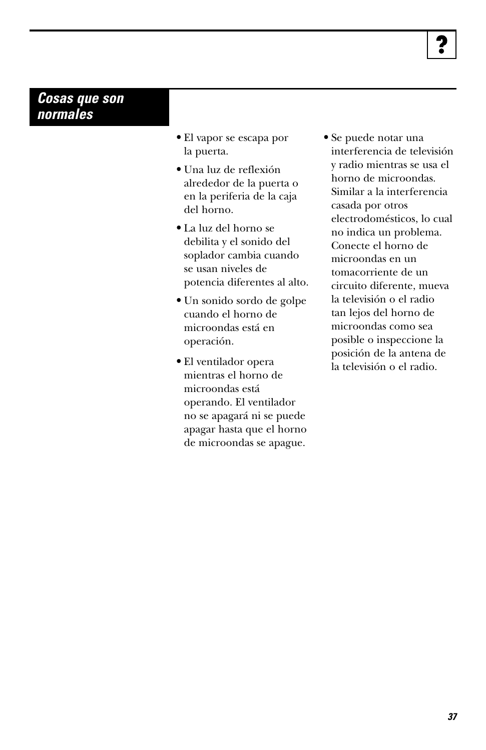### *Cosas que son normales*

- **•** El vapor se escapa por la puerta.
- **•** Una luz de reflexión alrededor de la puerta o en la periferia de la caja del horno.
- **•** La luz del horno se debilita y el sonido del soplador cambia cuando se usan niveles de potencia diferentes al alto.
- **•** Un sonido sordo de golpe cuando el horno de microondas está en operación.
- **•** El ventilador opera mientras el horno de microondas está operando. El ventilador no se apagará ni se puede apagar hasta que el horno de microondas se apague.
- **•** Se puede notar una interferencia de televisión y radio mientras se usa el horno de microondas. Similar a la interferencia casada por otros electrodomésticos, lo cual no indica un problema. Conecte el horno de microondas en un tomacorriente de un circuito diferente, mueva la televisión o el radio tan lejos del horno de microondas como sea posible o inspeccione la posición de la antena de la televisión o el radio.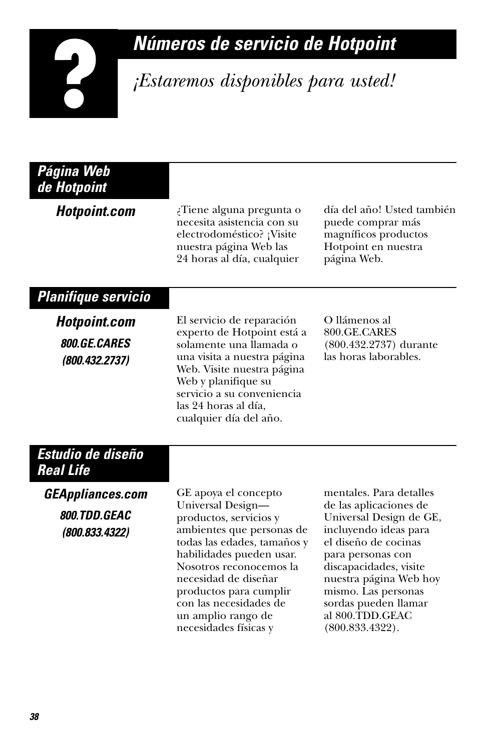# *Números de servicio de Hotpoint*

# *¡Estaremos disponibles para usted!*

| ¿Tiene alguna pregunta o<br>necesita asistencia con su<br>electrodoméstico? ¡Visite<br>nuestra página Web las<br>24 horas al día, cualquier                                                                                                            | día del año! Usted también<br>puede comprar más<br>magníficos productos<br>Hotpoint en nuestra<br>página Web.                                                                                                                             |
|--------------------------------------------------------------------------------------------------------------------------------------------------------------------------------------------------------------------------------------------------------|-------------------------------------------------------------------------------------------------------------------------------------------------------------------------------------------------------------------------------------------|
|                                                                                                                                                                                                                                                        |                                                                                                                                                                                                                                           |
| El servicio de reparación<br>experto de Hotpoint está a<br>solamente una llamada o<br>una visita a nuestra página<br>Web. Visite nuestra página<br>Web y planifique su<br>servicio a su conveniencia<br>las 24 horas al día,<br>cualquier día del año. | O llámenos al<br>800.GE.CARES<br>(800.432.2737) durante<br>las horas laborables.                                                                                                                                                          |
|                                                                                                                                                                                                                                                        |                                                                                                                                                                                                                                           |
| GE apoya el concepto<br>Universal Design-                                                                                                                                                                                                              | mentales. Para detalles<br>de las aplicaciones de                                                                                                                                                                                         |
| ambientes que personas de<br>todas las edades, tamaños y<br>habilidades pueden usar.<br>Nosotros reconocemos la<br>necesidad de diseñar<br>productos para cumplir<br>con las necesidades de<br>un amplio rango de<br>necesidades físicas y             | Universal Design de GE,<br>incluyendo ideas para<br>el diseño de cocinas<br>para personas con<br>discapacidades, visite<br>nuestra página Web hoy<br>mismo. Las personas<br>sordas pueden llamar<br>al 800.TDD.GEAC<br>$(800.833.4322)$ . |
|                                                                                                                                                                                                                                                        | productos, servicios y                                                                                                                                                                                                                    |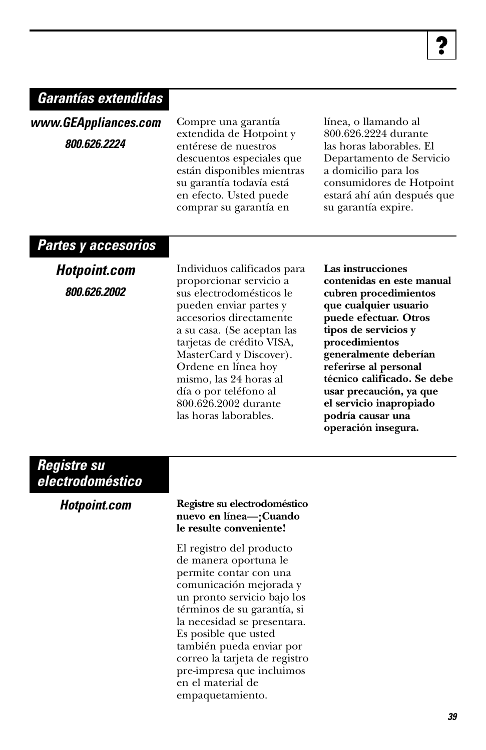# *Garantías extendidas*

*www.GEAppliances.com 800.626.2224*

Compre una garantía extendida de Hotpoint y entérese de nuestros descuentos especiales que están disponibles mientras su garantía todavía está en efecto. Usted puede comprar su garantía en

línea, o llamando al 800.626.2224 durante las horas laborables. El Departamento de Servicio a domicilio para los consumidores de Hotpoint estará ahí aún después que su garantía expire.

#### *Partes y accesorios*

*Hotpoint.com 800.626.2002*

Individuos calificados para proporcionar servicio a sus electrodomésticos le pueden enviar partes y accesorios directamente a su casa. (Se aceptan las tarjetas de crédito VISA, MasterCard y Discover). Ordene en línea hoy mismo, las 24 horas al día o por teléfono al 800.626.2002 durante las horas laborables.

**Las instrucciones contenidas en este manual cubren procedimientos que cualquier usuario puede efectuar. Otros tipos de servicios y procedimientos generalmente deberían referirse al personal técnico calificado. Se debe usar precaución, ya que el servicio inapropiado podría causar una operación insegura.** 

### *Registre su electrodoméstico*

| <b>Hotpoint.com</b> | Registre su el<br>nuevo en líne<br>le resulte cor |
|---------------------|---------------------------------------------------|
|                     | El registro de                                    |
|                     | de manera o                                       |
|                     | permite cont                                      |
|                     | comunicació                                       |
|                     | un pronto se                                      |
|                     | términos de                                       |
|                     | la necesidad                                      |
|                     | Es posible au                                     |

#### *Hotpoint.com* **Registre su electrodoméstico nuevo en línea—¡Cuando le resulte conveniente!**

el producto portuna le tar con una n mejorada y rvicio bajo los su garantía, si se presentara. 1e usted también pueda enviar por correo la tarjeta de registro pre-impresa que incluimos en el material de empaquetamiento.